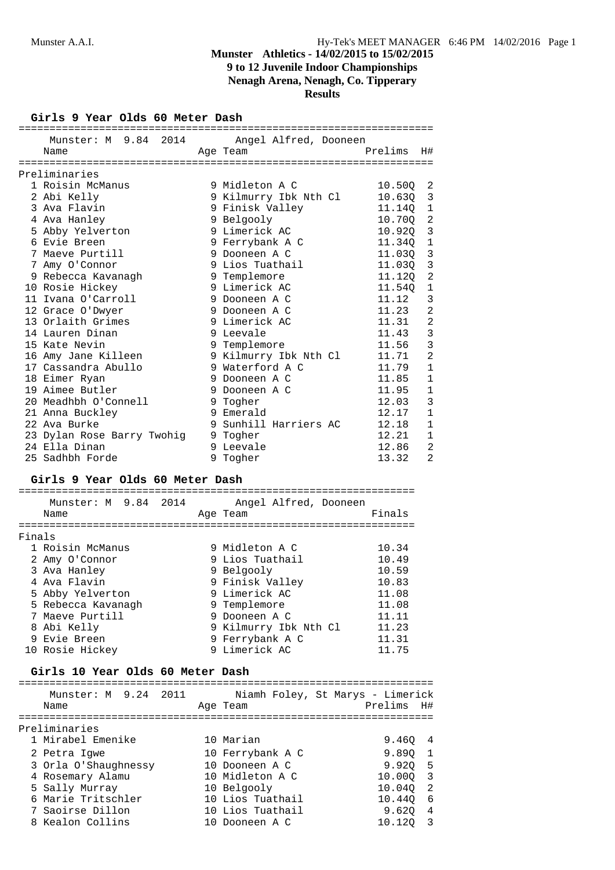## **Munster Athletics - 14/02/2015 to 15/02/2015 9 to 12 Juvenile Indoor Championships Nenagh Arena, Nenagh, Co. Tipperary Results**

## **Girls 9 Year Olds 60 Meter Dash**

| Munster: M 9.84 2014 Angel Alfred, Dooneen            |   |                       |                      |                |
|-------------------------------------------------------|---|-----------------------|----------------------|----------------|
| Name                                                  |   | Age Team              | Prelims              | H#             |
|                                                       |   |                       |                      |                |
| Preliminaries                                         |   |                       |                      |                |
| 1 Roisin McManus                                      |   | 9 Midleton A C        | 10.50 <sub>Q</sub> 2 |                |
| 2 Abi Kelly                                           |   | 9 Kilmurry Ibk Nth Cl | 10.630 3             |                |
| 3 Ava Flavin                                          |   | 9 Finisk Valley       | 11.14Q 1             |                |
| 4 Ava Hanley                                          |   | 9 Belgooly            | 10.700 2             |                |
| 5 Abby Yelverton                                      |   | 9 Limerick AC         | 10.92Q 3             |                |
| 6 Evie Breen                                          |   | 9 Ferrybank A C       | 11.340               | $\overline{1}$ |
| 7 Maeve Purtill                                       |   | 9 Dooneen A C         | 11.03Q               | $\mathbf{3}$   |
| 7 Amy O'Connor                                        |   | 9 Lios Tuathail       | 11.03Q 3             |                |
| 9 Rebecca Kavanagh                                    |   | 9 Templemore          | 11.12Q 2             |                |
| 10 Rosie Hickey                                       |   | 9 Limerick AC         | 11.540               | $\mathbf 1$    |
| 11 Ivana O'Carroll                                    |   | 9 Dooneen A C         | 11.12                | 3              |
| 12 Grace O'Dwyer                                      |   | 9 Dooneen A C         | 11.23                | $\overline{2}$ |
| 13 Orlaith Grimes                                     |   | 9 Limerick AC         | 11.31                | $\overline{2}$ |
| 14 Lauren Dinan                                       |   | 9 Leevale             | 11.43                | 3              |
| 15 Kate Nevin                                         |   | 9 Templemore          | 11.56                | 3              |
| 16 Amy Jane Killeen             9 Kilmurry Ibk Nth Cl |   |                       | 11.71                | $\overline{2}$ |
| 17 Cassandra Abullo                                   |   | 9 Waterford A C       | 11.79                | $\mathbf{1}$   |
| 18 Eimer Ryan                                         |   | 9 Dooneen A C         | 11.85                | $\mathbf 1$    |
| 19 Aimee Butler                                       |   | 9 Dooneen A C         | 11.95                | $\mathbf{1}$   |
| 20 Meadhbh O'Connell                                  |   | 9 Togher              | 12.03                | 3              |
| 21 Anna Buckley                                       |   | 9 Emerald             | 12.17                | $\mathbf{1}$   |
| 22 Ava Burke                                          |   | 9 Sunhill Harriers AC | 12.18                | $\mathbf 1$    |
| 23 Dylan Rose Barry Twohiq                            | 9 | Togher                | 12.21                | 1              |
| 24 Ella Dinan                                         | 9 | Leevale               | 12.86                | $\overline{2}$ |
| 25 Sadhbh Forde                                       | 9 | Togher                | 13.32                | $\overline{2}$ |

## **Girls 9 Year Olds 60 Meter Dash**

|        | Munster: M 9.84 2014<br>Name | Angel Alfred, Dooneen<br>Age Team | Finals |
|--------|------------------------------|-----------------------------------|--------|
| Finals |                              |                                   |        |
|        | 1 Roisin McManus             | 9 Midleton A C                    | 10.34  |
|        | 2 Amy O'Connor               | 9 Lios Tuathail                   | 10.49  |
|        | 3 Ava Hanley                 | 9 Belgooly                        | 10.59  |
|        | 4 Ava Flavin                 | 9 Finisk Valley                   | 10.83  |
|        | 5 Abby Yelverton             | 9 Limerick AC                     | 11.08  |
|        | 5 Rebecca Kavanagh           | 9 Templemore                      | 11.08  |
|        | 7 Maeve Purtill              | 9 Dooneen A C                     | 11.11  |
|        | 8 Abi Kelly                  | 9 Kilmurry Ibk Nth Cl             | 11.23  |
|        | 9 Evie Breen                 | 9 Ferrybank A C                   | 11.31  |
|        | 10 Rosie Hickey              | 9 Limerick AC                     | 11.75  |

### **Girls 10 Year Olds 60 Meter Dash**

| Munster: M 9.24 2011<br>Niamh Foley, St Marys - Limerick<br>Age Team<br>Name<br>Preliminaries | Prelims H# |     |
|-----------------------------------------------------------------------------------------------|------------|-----|
|                                                                                               |            |     |
|                                                                                               |            |     |
| 1 Mirabel Emenike<br>10 Marian                                                                | 9.460 4    |     |
| 10 Ferrybank A C<br>2 Petra Iqwe                                                              | 9.890      |     |
| 3 Orla O'Shaughnessy<br>10 Dooneen A C                                                        | 9.920 5    |     |
| 10 Midleton A C<br>4 Rosemary Alamu                                                           | 10.000 3   |     |
| 5 Sally Murray<br>10 Belgooly                                                                 | 10.040     | - 2 |
| 6 Marie Tritschler<br>10 Lios Tuathail                                                        | 10.440     | - 6 |
| 7 Saoirse Dillon<br>10 Lios Tuathail                                                          | 9.620      | 4   |
| 8 Kealon Collins<br>10 Dooneen A C                                                            | 10.120     |     |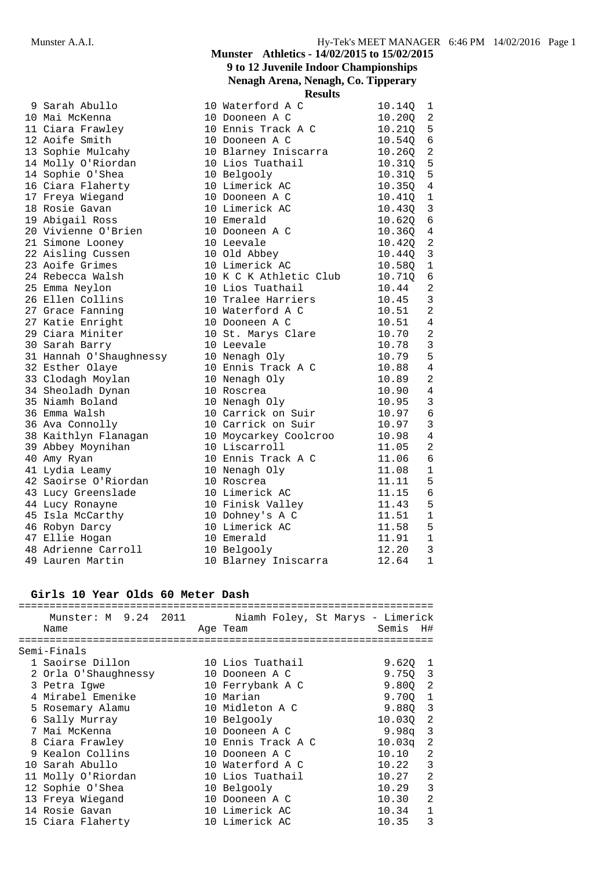| Hy-Tek's MEET MANAGER 6:46 PM 14/02/2016 Page 1 |  |  |  |  |
|-------------------------------------------------|--|--|--|--|
|-------------------------------------------------|--|--|--|--|

## **Munster Athletics - 14/02/2015 to 15/02/2015 9 to 12 Juvenile Indoor Championships Nenagh Arena, Nenagh, Co. Tipperary**

|                                                                                                                                                                                                                                                       | <b>Results</b>                                                  |        |                |
|-------------------------------------------------------------------------------------------------------------------------------------------------------------------------------------------------------------------------------------------------------|-----------------------------------------------------------------|--------|----------------|
| 9 Sarah Abullo                                                                                                                                                                                                                                        | 10 Waterford A C                                                | 10.140 | 1              |
|                                                                                                                                                                                                                                                       |                                                                 | 10.20Q | $\overline{c}$ |
|                                                                                                                                                                                                                                                       |                                                                 | 10.210 | 5              |
|                                                                                                                                                                                                                                                       |                                                                 | 10.54Q | 6              |
|                                                                                                                                                                                                                                                       |                                                                 | 10.26Q | 2              |
|                                                                                                                                                                                                                                                       |                                                                 | 10.31Q | 5              |
| 14 Sophie O'Shea                                                                                                                                                                                                                                      | 10 Belgooly                                                     | 10.310 | 5              |
| 16 Ciara Flaherty<br>17 Freya Wiegand<br>18 Rosie Gavan                                                                                                                                                                                               | 10 Limerick AC                                                  | 10.35Q | 4              |
|                                                                                                                                                                                                                                                       | 10 Dooneen A C                                                  | 10.410 | $\overline{1}$ |
|                                                                                                                                                                                                                                                       | 10 Limerick AC                                                  | 10.43Q | 3              |
| 19 Abigail Ross                                                                                                                                                                                                                                       | 10 Emerald                                                      | 10.62Q | 6              |
| 20 Vivienne O'Brien 10 Dooneen A C                                                                                                                                                                                                                    |                                                                 | 10.360 | 4              |
| 21 Simone Looney<br>10 Leevale<br>10 Old Abbey<br>10 Limerick AC                                                                                                                                                                                      |                                                                 | 10.42Q | $\overline{2}$ |
| 22 Aisling Cussen<br>23 Aoife Grimes                                                                                                                                                                                                                  |                                                                 | 10.44Q | 3              |
|                                                                                                                                                                                                                                                       |                                                                 | 10.58Q | 1              |
| 23 Aoife Grimes<br>24 Rebecca Walsh 10 K C K Athletic<br>25 Emma Neylon 10 Lios Tuathail<br>26 Ellen Collins 10 Tralee Harrier<br>27 Grace Fanning 10 Waterford A C                                                                                   | 10 K C K Athletic Club                                          | 10.710 | 6              |
|                                                                                                                                                                                                                                                       |                                                                 | 10.44  | 2              |
|                                                                                                                                                                                                                                                       | 10 Tralee Harriers                                              | 10.45  | 3              |
|                                                                                                                                                                                                                                                       |                                                                 | 10.51  | $\overline{2}$ |
| 27 Katie Enright                                                                                                                                                                                                                                      | 10 Dooneen A C                                                  | 10.51  | 4              |
| 29 Ciara Miniter                                                                                                                                                                                                                                      | 10 St. Marys Clare                                              | 10.70  | $\overline{a}$ |
| composity<br>31 Hannah O'Shaughnessy<br>32 Esther Olaye<br>33 Clodagh Morrler                                                                                                                                                                         | 10 Leevale                                                      | 10.78  | 3              |
|                                                                                                                                                                                                                                                       | 10 Nenagh Oly                                                   | 10.79  | 5              |
|                                                                                                                                                                                                                                                       | 10 Ennis Track A C<br>10 Nenagh Oly<br>10 Bossues               | 10.88  | 4              |
| 33 Clodagh Moylan                                                                                                                                                                                                                                     |                                                                 | 10.89  | 2              |
| 34 Sheoladh Dynan                                                                                                                                                                                                                                     | 10 Roscrea<br>10 Nenagh Oly<br>10 Carrick on Suir               | 10.90  | 4              |
| 35 Niamh Boland                                                                                                                                                                                                                                       |                                                                 | 10.95  | 3              |
| 36 Emma Walsh                                                                                                                                                                                                                                         |                                                                 | 10.97  | 6              |
|                                                                                                                                                                                                                                                       |                                                                 | 10.97  | 3              |
| 36 Ava Connolly<br>38 Kaithlyn Flanagan<br>39 Abbey Moynihan<br>39 Abbey Moynihan<br>40 Amy Ryan<br>41 Lydia Leamy<br>42 Saoirse O'Piordon<br>39 Abbey Moynihan<br>40 Amy Ryan<br>42 Saoirse O'Piordon<br>30 Nenagh Oly<br>42 Saoirse O'Piordon<br>30 |                                                                 | 10.98  | 4              |
|                                                                                                                                                                                                                                                       |                                                                 | 11.05  | $\overline{2}$ |
|                                                                                                                                                                                                                                                       |                                                                 | 11.06  | 6              |
|                                                                                                                                                                                                                                                       |                                                                 | 11.08  | 1              |
| 42 Saoirse O'Riordan                                                                                                                                                                                                                                  | 10 Roscrea                                                      | 11.11  | 5              |
| 12 Basember 10 Limerick AC<br>43 Lucy Ronayne 10 Finisk Valley<br>45 Isla McCarthy 10 Dohney's A C                                                                                                                                                    | $\begin{array}{c} 11.15 \\ 11.43 \\ 11.51 \end{array}$          |        | 6              |
| 44 Lucy Ronayne<br>45 Isla McCarthy<br>46 Robyn Darcy                                                                                                                                                                                                 |                                                                 |        | 5              |
|                                                                                                                                                                                                                                                       |                                                                 |        | 1              |
|                                                                                                                                                                                                                                                       | 10 Limerick AC                                                  | 11.58  | 5              |
| 47 Ellie Hogan                                                                                                                                                                                                                                        | 10 Emerald<br>10 Emerald<br>10 Belgooly<br>10 Blarney Iniscarra | 11.91  | 1              |
| 48 Adrienne Carroll<br>49 Lauren Martin                                                                                                                                                                                                               | 10 Belgooly                                                     | 12.20  | 3              |
|                                                                                                                                                                                                                                                       |                                                                 | 12.64  | $\mathbf{1}$   |

## **Girls 10 Year Olds 60 Meter Dash**

|                      |                    | Semis H#                                                          |
|----------------------|--------------------|-------------------------------------------------------------------|
|                      |                    |                                                                   |
| Semi-Finals          |                    |                                                                   |
| 1 Saoirse Dillon     | 10 Lios Tuathail   | $9.620 \quad 1$                                                   |
| 2 Orla O'Shaughnessy | 10 Dooneen A C     | 9.750 3                                                           |
| 3 Petra Iqwe         | 10 Ferrybank A C   | 9.800 2                                                           |
| 4 Mirabel Emenike    | 10 Marian          | 9.700 1                                                           |
| 5 Rosemary Alamu     | 10 Midleton A C    | $9.88Q$ 3                                                         |
| 6 Sally Murray       | 10 Belgooly        | $\overline{2}$<br>10.030                                          |
| 7 Mai McKenna        | 10 Dooneen A C     | $9.98q$ 3                                                         |
| 8 Ciara Frawley      | 10 Ennis Track A C | $10.03\sigma$<br>-2                                               |
| 9 Kealon Collins     | 10 Dooneen A C     | 2<br>10.10                                                        |
| 10 Sarah Abullo      | 10 Waterford A C   | 3<br>10.22                                                        |
| 11 Molly O'Riordan   | 10 Lios Tuathail   | 2<br>10.27                                                        |
| 12 Sophie O'Shea     | 10 Belgooly        | 3<br>10.29                                                        |
| 13 Freya Wiegand     | 10 Dooneen A C     | $\mathfrak{D}$<br>10.30                                           |
| 14 Rosie Gavan       | 10 Limerick AC     | $\mathbf{1}$<br>10.34                                             |
| 15 Ciara Flaherty    | 10 Limerick AC     | 3<br>10.35                                                        |
|                      | Name               | Munster: M 9.24 2011 Niamh Foley, St Marys - Limerick<br>Age Team |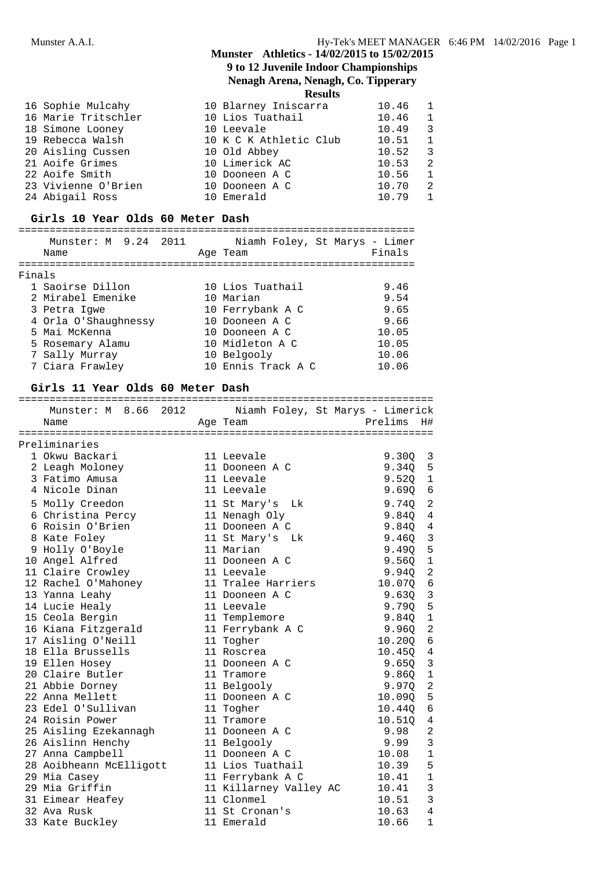## **9 to 12 Juvenile Indoor Championships Nenagh Arena, Nenagh, Co. Tipperary**

**Results**

| 16 Sophie Mulcahy   | 10 Blarney Iniscarra   | 10.46 1   |                |
|---------------------|------------------------|-----------|----------------|
| 16 Marie Tritschler | 10 Lios Tuathail       | $10.46$ 1 |                |
| 18 Simone Looney    | 10 Leevale             | $10.49$ 3 |                |
| 19 Rebecca Walsh    | 10 K C K Athletic Club | $10.51$ 1 |                |
| 20 Aisling Cussen   | 10 Old Abbey           | 10.52 3   |                |
| 21 Aoife Grimes     | 10 Limerick AC         | 10.53 2   |                |
| 22 Aoife Smith      | 10 Dooneen A C         | 10.56 1   |                |
| 23 Vivienne O'Brien | 10 Dooneen A C         | 10.70     | $\overline{2}$ |
| 24 Abigail Ross     | 10 Emerald             | 10.79     | $\overline{1}$ |

### **Girls 10 Year Olds 60 Meter Dash**

## ================================================================ Munster: M 9.24 2011 Niamh Foley, St Marys - Limer

|        | Name                 | Age Team           | Finals |
|--------|----------------------|--------------------|--------|
| Finals |                      |                    |        |
|        | 1 Saoirse Dillon     | 10 Lios Tuathail   | 9.46   |
|        | 2 Mirabel Emenike    | 10 Marian          | 9.54   |
|        | 3 Petra Iqwe         | 10 Ferrybank A C   | 9.65   |
|        | 4 Orla O'Shaughnessy | 10 Dooneen A C     | 9.66   |
|        | 5 Mai McKenna        | 10 Dooneen A C     | 10.05  |
|        | 5 Rosemary Alamu     | 10 Midleton A C    | 10.05  |
|        | 7 Sally Murray       | 10 Belgooly        | 10.06  |
|        | 7 Ciara Frawley      | 10 Ennis Track A C | 10.06  |

#### **Girls 11 Year Olds 60 Meter Dash**

| Munster: M 8.66 2012 Niamh Foley, St Marys - Limerick |                           |         |                |
|-------------------------------------------------------|---------------------------|---------|----------------|
| Name                                                  | Age Team                  | Prelims | H#             |
|                                                       |                           |         |                |
| Preliminaries                                         |                           |         |                |
| 1 Okwu Backari                                        | 11 Leevale                | 9.30Q   | 3              |
| 2 Leagh Moloney                                       | 11 Dooneen A C            | 9.340   | 5              |
| 3 Fatimo Amusa                                        | 11 Leevale                | 9.520   | $\mathbf{1}$   |
| 4 Nicole Dinan                                        | 11 Leevale                | 9.69Q   | 6              |
| 5 Molly Creedon                                       | 11 St Mary's Lk           | 9.740   | 2              |
| 6 Christina Percy                                     | 11 Nenagh Oly             | 9.84Q   | 4              |
| 6 Roisin O'Brien                                      | 11 Dooneen A C            | 9.84Q   | $\overline{4}$ |
| 8 Kate Foley                                          | 11 St Mary's Lk           | 9.46Q   | $\overline{3}$ |
| 9 Holly O'Boyle                                       | 11 Marian                 | 9.49Q   | 5              |
| 10 Angel Alfred                                       | 11 Dooneen A C            | 9.560   | $\overline{1}$ |
| 11 Claire Crowley                                     | 11 Leevale                | 9.940   | $\overline{2}$ |
| 12 Rachel O'Mahoney                                   | 11 Tralee Harriers 10.07Q |         | 6              |
| 13 Yanna Leahy                                        | 11 Dooneen A C            | 9.630   | 3              |
| 14 Lucie Healy                                        | 11 Leevale                | 9.790   | 5              |
| 15 Ceola Bergin                                       | 11 Templemore             | 9.84Q   | $\mathbf{1}$   |
| 16 Kiana Fitzgerald                                   | 11 Ferrybank A C          | 9.96Q   | $\overline{2}$ |
| 17 Aisling O'Neill                                    | 11 Togher                 | 10.20Q  | 6              |
| 18 Ella Brussells                                     | 11 Roscrea                | 10.45Q  | $\overline{4}$ |
| 19 Ellen Hosey                                        | 11 Dooneen A C            | 9.650   | 3              |
| 20 Claire Butler                                      | 11 Tramore                | 9.860   | $\mathbf{1}$   |
| 21 Abbie Dorney                                       | 11 Belgooly               | 9.970   | $\overline{2}$ |
| 22 Anna Mellett                                       | 11 Dooneen A C            | 10.090  | 5              |
| 23 Edel O'Sullivan                                    | 11 Togher                 | 10.440  | 6              |
| 24 Roisin Power                                       | 11 Tramore                | 10.51Q  | 4              |
| 25 Aisling Ezekannagh                                 | 11 Dooneen A C            | 9.98    | $\overline{a}$ |
| 26 Aislinn Henchy                                     | 11 Belgooly               | 9.99    | 3              |
| 27 Anna Campbell                                      | 11 Dooneen A C            | 10.08   | $\mathbf{1}$   |
| 28 Aoibheann McElligott                               | 11 Lios Tuathail          | 10.39   | 5              |
| 29 Mia Casey                                          | 11 Ferrybank A C          | 10.41   | $\mathbf{1}$   |
| 29 Mia Griffin                                        | 11 Killarney Valley AC    | 10.41   | 3              |
| 31 Eimear Heafey                                      | 11 Clonmel                | 10.51   | 3              |
| 32 Ava Rusk                                           | 11 St Cronan's            | 10.63   | 4              |
| 33 Kate Buckley                                       | 11 Emerald                | 10.66   | $\mathbf{1}$   |
|                                                       |                           |         |                |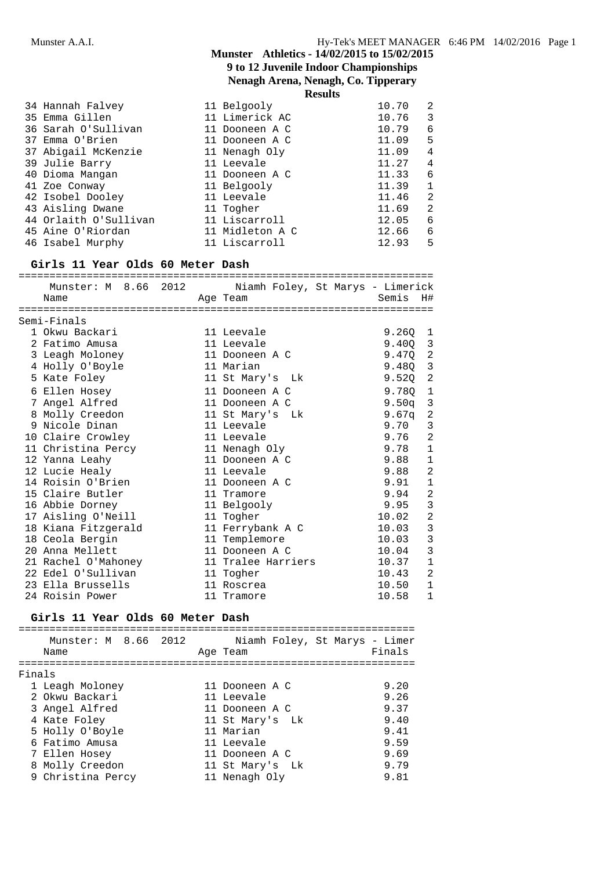**Nenagh Arena, Nenagh, Co. Tipperary**

**Results**

|                       | --------        |       |   |  |
|-----------------------|-----------------|-------|---|--|
| 34 Hannah Falvey      | 11 Belgooly     | 10.70 | 2 |  |
| 35 Emma Gillen        | 11 Limerick AC  | 10.76 | 3 |  |
| 36 Sarah O'Sullivan   | 11 Dooneen A C  | 10.79 | 6 |  |
| 37 Emma O'Brien       | 11 Dooneen A C  | 11.09 | 5 |  |
| 37 Abigail McKenzie   | 11 Nenagh Oly   | 11.09 | 4 |  |
| 39 Julie Barry        | 11 Leevale      | 11.27 | 4 |  |
| 40 Dioma Mangan       | 11 Dooneen A C  | 11.33 | 6 |  |
| 41 Zoe Conway         | 11 Belgooly     | 11.39 |   |  |
| 42 Isobel Dooley      | 11 Leevale      | 11.46 | 2 |  |
| 43 Aisling Dwane      | 11 Togher       | 11.69 | 2 |  |
| 44 Orlaith O'Sullivan | 11 Liscarroll   | 12.05 | 6 |  |
| 45 Aine O'Riordan     | 11 Midleton A C | 12.66 | 6 |  |
| 46 Isabel Murphy      | 11 Liscarroll   | 12.93 | 5 |  |
|                       |                 |       |   |  |

## **Girls 11 Year Olds 60 Meter Dash**

| Munster: M 8.66 2012 Niamh Foley, St Marys - Limerick |                    |                 |                |
|-------------------------------------------------------|--------------------|-----------------|----------------|
| Name                                                  | Age Team           | Semis           | H#             |
|                                                       |                    |                 |                |
| Semi-Finals                                           |                    |                 |                |
| 1 Okwu Backari                                        | 11 Leevale         | 9.2601          |                |
| 2 Fatimo Amusa                                        | 11 Leevale         | $9.400 \quad 3$ |                |
| 3 Leagh Moloney                                       | 11 Dooneen A C     | $9.47Q$ 2       |                |
| 4 Holly O'Boyle                                       | 11 Marian          | $9.48Q$ 3       |                |
| 5 Kate Foley                                          | 11 St Mary's Lk    | $9.52Q$ 2       |                |
| 6 Ellen Hosey                                         | 11 Dooneen A C     | 9.780           | $\overline{1}$ |
| 7 Angel Alfred                                        | 11 Dooneen A C     | $9.50$ q        | 3              |
| 8 Molly Creedon                                       | 11 St Mary's Lk    | 9.67a           | $\overline{2}$ |
| 9 Nicole Dinan                                        | 11 Leevale         | 9.70            | 3              |
| 10 Claire Crowley                                     | 11 Leevale         | 9.76            | 2              |
| 11 Christina Percy                                    | 11 Nenagh Oly      | 9.78            | $\mathbf{1}$   |
| 12 Yanna Leahy                                        | 11 Dooneen A C     | 9.88            | $\mathbf 1$    |
| 12 Lucie Healy                                        | 11 Leevale         | 9.88            | $\overline{a}$ |
| 14 Roisin O'Brien                                     | 11 Dooneen A C     | 9.91            | $\mathbf{1}$   |
| 15 Claire Butler                                      | 11 Tramore         | 9.94            | $\overline{2}$ |
| 16 Abbie Dorney                                       | 11 Belgooly        | 9.95            | 3              |
| 17 Aisling O'Neill                                    | 11 Togher          | 10.02           | $\overline{2}$ |
| 18 Kiana Fitzgerald                                   | 11 Ferrybank A C   | 10.03           | $\mathbf{3}$   |
| 18 Ceola Bergin                                       | 11 Templemore      | 10.03           | $\mathbf{3}$   |
| 20 Anna Mellett                                       | 11 Dooneen A C     | 10.04           | $\overline{3}$ |
| 21 Rachel O'Mahoney                                   | 11 Tralee Harriers | 10.37           | $\mathbf{1}$   |
| 22 Edel O'Sullivan                                    | 11 Togher          | 10.43           | $\overline{a}$ |
| 23 Ella Brussells                                     | 11 Roscrea         | 10.50           | 1              |
| 24 Roisin Power                                       | 11 Tramore         | 10.58           | 1              |

## **Girls 11 Year Olds 60 Meter Dash**

|        | Munster: M 8.66 2012<br>Name | Niamh Foley, St Marys - Limer<br>Age Team | Finals |
|--------|------------------------------|-------------------------------------------|--------|
| Finals |                              |                                           |        |
|        | 1 Leagh Moloney              | 11 Dooneen A C                            | 9.20   |
|        | 2 Okwu Backari               | 11 Leevale                                | 9.26   |
|        | 3 Angel Alfred               | 11 Dooneen A C                            | 9.37   |
|        | 4 Kate Foley                 | 11 St Mary's Lk                           | 9.40   |
|        | 5 Holly O'Boyle              | 11 Marian                                 | 9.41   |
|        | 6 Fatimo Amusa               | 11 Leevale                                | 9.59   |
|        | 7 Ellen Hosey                | 11 Dooneen A C                            | 9.69   |
|        | 8 Molly Creedon              | 11 St Mary's Lk                           | 9.79   |
|        | 9 Christina Percy            | 11 Nenagh Oly                             | 9.81   |
|        |                              |                                           |        |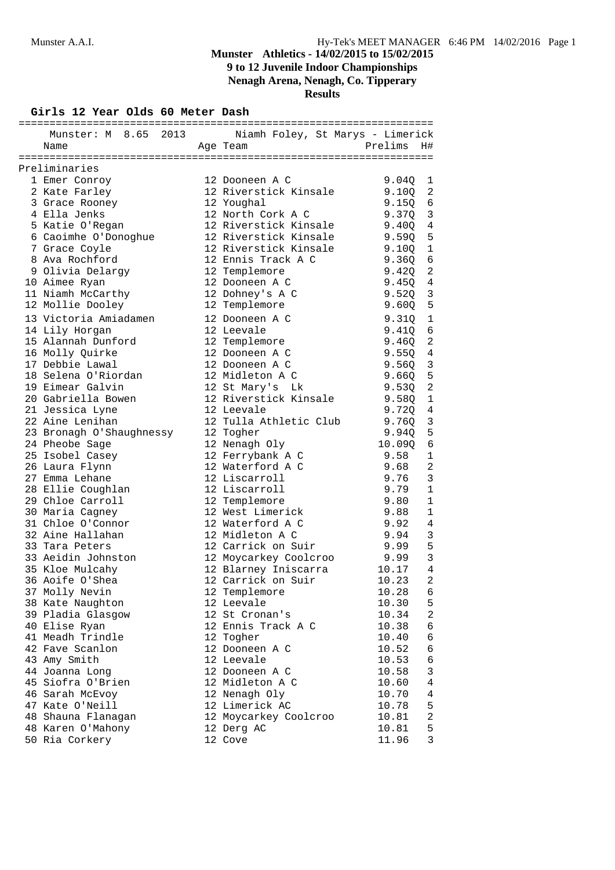**Nenagh Arena, Nenagh, Co. Tipperary**

**Results**

**Girls 12 Year Olds 60 Meter Dash**

| Munster: M 8.65 2013 Niamh Foley, St Marys - Limerick |                                               |                 |                            |
|-------------------------------------------------------|-----------------------------------------------|-----------------|----------------------------|
| Name                                                  | Age Team                                      | Prelims         | H#                         |
|                                                       |                                               |                 |                            |
| Preliminaries                                         |                                               |                 |                            |
| 1 Emer Conroy                                         | 12 Dooneen A C                                | 9.040           | 1                          |
| 2 Kate Farley                                         | 12 Riverstick Kinsale                         | 9.10Q           | 2                          |
| 3 Grace Rooney                                        | 12 Youghal                                    | $9.15Q \quad 6$ |                            |
| 4 Ella Jenks                                          | 12 North Cork A C                             | $9.370 \quad 3$ |                            |
| 5 Katie O'Regan                                       | 12 Riverstick Kinsale                         | 9.400           | $\overline{4}$             |
| 6 Caoimhe O'Donoghue                                  | 12 Riverstick Kinsale                         | 9.59Q           | $-5$                       |
| 7 Grace Coyle                                         | 12 Riverstick Kinsale                         | 9.10Q           | $\overline{1}$             |
| 8 Ava Rochford                                        | 12 Ennis Track A C                            | 9.36Q           | $6\overline{6}$            |
| 9 Olivia Delarqy                                      | 12 Templemore                                 | 9.42Q           | $\overline{\phantom{0}}^2$ |
| 10 Aimee Ryan                                         | 12 Dooneen A C                                | 9.4504          |                            |
| 11 Niamh McCarthy                                     | 12 Dohney's A C                               | 9.520           | 3                          |
| 12 Mollie Dooley                                      | 12 Templemore                                 | 9.600           | $5^{\circ}$                |
|                                                       |                                               |                 |                            |
| 13 Victoria Amiadamen                                 | 12 Dooneen A C                                | 9.31Q           | $\mathbf{1}$               |
| 14 Lily Horgan                                        | 12 Leevale                                    | 9.410           | 6                          |
| 15 Alannah Dunford                                    | 12 Templemore                                 | 9.46Q           | $\overline{a}$             |
| 16 Molly Quirke                                       | 12 Dooneen A C                                | $9.55Q$ 4       |                            |
| 17 Debbie Lawal                                       | 12 Dooneen A C                                | $9.56Q$ 3       |                            |
| 18 Selena O'Riordan                                   | 12 Midleton A C                               | 9.660           | $-5$                       |
| 19 Eimear Galvin                                      | 12 St Mary's Lk                               | 9.530           | 2                          |
| 20 Gabriella Bowen                                    | 12 Riverstick Kinsale                         | 9.580           | 1                          |
| 21 Jessica Lyne                                       | 12 Leevale                                    | 9.720           | $\overline{4}$             |
| 22 Aine Lenihan                                       | 12 Tulla Athletic Club                        | 9.76Q           | 3                          |
| 23 Bronagh O'Shaughnessy                              | 12 Togher                                     | 9.94Q           | 5                          |
| 24 Pheobe Sage                                        | 12 Nenagh Oly                                 | 10.09Q          | 6                          |
| 25 Isobel Casey                                       | 12 Ferrybank A C                              | 9.58            | 1                          |
| 26 Laura Flynn                                        | 12 Waterford A C                              | 9.68            | $\overline{2}$             |
| 27 Emma Lehane                                        | 12 Liscarroll                                 | 9.76            | 3                          |
|                                                       | 12 Liscarroll                                 | 9.79            | $\mathbf{1}$               |
| 29 Chloe Carroll                                      | 12 Templemore                                 | 9.80            | $\mathbf{1}$               |
| 30 Maria Cagney                                       | 12 West Limerick                              | 9.88            | 1                          |
| 31 Chloe O'Connor                                     | 12 Waterford A C                              | 9.92            | 4                          |
| 32 Aine Hallahan                                      | 12 Midleton A C                               | 9.94            | 3                          |
| 33 Tara Peters                                        | 12 Carrick on Suir                            | 9.99            | 5                          |
| 33 Aeidin Johnston                                    |                                               | 9.99            | $\mathbf{3}$               |
| 35 Kloe Mulcahy                                       | 12 Moycarkey Coolcroo<br>12 Blarney Iniscarra | 10.17           | $\overline{4}$             |
| 36 Aoife O'Shea                                       | 12 Carrick on Suir                            | 10.23           | $\overline{2}$             |
| 37 Molly Nevin                                        | 12 Templemore                                 | 10.28           | 6                          |
| 38 Kate Naughton                                      | 12 Leevale                                    | 10.30           | 5                          |
| 39 Pladia Glasgow                                     | 12 St Cronan's                                | 10.34           | $\sqrt{2}$                 |
| 40 Elise Ryan                                         | 12 Ennis Track A C                            | 10.38           | $\epsilon$                 |
| 41 Meadh Trindle                                      | 12 Togher                                     | 10.40           | 6                          |
| 42 Fave Scanlon                                       | 12 Dooneen A C                                | 10.52           | 6                          |
|                                                       | 12 Leevale                                    |                 |                            |
| 43 Amy Smith                                          |                                               | 10.53           | 6                          |
| 44 Joanna Long                                        | 12 Dooneen A C                                | 10.58           | 3                          |
| 45 Siofra O'Brien                                     | 12 Midleton A C                               | 10.60           | $\,4$                      |
| 46 Sarah McEvoy                                       | 12 Nenagh Oly                                 | 10.70           | 4                          |
| 47 Kate O'Neill                                       | 12 Limerick AC                                | 10.78           | 5                          |
| 48 Shauna Flanagan                                    | 12 Moycarkey Coolcroo                         | 10.81           | $\overline{c}$             |
| 48 Karen O'Mahony                                     | 12 Derg AC                                    | 10.81           | 5                          |
| 50 Ria Corkery                                        | 12 Cove                                       | 11.96           | 3                          |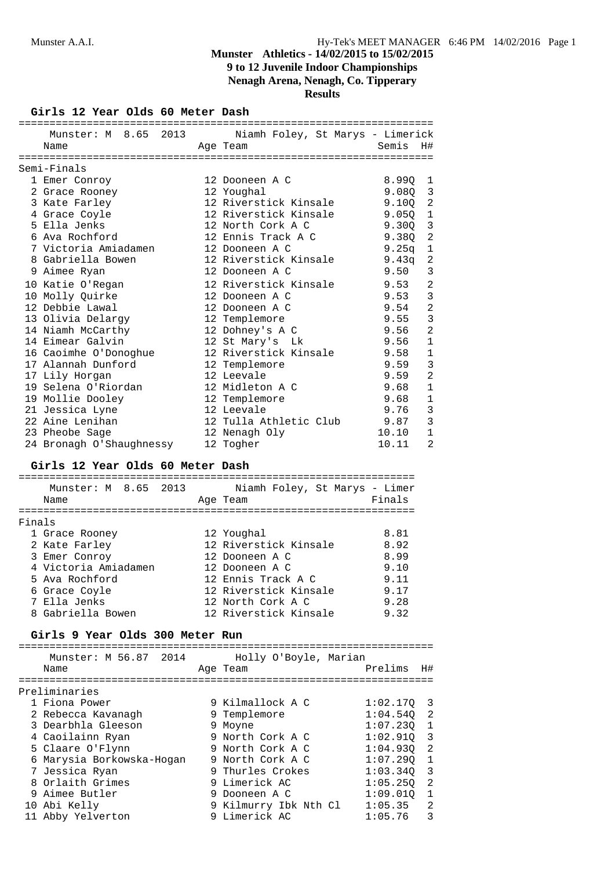## **Nenagh Arena, Nenagh, Co. Tipperary**

**Results**

## **Girls 12 Year Olds 60 Meter Dash**

| =======================  |                                                       |           |                |
|--------------------------|-------------------------------------------------------|-----------|----------------|
|                          | Munster: M 8.65 2013 Niamh Foley, St Marys - Limerick |           |                |
| Name                     | Age Team                                              | Semis     | H#             |
|                          | :==============================                       |           |                |
| Semi-Finals              |                                                       |           |                |
| 1 Emer Conroy            | 12 Dooneen A C                                        | 8.990 1   |                |
| 2 Grace Rooney           | 12 Youghal                                            | 9.080 3   |                |
| 3 Kate Farley            | 12 Riverstick Kinsale 9.10Q 2                         |           |                |
| 4 Grace Coyle            | 12 Riverstick Kinsale 9.05Q 1                         |           |                |
| 5 Ella Jenks             | 12 North Cork A C 9.300                               |           | $\overline{3}$ |
| 6 Ava Rochford           | 12 Ennis Track A C 9.38Q                              |           | $\overline{c}$ |
| 7 Victoria Amiadamen     | 12 Dooneen A C                                        | $9.25q$ 1 |                |
| 8 Gabriella Bowen        | 12 Riverstick Kinsale 9.43q                           |           | -2             |
| 9 Aimee Ryan             | 12 Dooneen A C                                        | 9.50      | 3              |
| 10 Katie O'Regan         | 12 Riverstick Kinsale 9.53                            |           | $\overline{2}$ |
| 10 Molly Ouirke          | 12 Dooneen A C                                        | 9.53      | 3              |
| 12 Debbie Lawal          | 12 Dooneen A C                                        | 9.54      | $\overline{2}$ |
| 13 Olivia Delarqy        | 12 Templemore                                         | 9.55      | 3              |
| 14 Niamh McCarthy        | 12 Dohney's A C                                       | 9.56      | $\overline{2}$ |
| 14 Eimear Galvin         | 12 St Mary's Lk                                       | 9.56      | $\mathbf 1$    |
| 16 Caoimhe O'Donoghue    | 12 Riverstick Kinsale 9.58                            |           | $\mathbf 1$    |
| 17 Alannah Dunford       | 12 Templemore                                         | 9.59      | 3              |
| 17 Lily Horgan           | 12 Leevale                                            | 9.59      | $\overline{2}$ |
| 19 Selena O'Riordan      | 12 Midleton A C                                       | 9.68      | $\mathbf{1}$   |
| 19 Mollie Dooley         | 12 Templemore                                         | 9.68      | $\mathbf{1}$   |
| 21 Jessica Lyne          | 12 Leevale                                            | 9.76      | 3              |
| 22 Aine Lenihan          | 12 Tulla Athletic Club 9.87                           |           | 3              |
| 23 Pheobe Sage           | 12 Nenagh Oly                                         | 10.10     | $\mathbf{1}$   |
| 24 Bronagh O'Shaughnessy | 12 Togher                                             | 10.11     | 2              |

## **Girls 12 Year Olds 60 Meter Dash**

| Munster: M 8.65 2013<br>Name | Niamh Foley, St Marys - Limer<br>Age Team | Finals |
|------------------------------|-------------------------------------------|--------|
| Finals                       |                                           |        |
| 1 Grace Rooney               | 12 Youghal                                | 8.81   |
| 2 Kate Farley                | 12 Riverstick Kinsale                     | 8.92   |
| 3 Emer Conroy                | 12 Dooneen A C                            | 8.99   |
| 4 Victoria Amiadamen         | 12 Dooneen A C                            | 9.10   |
| 5 Ava Rochford               | 12 Ennis Track A C                        | 9.11   |
| 6 Grace Coyle                | 12 Riverstick Kinsale                     | 9.17   |
| 7 Ella Jenks                 | 12 North Cork A C                         | 9.28   |
| 8 Gabriella Bowen            | 12 Riverstick Kinsale                     | 9.32   |
|                              |                                           |        |

#### **Girls 9 Year Olds 300 Meter Run**

| Munster: M 56.87 2014<br>Name | Holly O'Boyle, Marian<br>Age Team | Prelims      | H# |
|-------------------------------|-----------------------------------|--------------|----|
| Preliminaries                 |                                   |              |    |
| 1 Fiona Power                 | 9 Kilmallock A C                  | $1:02.170$ 3 |    |
| 2 Rebecca Kavanagh            | 9 Templemore                      | $1:04.540$ 2 |    |
| 3 Dearbhla Gleeson            | 9 Moyne                           | $1:07.230$ 1 |    |
| 4 Caoilainn Ryan              | 9 North Cork A C                  | $1:02.910$ 3 |    |
| 5 Claare O'Flynn              | 9 North Cork A C                  | $1:04.930$ 2 |    |
| 6 Marysia Borkowska-Hogan     | 9 North Cork A C                  | 1:07.290     |    |
| 7 Jessica Ryan                | 9 Thurles Crokes                  | $1:03.340$ 3 |    |
| 8 Orlaith Grimes              | 9 Limerick AC                     | 1:05.250     | -2 |
| 9 Aimee Butler                | 9 Dooneen A C                     | 1:09.01Q     | 1  |
| 10 Abi Kelly                  | 9 Kilmurry Ibk Nth Cl             | 1:05.35      | 2  |
| 11 Abby Yelverton             | 9 Limerick AC                     | 1:05.76      | 3  |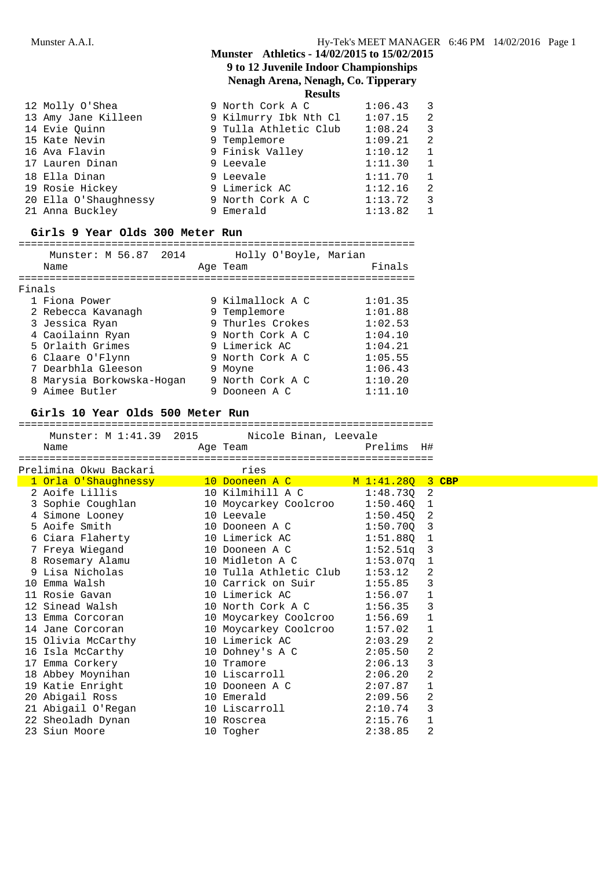## **Nenagh Arena, Nenagh, Co. Tipperary**

**Results**

| 12 Molly O'Shea       | 9 North Cork A C      | 1:06.43 | $\overline{\phantom{a}}$ 3 |  |
|-----------------------|-----------------------|---------|----------------------------|--|
| 13 Amy Jane Killeen   | 9 Kilmurry Ibk Nth Cl | 1:07.15 | -2                         |  |
| 14 Evie Quinn         | 9 Tulla Athletic Club | 1:08.24 | -3                         |  |
| 15 Kate Nevin         | 9 Templemore          | 1:09.21 | $\overline{2}$             |  |
| 16 Ava Flavin         | 9 Finisk Valley       | 1:10.12 | $\overline{1}$             |  |
| 17 Lauren Dinan       | 9 Leevale             | 1:11.30 |                            |  |
| 18 Ella Dinan         | 9 Leevale             | 1:11.70 | $\overline{1}$             |  |
| 19 Rosie Hickey       | 9 Limerick AC         | 1:12.16 | 2                          |  |
| 20 Ella O'Shaughnessy | 9 North Cork A C      | 1:13.72 | 3                          |  |
| 21 Anna Buckley       | 9 Emerald             | 1:13.82 |                            |  |

### **Girls 9 Year Olds 300 Meter Run**

#### ================================================================ Munster: M 56.87 2014 Holly O'Boyle, Marian

| Munster: M 56.8/ 2014 |                                                                                                                                                                                                  | HOIIV O'BOYIE, Marian |                                                                                                                                                                           |
|-----------------------|--------------------------------------------------------------------------------------------------------------------------------------------------------------------------------------------------|-----------------------|---------------------------------------------------------------------------------------------------------------------------------------------------------------------------|
| Name                  |                                                                                                                                                                                                  |                       | Finals                                                                                                                                                                    |
|                       |                                                                                                                                                                                                  |                       |                                                                                                                                                                           |
|                       |                                                                                                                                                                                                  |                       |                                                                                                                                                                           |
|                       |                                                                                                                                                                                                  |                       | 1:01.35                                                                                                                                                                   |
|                       |                                                                                                                                                                                                  |                       | 1:01.88                                                                                                                                                                   |
|                       |                                                                                                                                                                                                  |                       | 1:02.53                                                                                                                                                                   |
|                       |                                                                                                                                                                                                  |                       | 1:04.10                                                                                                                                                                   |
|                       |                                                                                                                                                                                                  |                       | 1:04.21                                                                                                                                                                   |
|                       |                                                                                                                                                                                                  |                       | 1:05.55                                                                                                                                                                   |
|                       |                                                                                                                                                                                                  |                       | 1:06.43                                                                                                                                                                   |
|                       |                                                                                                                                                                                                  |                       | 1:10.20                                                                                                                                                                   |
|                       |                                                                                                                                                                                                  |                       | 1:11.10                                                                                                                                                                   |
|                       | Finals<br>1 Fiona Power<br>2 Rebecca Kavanagh<br>3 Jessica Ryan<br>4 Caoilainn Ryan<br>5 Orlaith Grimes<br>6 Claare O'Flynn<br>7 Dearbhla Gleeson<br>8 Marysia Borkowska-Hogan<br>9 Aimee Butler |                       | Age Team<br>9 Kilmallock A C<br>9 Templemore<br>9 Thurles Crokes<br>9 North Cork A C<br>9 Limerick AC<br>9 North Cork A C<br>9 Moyne<br>9 North Cork A C<br>9 Dooneen A C |

### **Girls 10 Year Olds 500 Meter Run**

Prelimina Okwu Backari mwanana wapatao kutoka wa

### ===================================================================

|      | Munster: M 1:41.39 2015 |          | Nicole Binan, Leevale |    |
|------|-------------------------|----------|-----------------------|----|
| Name |                         | Age Team | Prelims               | H# |
|      |                         |          |                       |    |

| 1 Orla O'Shaughnessy                    | 10 Dooneen A C         | M 1:41.280   |                | $3$ CBP |
|-----------------------------------------|------------------------|--------------|----------------|---------|
| 2 Aoife Lillis                          | 10 Kilmihill A C       | $1:48.730$ 2 |                |         |
| 3 Sophie Coughlan 10 Moycarkey Coolcroo |                        | $1:50.460$ 1 |                |         |
| 4 Simone Looney                         | 10 Leevale             | $1:50.450$ 2 |                |         |
| 5 Aoife Smith                           | 10 Dooneen A C         | $1:50.700$ 3 |                |         |
| 6 Ciara Flaherty                        | 10 Limerick AC         | 1:51.880     | $\overline{1}$ |         |
| 7 Freya Wiegand                         | 10 Dooneen A C         | $1:52.51q$ 3 |                |         |
|                                         |                        | 1:53.07a     | $\overline{1}$ |         |
| 9 Lisa Nicholas                         | 10 Tulla Athletic Club | 1:53.12      | 2              |         |
| 10 Emma Walsh                           | 10 Carrick on Suir     | 1:55.85      | 3              |         |
| 11 Rosie Gavan                          | 10 Limerick AC         | 1:56.07      | 1              |         |
| 12 Sinead Walsh                         | 10 North Cork A C      | 1:56.35      | 3              |         |
| 13 Emma Corcoran                        | 10 Moycarkey Coolcroo  | 1:56.69      | <sup>1</sup>   |         |
| 14 Jane Corcoran                        | 10 Moycarkey Coolcroo  | 1:57.02      | 1              |         |
| 15 Olivia McCarthy                      | 10 Limerick AC         | 2:03.29      | 2              |         |
| 16 Isla McCarthy                        | 10 Dohney's A C        | 2:05.50      | 2              |         |
| 17 Emma Corkery                         | 10 Tramore             | 2:06.13      | 3              |         |
| 18 Abbey Moynihan                       | 10 Liscarroll          | 2:06.20      | 2              |         |
| 19 Katie Enright                        | 10 Dooneen A C         | 2:07.87      | 1              |         |
| 20 Abigail Ross                         | 10 Emerald             | 2:09.56      | 2              |         |
| 21 Abigail O'Regan                      | 10 Liscarroll          | 2:10.74      | 3              |         |
| 22 Sheoladh Dynan                       | 10 Roscrea             | 2:15.76      | 1              |         |
| 23 Siun Moore                           | 10 Togher              | 2:38.85      | 2              |         |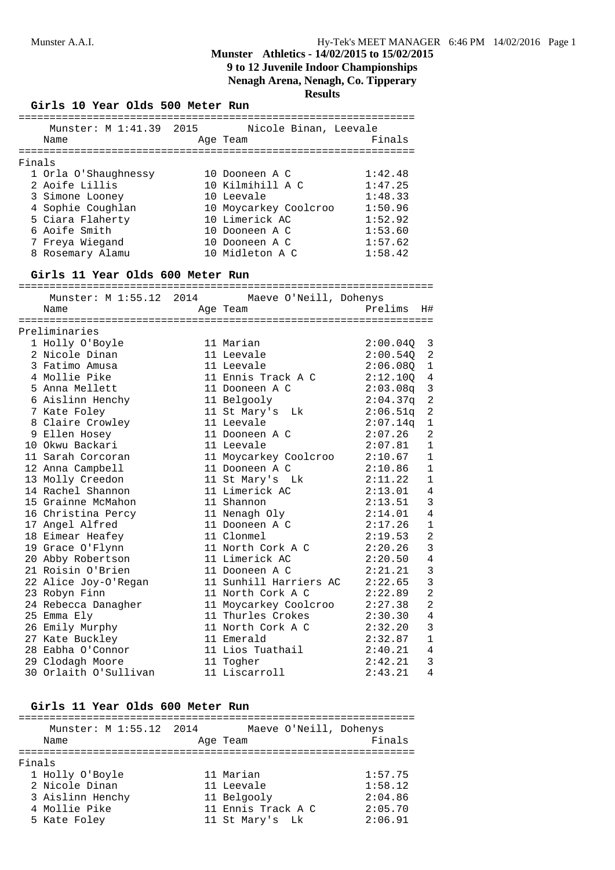**9 to 12 Juvenile Indoor Championships**

**Nenagh Arena, Nenagh, Co. Tipperary**

|        | Girls 10 Year Olds 500 Meter Run               | <b>Results</b>         |          |                            |
|--------|------------------------------------------------|------------------------|----------|----------------------------|
|        | Munster: M 1:41.39 2015                        | Nicole Binan, Leevale  |          |                            |
|        | Name                                           | Age Team               | Finals   |                            |
| Finals |                                                |                        |          |                            |
|        | 1 Orla O'Shaughnessy                           | 10 Dooneen A C         | 1:42.48  |                            |
|        | 2 Aoife Lillis                                 | 10 Kilmihill A C       | 1:47.25  |                            |
|        | 3 Simone Looney                                | 10 Leevale             | 1:48.33  |                            |
|        | 4 Sophie Coughlan                              | 10 Moycarkey Coolcroo  | 1:50.96  |                            |
|        | 5 Ciara Flaherty                               | 10 Limerick AC         | 1:52.92  |                            |
|        | 6 Aoife Smith                                  | 10 Dooneen A C         | 1:53.60  |                            |
|        | 7 Freya Wiegand                                | 10 Dooneen A C         | 1:57.62  |                            |
|        | 8 Rosemary Alamu                               | 10 Midleton A C        | 1:58.42  |                            |
|        | Girls 11 Year Olds 600 Meter Run               |                        |          |                            |
|        | Munster: M 1:55.12 2014 Maeve O'Neill, Dohenys |                        |          |                            |
|        | Name                                           | Age Team               | Prelims  | H#                         |
|        |                                                |                        |          |                            |
|        | Preliminaries                                  |                        |          |                            |
|        | 1 Holly O'Boyle                                | 11 Marian              | 2:00.040 | 3                          |
|        | 2 Nicole Dinan                                 | 11 Leevale             | 2:00.540 | $\overline{\phantom{0}}^2$ |
|        | 3 Fatimo Amusa                                 | 11 Leevale             | 2:06.080 | 1                          |
|        | 4 Mollie Pike                                  | 11 Ennis Track A C     | 2:12.100 | 4                          |
|        | 5 Anna Mellett                                 | 11 Dooneen A C         | 2:03.08q | 3                          |
|        | 6 Aislinn Henchy                               | 11 Belgooly            | 2:04.37q | $\mathbf{2}$               |
|        | 7 Kate Foley                                   | 11 St Mary's Lk        | 2:06.51q | $\overline{2}$             |
|        | 8 Claire Crowley                               | 11 Leevale             | 2:07.14q | 1                          |
|        | 9 Ellen Hosey                                  | 11 Dooneen A C         | 2:07.26  | 2                          |
|        | 10 Okwu Backari                                | 11 Leevale             | 2:07.81  | $\mathbf{1}$               |
|        | 11 Sarah Corcoran                              | 11 Moycarkey Coolcroo  | 2:10.67  | 1                          |
|        | 12 Anna Campbell                               | 11 Dooneen A C         | 2:10.86  | 1                          |
|        | 13 Molly Creedon                               | 11 St Mary's Lk        | 2:11.22  | 1                          |
|        | 14 Rachel Shannon                              | 11 Limerick AC         | 2:13.01  | 4                          |
|        | 15 Grainne McMahon                             | 11 Shannon             | 2:13.51  | 3                          |
|        | 16 Christina Percy                             | 11 Nenagh Oly          | 2:14.01  | 4                          |
|        | 17 Angel Alfred                                | 11 Dooneen A C         | 2:17.26  | $\mathbf{1}$               |
|        | 18 Eimear Heafey                               | 11 Clonmel             | 2:19.53  | 2                          |
|        | 19 Grace O'Flynn                               | 11 North Cork A C      | 2:20.26  | 3                          |
|        | 20 Abby Robertson                              | 11 Limerick AC         | 2:20.50  | 4                          |
|        | 21 Roisin O'Brien                              | 11 Dooneen A C         | 2:21.21  | 3                          |
|        | 22 Alice Joy-O'Regan                           | 11 Sunhill Harriers AC | 2:22.65  | 3                          |
|        | 23 Robyn Finn                                  | 11 North Cork A C      | 2:22.89  | $\mathbf{2}$               |
|        | 24 Rebecca Danagher                            | 11 Moycarkey Coolcroo  | 2:27.38  | 2                          |
|        | 25 Emma Ely                                    | 11 Thurles Crokes      | 2:30.30  | 4                          |
|        | 26 Emily Murphy                                | 11 North Cork A C      | 2:32.20  | 3                          |
|        | 27 Kate Buckley                                | 11 Emerald             | 2:32.87  | 1                          |
|        | 28 Eabha O'Connor                              | 11 Lios Tuathail       | 2:40.21  | 4                          |

# **Girls 11 Year Olds 600 Meter Run**

| uilio ii icul viub vvv nccci nun |                                    |         |
|----------------------------------|------------------------------------|---------|
| Munster: M 1:55.12 2014<br>Name  | Maeve O'Neill, Dohenys<br>Age Team | Finals  |
| Finals                           |                                    |         |
| 1 Holly O'Boyle                  | 11 Marian                          | 1:57.75 |
| 2 Nicole Dinan                   | 11 Leevale                         | 1:58.12 |
| 3 Aislinn Henchy                 | 11 Belgooly                        | 2:04.86 |
| 4 Mollie Pike                    | 11 Ennis Track A C                 | 2:05.70 |
| 5 Kate Foley                     | 11 St Mary's Lk                    | 2:06.91 |
|                                  |                                    |         |

29 Clodagh Moore 11 Togher 2:42.21 3

30 Orlaith O'Sullivan 11 Liscarroll 2:43.21 4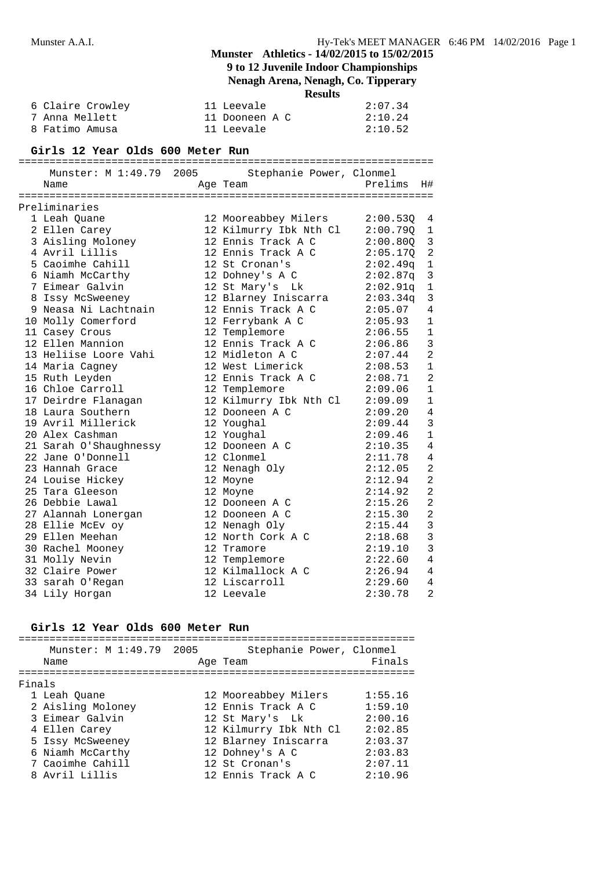## **9 to 12 Juvenile Indoor Championships**

## **Nenagh Arena, Nenagh, Co. Tipperary**

**Results**

| 6 Claire Crowley | 11 Leevale     | 2:07.34 |
|------------------|----------------|---------|
| 7 Anna Mellett   | 11 Dooneen A C | 2:10.24 |
| 8 Fatimo Amusa   | 11 Leevale     | 2:10.52 |

#### **Girls 12 Year Olds 600 Meter Run**

#### ===================================================================

| Munster: M 1:49.79 2005 | Stephanie Power, Clonmel |          |                |
|-------------------------|--------------------------|----------|----------------|
| Name                    | Age Team                 | Prelims  | H#             |
|                         |                          |          |                |
| Preliminaries           |                          |          |                |
| 1 Leah Quane            | 12 Mooreabbey Milers     | 2:00.530 | 4              |
| 2 Ellen Carey           | 12 Kilmurry Ibk Nth Cl   | 2:00.790 | 1              |
| 3 Aisling Moloney       | 12 Ennis Track A C       | 2:00.800 | 3              |
| 4 Avril Lillis          | 12 Ennis Track A C       | 2:05.17Q | $\overline{2}$ |
| 5 Caoimhe Cahill        | 12 St Cronan's           | 2:02.49q | $1\,$          |
| 6 Niamh McCarthy        | 12 Dohney's A C          | 2:02.87q | 3              |
| 7 Eimear Galvin         | 12 St Mary's Lk          | 2:02.91q | $\mathbf{1}$   |
| 8 Issy McSweeney        | 12 Blarney Iniscarra     | 2:03.34q | 3              |
| 9 Neasa Ni Lachtnain    | 12 Ennis Track A C       | 2:05.07  | 4              |
| 10 Molly Comerford      | 12 Ferrybank A C         | 2:05.93  | 1              |
| 11 Casey Crous          | 12 Templemore            | 2:06.55  | $\mathbf{1}$   |
| 12 Ellen Mannion        | 12 Ennis Track A C       | 2:06.86  | 3              |
| 13 Heliise Loore Vahi   | 12 Midleton A C          | 2:07.44  | $\overline{2}$ |
| 14 Maria Cagney         | 12 West Limerick         | 2:08.53  | $\mathbf{1}$   |
| 15 Ruth Leyden          | 12 Ennis Track A C       | 2:08.71  | $\overline{2}$ |
| 16 Chloe Carroll        | 12 Templemore            | 2:09.06  | $\mathbf 1$    |
| 17 Deirdre Flanagan     | 12 Kilmurry Ibk Nth Cl   | 2:09.09  | $\mathbf 1$    |
| 18 Laura Southern       | 12 Dooneen A C           | 2:09.20  | 4              |
| 19 Avril Millerick      | 12 Youghal               | 2:09.44  | 3              |
| 20 Alex Cashman         | 12 Youghal               | 2:09.46  | $\mathbf{1}$   |
| 21 Sarah O'Shaughnessy  | 12 Dooneen A C           | 2:10.35  | 4              |
| 22 Jane O'Donnell       | 12 Clonmel               | 2:11.78  | 4              |
| 23 Hannah Grace         | 12 Nenagh Oly            | 2:12.05  | $\overline{2}$ |
| 24 Louise Hickey        | 12 Moyne                 | 2:12.94  | 2              |
| 25 Tara Gleeson         | 12 Moyne                 | 2:14.92  | $\overline{2}$ |
| 26 Debbie Lawal         | 12 Dooneen A C           | 2:15.26  | $\overline{2}$ |
| 27 Alannah Lonergan     | 12 Dooneen A C           | 2:15.30  | 2              |
| 28 Ellie McEv oy        | 12 Nenagh Oly            | 2:15.44  | 3              |
| 29 Ellen Meehan         | 12 North Cork A C        | 2:18.68  | 3              |
| 30 Rachel Mooney        | 12 Tramore               | 2:19.10  | 3              |
| 31 Molly Nevin          | 12 Templemore            | 2:22.60  | 4              |
| 32 Claire Power         | 12 Kilmallock A C        | 2:26.94  | 4              |
| 33 sarah O'Regan        | 12 Liscarroll            | 2:29.60  | 4              |
| 34 Lily Horgan          | 12 Leevale               | 2:30.78  | 2              |

## **Girls 12 Year Olds 600 Meter Run**

| Munster: M 1:49.79 2005<br>Name | Stephanie Power, Clonmel<br>Age Team | Finals  |
|---------------------------------|--------------------------------------|---------|
| Finals                          |                                      |         |
| 1 Leah Ouane                    | 12 Mooreabbey Milers                 | 1:55.16 |
| 2 Aisling Moloney               | 12 Ennis Track A C                   | 1:59.10 |
| 3 Eimear Galvin                 | 12 St Mary's Lk                      | 2:00.16 |
| 4 Ellen Carey                   | 12 Kilmurry Ibk Nth Cl               | 2:02.85 |
| 5 Issy McSweeney                | 12 Blarney Iniscarra                 | 2:03.37 |
| 6 Niamh McCarthy                | 12 Dohney's A C                      | 2:03.83 |
| 7 Caoimhe Cahill                | 12 St Cronan's                       | 2:07.11 |
| 8 Avril Lillis                  | 12 Ennis Track A C                   | 2:10.96 |
|                                 |                                      |         |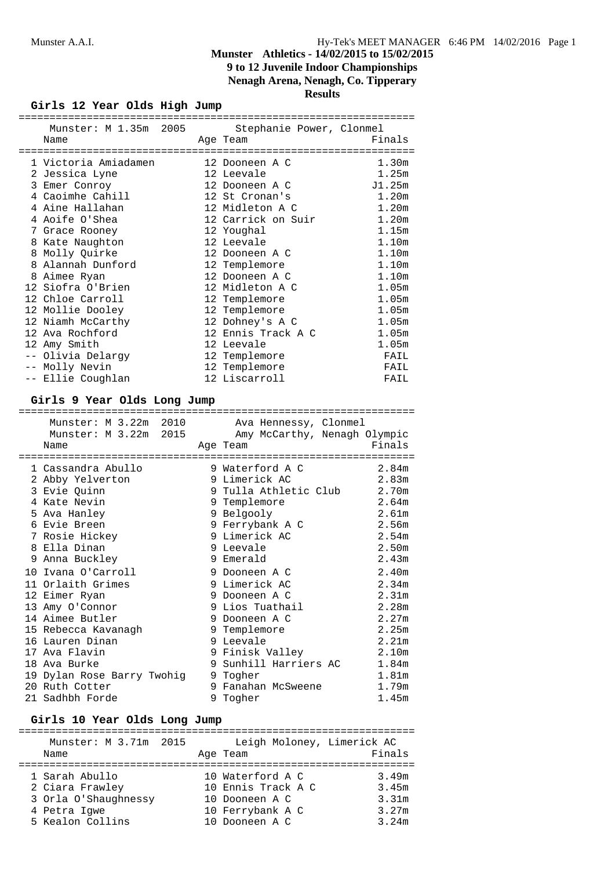**Nenagh Arena, Nenagh, Co. Tipperary**

**Results**

## **Girls 12 Year Olds High Jump**

|                                     | ============== |                          |                   |
|-------------------------------------|----------------|--------------------------|-------------------|
| Munster: M 1.35m 2005               |                | Stephanie Power, Clonmel |                   |
| Name                                |                | Age Team                 | Finals            |
|                                     |                |                          |                   |
| 1 Victoria Amiadamen 12 Dooneen A C |                |                          | 1.30m             |
| 2 Jessica Lyne 12 Leevale           |                |                          | 1.25m             |
| 3 Emer Conroy                       |                | 12 Dooneen A C           | J1.25m            |
| 4 Caoimhe Cahill                    |                | 12 St Cronan's           | 1.20m             |
| 4 Aine Hallahan                     |                | 12 Midleton A C          | 1.20m             |
| 4 Aoife O'Shea                      |                | 12 Carrick on Suir       | 1.20m             |
| 7 Grace Rooney                      |                | 12 Youghal               | 1.15m             |
| 8 Kate Naughton                     |                | 12 Leevale               | 1.10 <sub>m</sub> |
| 8 Molly Quirke                      |                | 12 Dooneen A C           | 1.10m             |
| 8 Alannah Dunford                   |                | 12 Templemore            | 1.10m             |
| 8 Aimee Ryan                        |                | 12 Dooneen A C           | 1.10m             |
| 12 Siofra O'Brien                   |                | 12 Midleton A C          | 1.05m             |
| 12 Chloe Carroll                    |                | 12 Templemore            | 1.05m             |
| 12 Mollie Dooley                    |                | 12 Templemore            | 1.05m             |
| 12 Niamh McCarthy                   |                | 12 Dohney's A C          | 1.05m             |
| 12 Ava Rochford                     |                | 12 Ennis Track A C       | 1.05m             |
| 12 Amy Smith                        |                | 12 Leevale               | 1.05m             |
| -- Olivia Delargy                   |                | 12 Templemore            | FAIL              |
| -- Molly Nevin                      |                | 12 Templemore            | FAIL              |
| -- Ellie Coughlan                   |                | 12 Liscarroll            | FAIL              |
|                                     |                |                          |                   |

## **Girls 9 Year Olds Long Jump**

| =============                                      |                             |          |
|----------------------------------------------------|-----------------------------|----------|
| Munster: M 3.22m 2010 Ava Hennessy, Clonmel        |                             |          |
| Munster: M 3.22m 2015 Amy McCarthy, Nenagh Olympic |                             |          |
| Name                                               | Age Team                    | Finals   |
|                                                    |                             |          |
| 1 Cassandra Abullo                                 | 9 Waterford A C 2.84m       |          |
| 2 Abby Yelverton                                   | 9 Limerick AC               | 2.83m    |
| 3 Evie Quinn                                       | 9 Tulla Athletic Club 2.70m |          |
| 4 Kate Nevin                                       | 9 Templemore                | 2.64m    |
| 5 Ava Hanley                                       | 9 Belgooly                  | 2.61m    |
| 6 Evie Breen                                       | 9 Ferrybank A C 2.56m       |          |
| 7 Rosie Hickey                                     | 9 Limerick AC               | 2.54m    |
| 8 Ella Dinan                                       | 9 Leevale                   | 2.50m    |
| 9 Anna Buckley                                     | 9 Emerald                   | 2.43m    |
| 10 Ivana O'Carroll                                 | 9 Dooneen A C               | 2.40m    |
| 11 Orlaith Grimes                                  | 9 Limerick AC               | 2.34m    |
| 12 Eimer Ryan                                      | 9 Dooneen A C               | 2.31m    |
| 13 Amy O'Connor                                    | 9 Lios Tuathail             | 2.28m    |
| 14 Aimee Butler                                    | 9 Dooneen A C               | 2.27m    |
| 15 Rebecca Kavanagh                                | 9 Templemore                | 2.25m    |
| 16 Lauren Dinan                                    | 9 Leevale                   | $2.21$ m |
| 17 Ava Flavin                                      | 9 Finisk Valley 2.10m       |          |
| 18 Ava Burke                                       | 9 Sunhill Harriers AC 1.84m |          |
| 19 Dylan Rose Barry Twohig                         | 9 Togher                    | $1.81$ m |
| 20 Ruth Cotter                                     | 9 Fanahan McSweene 1.79m    |          |
| 21 Sadhbh Forde                                    | 9 Togher                    | 1.45m    |

## **Girls 10 Year Olds Long Jump**

| Leigh Moloney, Limerick AC<br>Munster: M 3.71m 2015 |                      |  |                    |        |  |
|-----------------------------------------------------|----------------------|--|--------------------|--------|--|
|                                                     | Name                 |  | Age Team           | Finals |  |
|                                                     |                      |  |                    |        |  |
|                                                     | 1 Sarah Abullo       |  | 10 Waterford A C   | 3.49m  |  |
|                                                     | 2 Ciara Frawley      |  | 10 Ennis Track A C | 3.45m  |  |
|                                                     | 3 Orla O'Shaughnessy |  | 10 Dooneen A C     | 3.31m  |  |
|                                                     | 4 Petra Igwe         |  | 10 Ferrybank A C   | 3.27m  |  |
|                                                     | 5 Kealon Collins     |  | 10 Dooneen A C     | 3.24m  |  |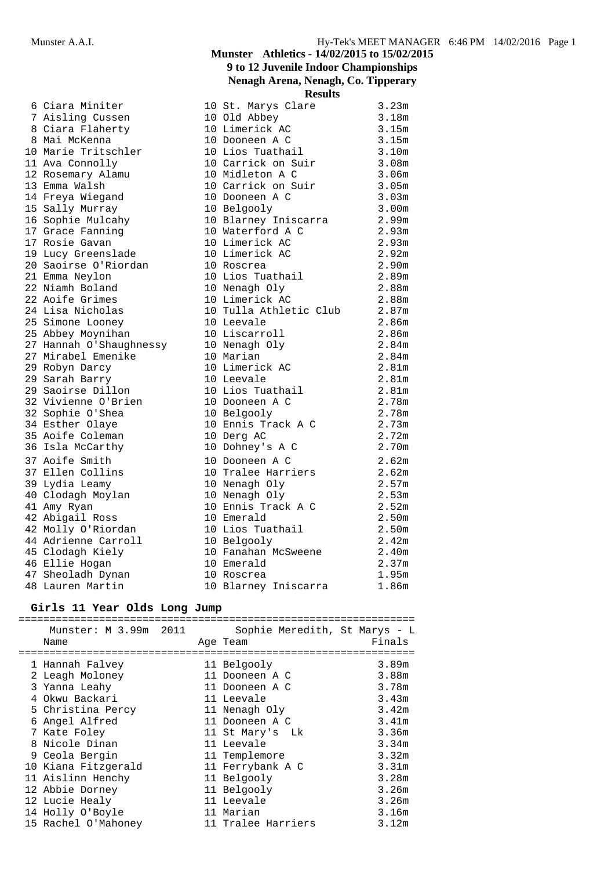|                         | Results                                                 |                   |
|-------------------------|---------------------------------------------------------|-------------------|
| 6 Ciara Miniter         | 10 St. Marys Clare                                      | 3.23m             |
| 7 Aisling Cussen        | 10 Old Abbey                                            | 3.18m             |
| 8 Ciara Flaherty        | 10 Limerick AC                                          | 3.15m             |
| 8 Mai McKenna           | 10 Dooneen A C                                          | 3.15m             |
| 10 Marie Tritschler     | 10 Dooneen A C<br>10 Lios Tuathail                      | 3.10m             |
| 11 Ava Connolly         | 10 Carrick on Suir 3.08m                                |                   |
| 12 Rosemary Alamu       | 10 Midleton A C                                         | 3.06m             |
| 13 Emma Walsh           | 10 Carrick on Suir                                      | 3.05m             |
| 14 Freya Wiegand        | 10 Dooneen A C                                          | 3.03m             |
| 15 Sally Murray         |                                                         | 3.00 <sub>m</sub> |
| 16 Sophie Mulcahy       | 10 Belgooly<br>10 Blarney Iniscarra<br>10 Waterford A C | 2.99m             |
| 17 Grace Fanning        |                                                         | 2.93m             |
| 17 Rosie Gavan          |                                                         | 2.93m             |
| 19 Lucy Greenslade      | 10 Limerick AC                                          | 2.92m             |
| 20 Saoirse O'Riordan    | 10 Roscrea                                              | 2.90m             |
| 21 Emma Neylon          | 10 Lios Tuathail                                        | 2.89m             |
| 22 Niamh Boland         | 10 Nenagh Oly                                           | 2.88m             |
| 22 Aoife Grimes         | 10 Limerick AC                                          | 2.88m             |
| 24 Lisa Nicholas        | 10 Tulla Athletic Club                                  | 2.87m             |
| 25 Simone Looney        | 10 Leevale                                              | 2.86m             |
| 25 Abbey Moynihan       | 10 Liscarroll                                           | 2.86m             |
| 27 Hannah O'Shaughnessy | 10 Nenagh Oly                                           | 2.84m             |
| 27 Mirabel Emenike      | 10 Marian                                               | 2.84 <sub>m</sub> |
| 29 Robyn Darcy          | 10 Limerick AC                                          | 2.81m             |
| 29 Sarah Barry          | 10 Leevale                                              | 2.81m             |
| 29 Saoirse Dillon       | 10 Lios Tuathail                                        | 2.81m             |
| 32 Vivienne O'Brien     | 10 Dooneen A C                                          | 2.78m             |
| 32 Sophie O'Shea        | 10 Belgooly                                             | 2.78m             |
| 34 Esther Olaye         | 10 Ennis Track A C                                      | 2.73m             |
| 35 Aoife Coleman        | 10 Derg AC                                              | 2.72m             |
| 36 Isla McCarthy        | 10 Dohney's A C                                         | 2.70m             |
| 37 Aoife Smith          | 10 Dooneen A C                                          | 2.62m             |
| 37 Ellen Collins        | 10 Tralee Harriers                                      | 2.62m             |
| 39 Lydia Leamy          | 10 Nenagh Oly                                           | 2.57m             |
| 40 Clodagh Moylan       | 10 Nenagh Oly                                           | 2.53m             |
| 41 Amy Ryan             | 10 Ennis Track A C                                      | 2.52m             |
| 42 Abigail Ross         | 10 Emerald                                              | 2.50 <sub>m</sub> |
| 42 Molly O'Riordan      | 10 Lios Tuathail                                        | 2.50 <sub>m</sub> |
| 44 Adrienne Carroll     | 10 Belgooly                                             | 2.42m             |
| 45 Clodagh Kiely        | 10 Fanahan McSweene                                     | 2.40m             |
| 46 Ellie Hogan          | 10 Emerald                                              | 2.37m             |
| 47 Sheoladh Dynan       | 10 Roscrea                                              | 1.95m             |
| 48 Lauren Martin        | 10 Blarney Iniscarra                                    | 1.86m             |

## **Girls 11 Year Olds Long Jump**

|   | Munster: M 3.99m 2011<br>Name | Age Team | Sophie Meredith, St Marys - L | Finals            |
|---|-------------------------------|----------|-------------------------------|-------------------|
|   | 1 Hannah Falvey               |          | 11 Belgooly                   | 3.89m             |
|   | 2 Leagh Moloney               |          | 11 Dooneen A C                | 3.88m             |
|   | 3 Yanna Leahy                 |          | 11 Dooneen A C                | 3.78m             |
| 4 | Okwu Backari                  |          | 11 Leevale                    | 3.43m             |
|   | 5 Christina Percy             |          | 11 Nenagh Oly                 | 3.42m             |
| 6 | Angel Alfred                  |          | 11 Dooneen A C                | 3.41m             |
|   | 7 Kate Foley                  |          | 11 St Mary's Lk               | 3.36m             |
|   | 8 Nicole Dinan                |          | 11 Leevale                    | 3.34m             |
|   | 9 Ceola Bergin                |          | 11 Templemore                 | 3.32m             |
|   | 10 Kiana Fitzgerald           |          | 11 Ferrybank A C              | 3.31 <sub>m</sub> |
|   | 11 Aislinn Henchy             |          | 11 Belgooly                   | 3.28m             |
|   | 12 Abbie Dorney               |          | 11 Belgooly                   | 3.26m             |
|   | 12 Lucie Healy                |          | 11 Leevale                    | 3.26m             |
|   | 14 Holly O'Boyle              |          | 11 Marian                     | 3.16m             |
|   | 15 Rachel O'Mahoney           |          | 11 Tralee Harriers            | 3.12m             |

## **Munster Athletics - 14/02/2015 to 15/02/2015 9 to 12 Juvenile Indoor Championships Nenagh Arena, Nenagh, Co. Tipperary Results**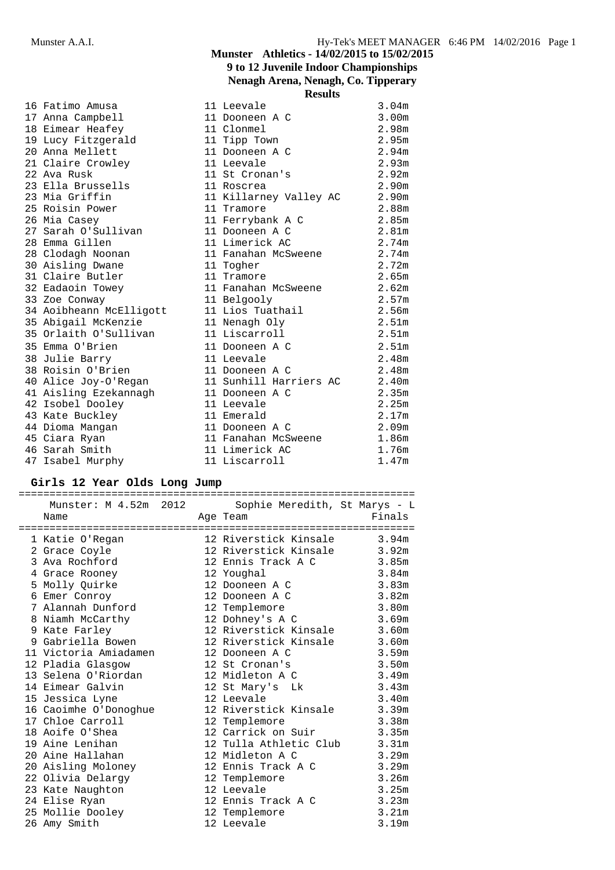## **Munster Athletics - 14/02/2015 to 15/02/2015 9 to 12 Juvenile Indoor Championships Nenagh Arena, Nenagh, Co. Tipperary**

|                                 | <b>Results</b>            |                   |
|---------------------------------|---------------------------|-------------------|
| 16 Fatimo Amusa                 | 11 Leevale                | 3.04m             |
| 17 Anna Campbell                | 11 Dooneen A C            | 3.00m             |
| 18 Eimear Heafey                | 11 Clonmel                | 2.98m             |
| 19 Lucy Fitzgerald 11 Tipp Town |                           | 2.95m             |
| 20 Anna Mellett                 | 11 Dooneen A C            | 2.94m             |
| 21 Claire Crowley               | 11 Leevale                | 2.93m             |
| 22 Ava Rusk                     | 11 St Cronan's            | 2.92 <sub>m</sub> |
| 23 Ella Brussells               | 11 Roscrea                | 2.90 <sub>m</sub> |
| 23 Mia Griffin                  | 11 Killarney Valley AC    | 2.90 <sub>m</sub> |
| 25 Roisin Power                 | 11 Tramore                | 2.88m             |
| 26 Mia Casey                    | 11 Ferrybank A C          | 2.85m             |
| -<br>27 Sarah O'Sullivan        | 11 Dooneen A C            | 2.81 <sub>m</sub> |
| 28 Emma Gillen                  | 11 Limerick AC            | 2.74 <sub>m</sub> |
| 28 Clodagh Noonan               | 11 Fanahan McSweene 2.74m |                   |
| 30 Aisling Dwane                | 11 Togher                 | 2.72m             |
| 31 Claire Butler                | 11 Tramore                | 2.65m             |
| 32 Eadaoin Towey                | 11 Fanahan McSweene 2.62m |                   |
| 33 Zoe Conway                   | 11 Belgooly               | 2.57m             |
| 34 Aoibheann McElligott         | 11 Lios Tuathail          | 2.56m             |
| 35 Abigail McKenzie             | 11 Nenagh Oly             | 2.51m             |
| 35 Orlaith O'Sullivan           | 11 Liscarroll             | 2.51 <sub>m</sub> |
| 35 Emma O'Brien                 | 11 Dooneen A C            | 2.51m             |
| 38 Julie Barry                  | 11 Leevale                | 2.48m             |
| 38 Roisin O'Brien               | 11 Dooneen A C            | 2.48m             |
| 40 Alice Joy-O'Regan            | 11 Sunhill Harriers AC    | 2.40m             |
| 41 Aisling Ezekannagh           | 11 Dooneen A C            | 2.35m             |
| 42 Isobel Dooley                | 11 Leevale                | 2.25m             |
| 43 Kate Buckley                 | 11 Emerald                | 2.17m             |
| 44 Dioma Mangan                 | 11 Dooneen A C            | 2.09m             |
| 45 Ciara Ryan                   | 11 Fanahan McSweene 1.86m |                   |
| 46 Sarah Smith                  | 11 Limerick AC            | 1.76m             |
| 47 Isabel Murphy                | 11 Liscarroll             | 1.47m             |

## **Girls 12 Year Olds Long Jump**

| Name |                                                                                                                                                                                                                                                                 |  | Finals                                                                                                                                                                                                                                                                                                                                                                                                                                                                                                                                                                                                                                                                                                                                                                                                                                                                             |  |  |  |  |
|------|-----------------------------------------------------------------------------------------------------------------------------------------------------------------------------------------------------------------------------------------------------------------|--|------------------------------------------------------------------------------------------------------------------------------------------------------------------------------------------------------------------------------------------------------------------------------------------------------------------------------------------------------------------------------------------------------------------------------------------------------------------------------------------------------------------------------------------------------------------------------------------------------------------------------------------------------------------------------------------------------------------------------------------------------------------------------------------------------------------------------------------------------------------------------------|--|--|--|--|
|      |                                                                                                                                                                                                                                                                 |  |                                                                                                                                                                                                                                                                                                                                                                                                                                                                                                                                                                                                                                                                                                                                                                                                                                                                                    |  |  |  |  |
|      |                                                                                                                                                                                                                                                                 |  |                                                                                                                                                                                                                                                                                                                                                                                                                                                                                                                                                                                                                                                                                                                                                                                                                                                                                    |  |  |  |  |
|      |                                                                                                                                                                                                                                                                 |  |                                                                                                                                                                                                                                                                                                                                                                                                                                                                                                                                                                                                                                                                                                                                                                                                                                                                                    |  |  |  |  |
|      |                                                                                                                                                                                                                                                                 |  |                                                                                                                                                                                                                                                                                                                                                                                                                                                                                                                                                                                                                                                                                                                                                                                                                                                                                    |  |  |  |  |
|      |                                                                                                                                                                                                                                                                 |  | 3.84m                                                                                                                                                                                                                                                                                                                                                                                                                                                                                                                                                                                                                                                                                                                                                                                                                                                                              |  |  |  |  |
|      |                                                                                                                                                                                                                                                                 |  | 3.83m                                                                                                                                                                                                                                                                                                                                                                                                                                                                                                                                                                                                                                                                                                                                                                                                                                                                              |  |  |  |  |
|      |                                                                                                                                                                                                                                                                 |  |                                                                                                                                                                                                                                                                                                                                                                                                                                                                                                                                                                                                                                                                                                                                                                                                                                                                                    |  |  |  |  |
|      |                                                                                                                                                                                                                                                                 |  | 3.80m                                                                                                                                                                                                                                                                                                                                                                                                                                                                                                                                                                                                                                                                                                                                                                                                                                                                              |  |  |  |  |
|      |                                                                                                                                                                                                                                                                 |  |                                                                                                                                                                                                                                                                                                                                                                                                                                                                                                                                                                                                                                                                                                                                                                                                                                                                                    |  |  |  |  |
|      |                                                                                                                                                                                                                                                                 |  |                                                                                                                                                                                                                                                                                                                                                                                                                                                                                                                                                                                                                                                                                                                                                                                                                                                                                    |  |  |  |  |
|      |                                                                                                                                                                                                                                                                 |  |                                                                                                                                                                                                                                                                                                                                                                                                                                                                                                                                                                                                                                                                                                                                                                                                                                                                                    |  |  |  |  |
|      |                                                                                                                                                                                                                                                                 |  | 3.59m                                                                                                                                                                                                                                                                                                                                                                                                                                                                                                                                                                                                                                                                                                                                                                                                                                                                              |  |  |  |  |
|      |                                                                                                                                                                                                                                                                 |  | 3.50m                                                                                                                                                                                                                                                                                                                                                                                                                                                                                                                                                                                                                                                                                                                                                                                                                                                                              |  |  |  |  |
|      |                                                                                                                                                                                                                                                                 |  | 3.49m                                                                                                                                                                                                                                                                                                                                                                                                                                                                                                                                                                                                                                                                                                                                                                                                                                                                              |  |  |  |  |
|      |                                                                                                                                                                                                                                                                 |  |                                                                                                                                                                                                                                                                                                                                                                                                                                                                                                                                                                                                                                                                                                                                                                                                                                                                                    |  |  |  |  |
|      |                                                                                                                                                                                                                                                                 |  |                                                                                                                                                                                                                                                                                                                                                                                                                                                                                                                                                                                                                                                                                                                                                                                                                                                                                    |  |  |  |  |
|      |                                                                                                                                                                                                                                                                 |  |                                                                                                                                                                                                                                                                                                                                                                                                                                                                                                                                                                                                                                                                                                                                                                                                                                                                                    |  |  |  |  |
|      |                                                                                                                                                                                                                                                                 |  |                                                                                                                                                                                                                                                                                                                                                                                                                                                                                                                                                                                                                                                                                                                                                                                                                                                                                    |  |  |  |  |
|      |                                                                                                                                                                                                                                                                 |  |                                                                                                                                                                                                                                                                                                                                                                                                                                                                                                                                                                                                                                                                                                                                                                                                                                                                                    |  |  |  |  |
|      |                                                                                                                                                                                                                                                                 |  |                                                                                                                                                                                                                                                                                                                                                                                                                                                                                                                                                                                                                                                                                                                                                                                                                                                                                    |  |  |  |  |
|      |                                                                                                                                                                                                                                                                 |  | 3.29m                                                                                                                                                                                                                                                                                                                                                                                                                                                                                                                                                                                                                                                                                                                                                                                                                                                                              |  |  |  |  |
|      |                                                                                                                                                                                                                                                                 |  |                                                                                                                                                                                                                                                                                                                                                                                                                                                                                                                                                                                                                                                                                                                                                                                                                                                                                    |  |  |  |  |
|      |                                                                                                                                                                                                                                                                 |  | 3.26m                                                                                                                                                                                                                                                                                                                                                                                                                                                                                                                                                                                                                                                                                                                                                                                                                                                                              |  |  |  |  |
|      |                                                                                                                                                                                                                                                                 |  | 3.25m                                                                                                                                                                                                                                                                                                                                                                                                                                                                                                                                                                                                                                                                                                                                                                                                                                                                              |  |  |  |  |
|      |                                                                                                                                                                                                                                                                 |  |                                                                                                                                                                                                                                                                                                                                                                                                                                                                                                                                                                                                                                                                                                                                                                                                                                                                                    |  |  |  |  |
|      |                                                                                                                                                                                                                                                                 |  | 3.21m                                                                                                                                                                                                                                                                                                                                                                                                                                                                                                                                                                                                                                                                                                                                                                                                                                                                              |  |  |  |  |
|      |                                                                                                                                                                                                                                                                 |  | 3.19m                                                                                                                                                                                                                                                                                                                                                                                                                                                                                                                                                                                                                                                                                                                                                                                                                                                                              |  |  |  |  |
|      | 2 Grace Coyle<br>3 Ava Rochford<br>4 Grace Rooney<br>5 Molly Quirke<br>6 Emer Conroy<br>9 Kate Farley<br>12 Pladia Glasgow<br>14 Eimear Galvin<br>19 Aine Lenihan<br>20 Aine Hallahan<br>22 Olivia Delargy<br>23 Kate Naughton<br>24 Elise Ryan<br>26 Amy Smith |  | Munster: M 4.52m 2012 Sophie Meredith, St Marys - L<br>Age Team<br>1 Katie O'Regan 12 Riverstick Kinsale 3.94m<br>12 Riverstick Kinsale 3.92m<br>12 Ennis Track A C 3.85m<br>12 Youghal<br>12 Dooneen A C<br>12 Dooneen A C 3.82m<br>7 Alannah Dunford 12 Templemore<br>8 Niamh McCarthy 12 Dohney's A C 3.69m<br>12 Riverstick Kinsale 3.60m<br>9 Gabriella Bowen 12 Riverstick Kinsale 3.60m<br>11 Victoria Amiadamen 12 Dooneen A C<br>12 St Cronan's<br>13 Selena O'Riordan 12 Midleton A C<br>12 St Mary's Lk 3.43m<br>3.43m<br>16 Caoimhe O'Donoghue 12 Riverstick Kinsale 3.39m<br>17 Chloe Carroll 12 Templemore 3.39m<br>18 Aoife O'Shea 12 Templemore 3.38m<br>12 Tulla Athletic Club 3.31m<br>12 Midleton A C<br>20 Aisling Moloney 12 Ennis Track A C 3.29m<br>12 Templemore<br>12 Leevale<br>12 Ennis Track A C 3.23m<br>25 Mollie Dooley 12 Templemore<br>12 Leevale |  |  |  |  |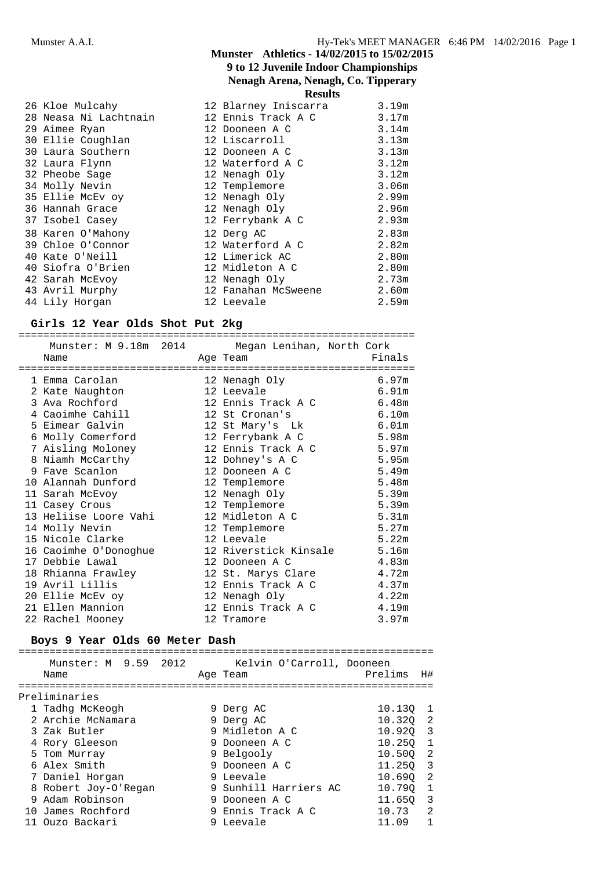## **Munster Athletics - 14/02/2015 to 15/02/2015 9 to 12 Juvenile Indoor Championships Nenagh Arena, Nenagh, Co. Tipperary Results**

|                                                    | results              |       |
|----------------------------------------------------|----------------------|-------|
| 26 Kloe Mulcahy                                    | 12 Blarney Iniscarra | 3.19m |
| 28 Neasa Ni Lachtnain           12 Ennis Track A C |                      | 3.17m |
| 29 Aimee Ryan                                      | 12 Dooneen A C       | 3.14m |
| 30 Ellie Coughlan                                  | 12 Liscarroll        | 3.13m |
| 30 Laura Southern                                  | 12 Dooneen A C       | 3.13m |
| 32 Laura Flynn                                     | 12 Waterford A C     | 3.12m |
| 32 Pheobe Sage                                     | 12 Nenagh Oly        | 3.12m |
| 34 Molly Nevin                                     | 12 Templemore        | 3.06m |
| 35 Ellie McEv oy                                   | 12 Nenagh Oly        | 2.99m |
| 36 Hannah Grace                                    | 12 Nenagh Oly        | 2.96m |
| 37 Isobel Casey                                    | 12 Ferrybank A C     | 2.93m |
| 38 Karen O'Mahony                                  | 12 Derg AC           | 2.83m |
| 39 Chloe O'Connor                                  | 12 Waterford A C     | 2.82m |
| 40 Kate O'Neill                                    | 12 Limerick AC       | 2.80m |
| 40 Siofra O'Brien                                  | 12 Midleton A C      | 2.80m |
| 42 Sarah McEvoy                                    | 12 Nenagh Oly        | 2.73m |
| 43 Avril Murphy                                    | 12 Fanahan McSweene  | 2.60m |
| 44 Lily Horgan                                     | 12 Leevale           | 2.59m |
|                                                    |                      |       |

#### **Girls 12 Year Olds Shot Put 2kg**

| Munster: M 9.18m 2014 Megan Lenihan, North Cork                                           |                          |       |
|-------------------------------------------------------------------------------------------|--------------------------|-------|
| Name                                                                                      | Age Team <b>Finals</b>   |       |
|                                                                                           |                          |       |
| 1 Emma Carolan                                                                            | 12 Nenagh Oly            | 6.97m |
| 2 Kate Naughton                                                                           | 12 Leevale               | 6.91m |
| 3 Ava Rochford 12 Ennis Track A C 6.48m                                                   |                          |       |
| 4 Caoimhe Cahill 12 St Cronan's                                                           |                          | 6.10m |
| 5 Eimear Galvin                       12 St Mary's Lk                 6.01m               |                          |       |
| 6 Molly Comerford 12 Ferrybank A C 5.98m                                                  |                          |       |
| 7 Aisling Moloney 12 Ennis Track A C 5.97m                                                |                          |       |
| 8 Niamh McCarthy 12 Dohney's A C                                                          |                          | 5.95m |
| 9 Fave Scanlon                                                                            | 12 Dooneen A C           | 5.49m |
| 10 Alannah Dunford 12 Templemore                                                          |                          | 5.48m |
| 11 Sarah McEvoy                                                                           | 12 Nenagh Oly            | 5.39m |
| 11 Casey Crous                                                                            | 12 Templemore            | 5.39m |
| 13 Heliise Loore Vahi         12 Midleton A C                                             |                          | 5.31m |
|                                                                                           |                          | 5.27m |
| 15 Nicole Clarke 12 Leevale                                                               |                          | 5.22m |
| 16 Caoimhe O'Donoghue 12 Riverstick Kinsale 5.16m<br>17 Debbie Lawal 12 Dooneen A C 4.83m |                          |       |
|                                                                                           |                          |       |
| 18 Rhianna Frawley 12 St. Marys Clare 4.72m                                               |                          |       |
| 19 Avril Lillis                                                                           | 12 Ennis Track A C 4.37m |       |
| 20 Ellie McEv oy 12 Nenagh Oly                                                            |                          | 4.22m |
| 21 Ellen Mannion 12 Ennis Track A C 4.19m                                                 |                          |       |
| 22 Rachel Mooney                                                                          | 12 Tramore               | 3.97m |

#### **Boys 9 Year Olds 60 Meter Dash**

|               | Munster: M 9.59 2012<br>Name |  | Kelvin O'Carroll, Dooneen<br>Age Team | Prelims H# |     |  |  |  |
|---------------|------------------------------|--|---------------------------------------|------------|-----|--|--|--|
| Preliminaries |                              |  |                                       |            |     |  |  |  |
|               | 1 Tadhq McKeogh              |  | 9 Derg AC                             | 10.130 1   |     |  |  |  |
|               | 2 Archie McNamara            |  | 9 Derg AC                             | 10.320 2   |     |  |  |  |
|               | 3 Zak Butler                 |  | 9 Midleton A C                        | 10.920 3   |     |  |  |  |
|               | 4 Rory Gleeson               |  | 9 Dooneen A C                         | 10.250     |     |  |  |  |
|               | 5 Tom Murray                 |  | 9 Belgooly                            | 10.500     | - 2 |  |  |  |
|               | 6 Alex Smith                 |  | 9 Dooneen A C                         | 11.250     | - 3 |  |  |  |
|               | 7 Daniel Horgan              |  | 9 Leevale                             | 10.690     | - 2 |  |  |  |
|               | 8 Robert Joy-O'Regan         |  | 9 Sunhill Harriers AC                 | 10.790     |     |  |  |  |

11 Ouzo Backari 9 Leevale 11.09 1

9 Adam Robinson 9 Dooneen A C 11.65Q 3 10 James Rochford 9 Ennis Track A C 10.73 2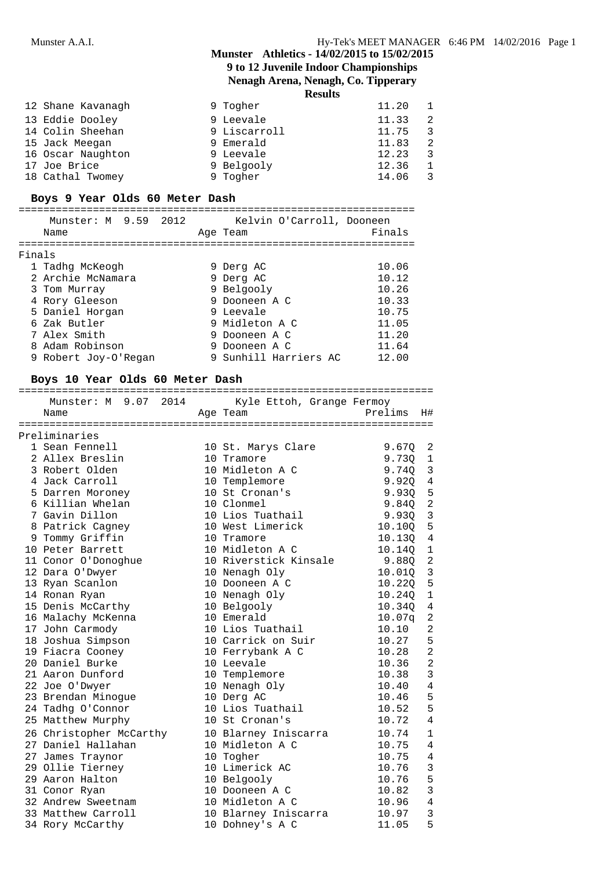## **9 to 12 Juvenile Indoor Championships**

**Nenagh Arena, Nenagh, Co. Tipperary**

**Results**

| 12 Shane Kavanagh | 9 Togher     | 11.20 |  |
|-------------------|--------------|-------|--|
| 13 Eddie Dooley   | 9 Leevale    | 11.33 |  |
| 14 Colin Sheehan  | 9 Liscarroll | 11.75 |  |
| 15 Jack Meegan    | 9 Emerald    | 11.83 |  |
| 16 Oscar Naughton | 9 Leevale    | 12.23 |  |
| 17 Joe Brice      | 9 Belgooly   | 12.36 |  |
| 18 Cathal Twomey  | 9 Togher     | 14.06 |  |

## **Boys 9 Year Olds 60 Meter Dash**

|        | Munster: M 9.59 2012 | Kelvin O'Carroll, Dooneen |        |  |
|--------|----------------------|---------------------------|--------|--|
|        | Name                 | Age Team                  | Finals |  |
| Finals |                      |                           |        |  |
|        | 1 Tadhq McKeogh      | 9 Derg AC                 | 10.06  |  |
|        | 2 Archie McNamara    | 9 Derg AC                 | 10.12  |  |
|        | 3 Tom Murray         | 9 Belgooly                | 10.26  |  |
|        | 4 Rory Gleeson       | 9 Dooneen A C             | 10.33  |  |
|        | 5 Daniel Horgan      | 9 Leevale                 | 10.75  |  |
|        | 6 Zak Butler         | 9 Midleton A C            | 11.05  |  |
|        | 7 Alex Smith         | 9 Dooneen A C             | 11.20  |  |
|        | 8 Adam Robinson      | 9 Dooneen A C             | 11.64  |  |
|        | 9 Robert Joy-O'Regan | 9 Sunhill Harriers AC     | 12.00  |  |

## **Boys 10 Year Olds 60 Meter Dash**

| Munster: M 9.07 2014 Kyle Ettoh, Grange Fermoy<br>Prelims<br>Age Team<br>Name<br>1 Sean Fennell<br>10 St. Marys Clare 9.67Q<br>2 Allex Breslin<br>10 Tramore<br>9.730<br>10 Midleton A C<br>3 Robert Olden<br>9.74Q<br>4 Jack Carroll<br>10 Templemore<br>9.92Q<br>5 Darren Moroney<br>10 St Cronan's<br>9.930<br>6 Killian Whelan<br>10 Clonmel<br>9.84Q<br>10 Lios Tuathail<br>9.93Q<br>7 Gavin Dillon<br>10 West Limerick<br>8 Patrick Cagney<br>10.10Q<br>9 Tommy Griffin<br>10 Tramore<br>10.13Q<br>10 Peter Barrett<br>10 Midleton A C<br>10.140<br>11 Conor O'Donoghue<br>10 Riverstick Kinsale<br>9.880<br>12 Dara O'Dwyer<br>10 Nenagh Oly<br>10.01Q<br>13 Ryan Scanlon<br>10 Dooneen A C<br>10.220<br>14 Ronan Ryan<br>10 Nenagh Oly<br>10.240<br>15 Denis McCarthy<br>10 Belgooly<br>10.340<br>10 Emerald<br>16 Malachy McKenna<br>10.07q<br>10 Lios Tuathail<br>17 John Carmody<br>10.10<br>18 Joshua Simpson<br>10 Carrick on Suir<br>10.27<br>10 Ferrybank A C<br>10 Leevale<br>19 Fiacra Cooney<br>10.28<br>20 Daniel Burke<br>10 Leevale<br>10.36<br>21 Aaron Dunford<br>10 Templemore<br>10.38<br>10 Nenagh Oly<br>22 Joe O'Dwyer<br>10.40<br>23 Brendan Minogue<br>10 Derg AC<br>10.46<br>10 Lios Tuathail<br>24 Tadhg O'Connor<br>10.52<br>10.72<br>25 Matthew Murphy<br>10 St Cronan's<br>26 Christopher McCarthy<br>10 Blarney Iniscarra<br>10.74<br>27 Daniel Hallahan<br>10 Midleton A C<br>10.75<br>27 James Traynor<br>10 Togher<br>10.75<br>29 Ollie Tierney<br>10 Limerick AC<br>10.76<br>29 Aaron Halton<br>10 Belgooly<br>10.76<br>10 Dooneen A C<br>31 Conor Ryan<br>10.82<br>32 Andrew Sweetnam<br>10 Midleton A C<br>10.96<br>33 Matthew Carroll<br>10.97<br>10 Blarney Iniscarra |  |  |       |                |
|-------------------------------------------------------------------------------------------------------------------------------------------------------------------------------------------------------------------------------------------------------------------------------------------------------------------------------------------------------------------------------------------------------------------------------------------------------------------------------------------------------------------------------------------------------------------------------------------------------------------------------------------------------------------------------------------------------------------------------------------------------------------------------------------------------------------------------------------------------------------------------------------------------------------------------------------------------------------------------------------------------------------------------------------------------------------------------------------------------------------------------------------------------------------------------------------------------------------------------------------------------------------------------------------------------------------------------------------------------------------------------------------------------------------------------------------------------------------------------------------------------------------------------------------------------------------------------------------------------------------------------------------------------------------------------------------------------------------|--|--|-------|----------------|
| Preliminaries                                                                                                                                                                                                                                                                                                                                                                                                                                                                                                                                                                                                                                                                                                                                                                                                                                                                                                                                                                                                                                                                                                                                                                                                                                                                                                                                                                                                                                                                                                                                                                                                                                                                                                     |  |  |       |                |
|                                                                                                                                                                                                                                                                                                                                                                                                                                                                                                                                                                                                                                                                                                                                                                                                                                                                                                                                                                                                                                                                                                                                                                                                                                                                                                                                                                                                                                                                                                                                                                                                                                                                                                                   |  |  |       | H#             |
|                                                                                                                                                                                                                                                                                                                                                                                                                                                                                                                                                                                                                                                                                                                                                                                                                                                                                                                                                                                                                                                                                                                                                                                                                                                                                                                                                                                                                                                                                                                                                                                                                                                                                                                   |  |  |       |                |
|                                                                                                                                                                                                                                                                                                                                                                                                                                                                                                                                                                                                                                                                                                                                                                                                                                                                                                                                                                                                                                                                                                                                                                                                                                                                                                                                                                                                                                                                                                                                                                                                                                                                                                                   |  |  |       |                |
|                                                                                                                                                                                                                                                                                                                                                                                                                                                                                                                                                                                                                                                                                                                                                                                                                                                                                                                                                                                                                                                                                                                                                                                                                                                                                                                                                                                                                                                                                                                                                                                                                                                                                                                   |  |  |       | 2              |
|                                                                                                                                                                                                                                                                                                                                                                                                                                                                                                                                                                                                                                                                                                                                                                                                                                                                                                                                                                                                                                                                                                                                                                                                                                                                                                                                                                                                                                                                                                                                                                                                                                                                                                                   |  |  |       | $\mathbf{1}$   |
|                                                                                                                                                                                                                                                                                                                                                                                                                                                                                                                                                                                                                                                                                                                                                                                                                                                                                                                                                                                                                                                                                                                                                                                                                                                                                                                                                                                                                                                                                                                                                                                                                                                                                                                   |  |  |       | 3              |
|                                                                                                                                                                                                                                                                                                                                                                                                                                                                                                                                                                                                                                                                                                                                                                                                                                                                                                                                                                                                                                                                                                                                                                                                                                                                                                                                                                                                                                                                                                                                                                                                                                                                                                                   |  |  |       | $\overline{4}$ |
|                                                                                                                                                                                                                                                                                                                                                                                                                                                                                                                                                                                                                                                                                                                                                                                                                                                                                                                                                                                                                                                                                                                                                                                                                                                                                                                                                                                                                                                                                                                                                                                                                                                                                                                   |  |  |       | 5              |
|                                                                                                                                                                                                                                                                                                                                                                                                                                                                                                                                                                                                                                                                                                                                                                                                                                                                                                                                                                                                                                                                                                                                                                                                                                                                                                                                                                                                                                                                                                                                                                                                                                                                                                                   |  |  |       | $\overline{a}$ |
|                                                                                                                                                                                                                                                                                                                                                                                                                                                                                                                                                                                                                                                                                                                                                                                                                                                                                                                                                                                                                                                                                                                                                                                                                                                                                                                                                                                                                                                                                                                                                                                                                                                                                                                   |  |  |       | $\overline{3}$ |
|                                                                                                                                                                                                                                                                                                                                                                                                                                                                                                                                                                                                                                                                                                                                                                                                                                                                                                                                                                                                                                                                                                                                                                                                                                                                                                                                                                                                                                                                                                                                                                                                                                                                                                                   |  |  |       | 5              |
|                                                                                                                                                                                                                                                                                                                                                                                                                                                                                                                                                                                                                                                                                                                                                                                                                                                                                                                                                                                                                                                                                                                                                                                                                                                                                                                                                                                                                                                                                                                                                                                                                                                                                                                   |  |  |       | 4              |
|                                                                                                                                                                                                                                                                                                                                                                                                                                                                                                                                                                                                                                                                                                                                                                                                                                                                                                                                                                                                                                                                                                                                                                                                                                                                                                                                                                                                                                                                                                                                                                                                                                                                                                                   |  |  |       | $\overline{1}$ |
|                                                                                                                                                                                                                                                                                                                                                                                                                                                                                                                                                                                                                                                                                                                                                                                                                                                                                                                                                                                                                                                                                                                                                                                                                                                                                                                                                                                                                                                                                                                                                                                                                                                                                                                   |  |  |       | 2              |
|                                                                                                                                                                                                                                                                                                                                                                                                                                                                                                                                                                                                                                                                                                                                                                                                                                                                                                                                                                                                                                                                                                                                                                                                                                                                                                                                                                                                                                                                                                                                                                                                                                                                                                                   |  |  |       | 3              |
|                                                                                                                                                                                                                                                                                                                                                                                                                                                                                                                                                                                                                                                                                                                                                                                                                                                                                                                                                                                                                                                                                                                                                                                                                                                                                                                                                                                                                                                                                                                                                                                                                                                                                                                   |  |  |       | 5              |
|                                                                                                                                                                                                                                                                                                                                                                                                                                                                                                                                                                                                                                                                                                                                                                                                                                                                                                                                                                                                                                                                                                                                                                                                                                                                                                                                                                                                                                                                                                                                                                                                                                                                                                                   |  |  |       | $\mathbf 1$    |
|                                                                                                                                                                                                                                                                                                                                                                                                                                                                                                                                                                                                                                                                                                                                                                                                                                                                                                                                                                                                                                                                                                                                                                                                                                                                                                                                                                                                                                                                                                                                                                                                                                                                                                                   |  |  |       | 4              |
|                                                                                                                                                                                                                                                                                                                                                                                                                                                                                                                                                                                                                                                                                                                                                                                                                                                                                                                                                                                                                                                                                                                                                                                                                                                                                                                                                                                                                                                                                                                                                                                                                                                                                                                   |  |  |       | $\overline{2}$ |
|                                                                                                                                                                                                                                                                                                                                                                                                                                                                                                                                                                                                                                                                                                                                                                                                                                                                                                                                                                                                                                                                                                                                                                                                                                                                                                                                                                                                                                                                                                                                                                                                                                                                                                                   |  |  |       | 2              |
|                                                                                                                                                                                                                                                                                                                                                                                                                                                                                                                                                                                                                                                                                                                                                                                                                                                                                                                                                                                                                                                                                                                                                                                                                                                                                                                                                                                                                                                                                                                                                                                                                                                                                                                   |  |  |       | 5              |
|                                                                                                                                                                                                                                                                                                                                                                                                                                                                                                                                                                                                                                                                                                                                                                                                                                                                                                                                                                                                                                                                                                                                                                                                                                                                                                                                                                                                                                                                                                                                                                                                                                                                                                                   |  |  |       | $\overline{2}$ |
|                                                                                                                                                                                                                                                                                                                                                                                                                                                                                                                                                                                                                                                                                                                                                                                                                                                                                                                                                                                                                                                                                                                                                                                                                                                                                                                                                                                                                                                                                                                                                                                                                                                                                                                   |  |  |       | $\overline{2}$ |
|                                                                                                                                                                                                                                                                                                                                                                                                                                                                                                                                                                                                                                                                                                                                                                                                                                                                                                                                                                                                                                                                                                                                                                                                                                                                                                                                                                                                                                                                                                                                                                                                                                                                                                                   |  |  |       | 3              |
|                                                                                                                                                                                                                                                                                                                                                                                                                                                                                                                                                                                                                                                                                                                                                                                                                                                                                                                                                                                                                                                                                                                                                                                                                                                                                                                                                                                                                                                                                                                                                                                                                                                                                                                   |  |  |       | 4              |
|                                                                                                                                                                                                                                                                                                                                                                                                                                                                                                                                                                                                                                                                                                                                                                                                                                                                                                                                                                                                                                                                                                                                                                                                                                                                                                                                                                                                                                                                                                                                                                                                                                                                                                                   |  |  |       | 5              |
|                                                                                                                                                                                                                                                                                                                                                                                                                                                                                                                                                                                                                                                                                                                                                                                                                                                                                                                                                                                                                                                                                                                                                                                                                                                                                                                                                                                                                                                                                                                                                                                                                                                                                                                   |  |  |       | 5              |
|                                                                                                                                                                                                                                                                                                                                                                                                                                                                                                                                                                                                                                                                                                                                                                                                                                                                                                                                                                                                                                                                                                                                                                                                                                                                                                                                                                                                                                                                                                                                                                                                                                                                                                                   |  |  |       | $\overline{4}$ |
|                                                                                                                                                                                                                                                                                                                                                                                                                                                                                                                                                                                                                                                                                                                                                                                                                                                                                                                                                                                                                                                                                                                                                                                                                                                                                                                                                                                                                                                                                                                                                                                                                                                                                                                   |  |  |       | $\mathbf{1}$   |
|                                                                                                                                                                                                                                                                                                                                                                                                                                                                                                                                                                                                                                                                                                                                                                                                                                                                                                                                                                                                                                                                                                                                                                                                                                                                                                                                                                                                                                                                                                                                                                                                                                                                                                                   |  |  |       | 4              |
|                                                                                                                                                                                                                                                                                                                                                                                                                                                                                                                                                                                                                                                                                                                                                                                                                                                                                                                                                                                                                                                                                                                                                                                                                                                                                                                                                                                                                                                                                                                                                                                                                                                                                                                   |  |  |       | 4              |
|                                                                                                                                                                                                                                                                                                                                                                                                                                                                                                                                                                                                                                                                                                                                                                                                                                                                                                                                                                                                                                                                                                                                                                                                                                                                                                                                                                                                                                                                                                                                                                                                                                                                                                                   |  |  |       | 3              |
|                                                                                                                                                                                                                                                                                                                                                                                                                                                                                                                                                                                                                                                                                                                                                                                                                                                                                                                                                                                                                                                                                                                                                                                                                                                                                                                                                                                                                                                                                                                                                                                                                                                                                                                   |  |  |       | 5              |
|                                                                                                                                                                                                                                                                                                                                                                                                                                                                                                                                                                                                                                                                                                                                                                                                                                                                                                                                                                                                                                                                                                                                                                                                                                                                                                                                                                                                                                                                                                                                                                                                                                                                                                                   |  |  |       | $\mathbf{3}$   |
|                                                                                                                                                                                                                                                                                                                                                                                                                                                                                                                                                                                                                                                                                                                                                                                                                                                                                                                                                                                                                                                                                                                                                                                                                                                                                                                                                                                                                                                                                                                                                                                                                                                                                                                   |  |  |       | $\overline{4}$ |
|                                                                                                                                                                                                                                                                                                                                                                                                                                                                                                                                                                                                                                                                                                                                                                                                                                                                                                                                                                                                                                                                                                                                                                                                                                                                                                                                                                                                                                                                                                                                                                                                                                                                                                                   |  |  |       | 3              |
| 34 Rory McCarthy<br>10 Dohney's A C                                                                                                                                                                                                                                                                                                                                                                                                                                                                                                                                                                                                                                                                                                                                                                                                                                                                                                                                                                                                                                                                                                                                                                                                                                                                                                                                                                                                                                                                                                                                                                                                                                                                               |  |  | 11.05 | 5              |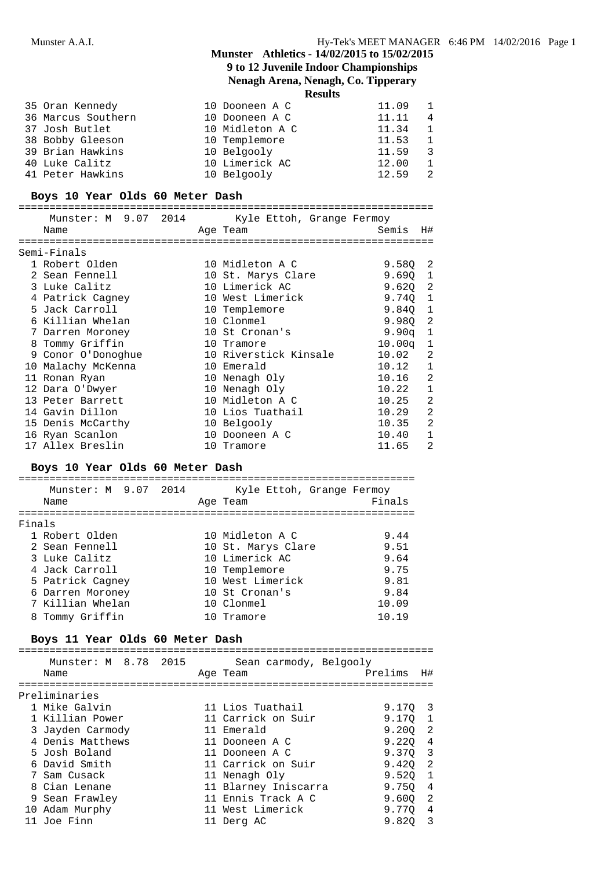## **9 to 12 Juvenile Indoor Championships**

## **Nenagh Arena, Nenagh, Co. Tipperary**

**Results**

| 35 Oran Kennedy    | 10 Dooneen A C  | $11.09$ 1 |                         |
|--------------------|-----------------|-----------|-------------------------|
| 36 Marcus Southern | 10 Dooneen A C  | 11.11     | $\overline{4}$          |
| 37 Josh Butlet     | 10 Midleton A C | 11.34     | $\mathbf{1}$            |
| 38 Bobby Gleeson   | 10 Templemore   | 11.53     |                         |
| 39 Brian Hawkins   | 10 Belgooly     | 11.59     | $\overline{\mathbf{3}}$ |
| 40 Luke Calitz     | 10 Limerick AC  | 12.00     |                         |
| 41 Peter Hawkins   | 10 Belgooly     | 12.59     |                         |
|                    |                 |           |                         |

### **Boys 10 Year Olds 60 Meter Dash**

|   | Munster: M 9.07 2014 | Kyle Ettoh, Grange Fermoy |                    |                |
|---|----------------------|---------------------------|--------------------|----------------|
|   | Name                 | Age Team                  | Semis              | Η#             |
|   |                      |                           |                    |                |
|   | Semi-Finals          |                           |                    |                |
|   | 1 Robert Olden       | 10 Midleton A C           | 9.580 2            |                |
|   | 2 Sean Fennell       | 10 St. Marys Clare        | 9.690              | $\overline{1}$ |
|   | 3 Luke Calitz        | 10 Limerick AC            | 9.620 2            |                |
|   | 4 Patrick Cagney     | 10 West Limerick          | 9.740              | $\overline{1}$ |
|   | 5 Jack Carroll       | 10 Templemore             | 9.840              | $\overline{1}$ |
|   | 6 Killian Whelan     | 10 Clonmel                | 9.980              | -2             |
|   | 7 Darren Moroney     | 10 St Cronan's            | 9.90q              | 1              |
| 8 | Tommy Griffin        | 10 Tramore                | 10.00 <sub>q</sub> | 1              |
|   | 9 Conor O'Donoghue   | 10 Riverstick Kinsale     | 10.02              | 2              |
|   | 10 Malachy McKenna   | 10 Emerald                | 10.12              | $\mathbf{1}$   |
|   | 11 Ronan Ryan        | 10 Nenagh Oly             | 10.16              | $\mathfrak{D}$ |
|   | 12 Dara O'Dwyer      | 10 Nenagh Oly             | 10.22              | $\mathbf{1}$   |
|   | 13 Peter Barrett     | 10 Midleton A C           | 10.25              | $\overline{2}$ |
|   | 14 Gavin Dillon      | 10 Lios Tuathail          | 10.29              | $\mathfrak{D}$ |
|   | 15 Denis McCarthy    | 10 Belgooly               | 10.35              | 2              |
|   | 16 Ryan Scanlon      | 10 Dooneen A C            | 10.40              | 1              |
|   | 17 Allex Breslin     | 10 Tramore                | 11.65              | $\overline{2}$ |

### **Boys 10 Year Olds 60 Meter Dash**

|        | Munster: M 9.07 2014<br>Name | Kyle Ettoh, Grange Fermoy<br>Age Team | Finals |
|--------|------------------------------|---------------------------------------|--------|
| Finals |                              |                                       |        |
|        | 1 Robert Olden               | 10 Midleton A C                       | 9.44   |
|        | 2 Sean Fennell               | 10 St. Marys Clare                    | 9.51   |
|        | 3 Luke Calitz                | 10 Limerick AC                        | 9.64   |
|        | 4 Jack Carroll               | 10 Templemore                         | 9.75   |
|        | 5 Patrick Cagney             | 10 West Limerick                      | 9.81   |
|        | 6 Darren Moroney             | 10 St Cronan's                        | 9.84   |
|        | 7 Killian Whelan             | 10 Clonmel                            | 10.09  |
|        | 8 Tommy Griffin              | 10 Tramore                            | 10.19  |
|        |                              |                                       |        |

### **Boys 11 Year Olds 60 Meter Dash**

===================================================================

|    | Munster: M 8.78 2015 |          | Sean carmody, Belgooly |                 |                          |
|----|----------------------|----------|------------------------|-----------------|--------------------------|
|    | Name                 | Age Team |                        | Prelims H#      |                          |
|    |                      |          |                        |                 |                          |
|    | Preliminaries        |          |                        |                 |                          |
|    | 1 Mike Galvin        |          | 11 Lios Tuathail       | 9.170.3         |                          |
|    | 1 Killian Power      |          | 11 Carrick on Suir     | 9.170           | $\overline{\phantom{0}}$ |
|    | 3 Jayden Carmody     |          | 11 Emerald             | $9.200 \quad 2$ |                          |
|    | 4 Denis Matthews     |          | 11 Dooneen A C         | 9.220 4         |                          |
|    | 5 Josh Boland        |          | 11 Dooneen A C         | 9.370 3         |                          |
|    | 6 David Smith        |          | 11 Carrick on Suir     | $9.420 \quad 2$ |                          |
|    | 7 Sam Cusack         |          | 11 Nenagh Oly          | 9.520           |                          |
|    | 8 Cian Lenane        |          | 11 Blarney Iniscarra   | 9.750           | - 4                      |
|    | 9 Sean Frawley       |          | 11 Ennis Track A C     | 9.600           | $\overline{2}$           |
| 10 | Adam Murphy          |          | 11 West Limerick       | 9.770           | -4                       |
|    | 11 Joe Finn          |          | 11 Derg AC             | 9.820           | 3                        |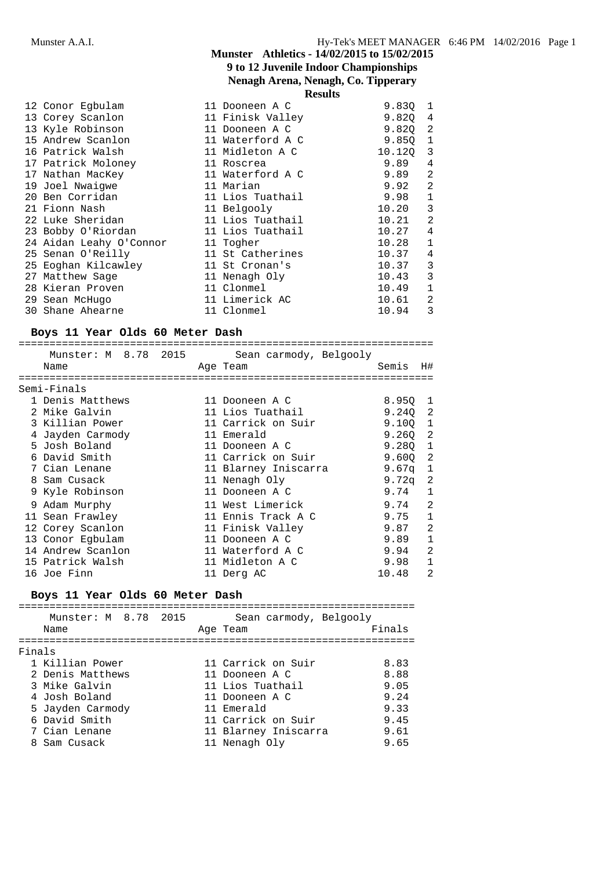## **Munster Athletics - 14/02/2015 to 15/02/2015 9 to 12 Juvenile Indoor Championships Nenagh Arena, Nenagh, Co. Tipperary**

|                         | -------          |          |                |
|-------------------------|------------------|----------|----------------|
| 12 Conor Egbulam        | 11 Dooneen A C   | 9.830 1  |                |
| 13 Corey Scanlon        | 11 Finisk Valley | 9.820 4  |                |
| 13 Kyle Robinson        | 11 Dooneen A C   | 9.820 2  |                |
| 15 Andrew Scanlon       | 11 Waterford A C | 9.850    | $\mathbf{1}$   |
| 16 Patrick Walsh        | 11 Midleton A C  | 10.120 3 |                |
| 17 Patrick Moloney      | 11 Roscrea       | 9.89     | 4              |
| 17 Nathan MacKey        | 11 Waterford A C | 9.89     | 2              |
| 19 Joel Nwaiqwe         | 11 Marian        | 9.92     | 2              |
| 20 Ben Corridan         | 11 Lios Tuathail | 9.98     | $\mathbf{1}$   |
| 21 Fionn Nash           | 11 Belgooly      | 10.20    | 3              |
| 22 Luke Sheridan        | 11 Lios Tuathail | 10.21    | $\mathfrak{D}$ |
| 23 Bobby O'Riordan      | 11 Lios Tuathail | 10.27    | 4              |
| 24 Aidan Leahy O'Connor | 11 Togher        | 10.28    | $\mathbf{1}$   |
| 25 Senan O'Reilly       | 11 St Catherines | 10.37    | 4              |
| 25 Eoghan Kilcawley     | 11 St Cronan's   | 10.37    | 3              |
| 27 Matthew Sage         | 11 Nenagh Oly    | 10.43    | 3              |
| 28 Kieran Proven        | 11 Clonmel       | 10.49    | $\mathbf{1}$   |
| 29 Sean McHugo          | 11 Limerick AC   | 10.61    | 2              |
| 30 Shane Ahearne        | 11 Clonmel       | 10.94    | 3              |
|                         |                  |          |                |

## **Boys 11 Year Olds 60 Meter Dash**

|                                       |  | Munster: M 8.78 2015 Sean carmody, Belgooly |                 |               |
|---------------------------------------|--|---------------------------------------------|-----------------|---------------|
| Name                                  |  | Age Team                                    | Semis H#        |               |
| ======================<br>Semi-Finals |  |                                             |                 |               |
|                                       |  |                                             |                 |               |
| 1 Denis Matthews                      |  | 11 Dooneen A C                              | 8.950 1         |               |
| 2 Mike Galvin                         |  | 11 Lios Tuathail                            | 9.240 2         |               |
| 3 Killian Power                       |  | 11 Carrick on Suir                          | 9.1001          |               |
| 4 Jayden Carmody                      |  | 11 Emerald                                  | $9.260 \quad 2$ |               |
| 5 Josh Boland                         |  | 11 Dooneen A C                              | $9.280 \quad 1$ |               |
| 6 David Smith                         |  | 11 Carrick on Suir                          | 9.600           | -2            |
| 7 Cian Lenane                         |  | 11 Blarney Iniscarra                        | 9.67q           | 1             |
| 8 Sam Cusack                          |  | 11 Nenagh Oly                               | 9.72a           | -2            |
| 9 Kyle Robinson                       |  | 11 Dooneen A C                              | 9.74            | $\mathbf{1}$  |
| 9 Adam Murphy                         |  | 11 West Limerick                            | 9.74            | $\mathcal{L}$ |
| 11 Sean Frawley                       |  | 11 Ennis Track A C                          | 9.75            | $\mathbf{1}$  |
| 12 Corey Scanlon                      |  | 11 Finisk Valley                            | 9.87            | 2             |
| 13 Conor Egbulam                      |  | 11 Dooneen A C                              | 9.89            | $\mathbf{1}$  |
| 14 Andrew Scanlon                     |  | 11 Waterford A C                            | 9.94            | 2             |
| 15 Patrick Walsh                      |  | 11 Midleton A C                             | 9.98            | 1             |
| 16 Joe Finn                           |  | 11 Derg AC                                  | 10.48           | $\mathcal{D}$ |

## **Boys 11 Year Olds 60 Meter Dash**

| Munster: M 8.78 2015<br>Sean carmody, Belgooly<br>Age Team<br>Name<br>Finals<br>1 Killian Power<br>11 Carrick on Suir<br>2 Denis Matthews<br>11 Dooneen A C |        |
|-------------------------------------------------------------------------------------------------------------------------------------------------------------|--------|
|                                                                                                                                                             | Finals |
|                                                                                                                                                             |        |
|                                                                                                                                                             | 8.83   |
|                                                                                                                                                             | 8.88   |
| 3 Mike Galvin<br>11 Lios Tuathail                                                                                                                           | 9.05   |
| 4 Josh Boland<br>11 Dooneen A C                                                                                                                             | 9.24   |
| 5 Jayden Carmody<br>11 Emerald                                                                                                                              | 9.33   |
| 6 David Smith<br>11 Carrick on Suir                                                                                                                         | 9.45   |
| 11 Blarney Iniscarra<br>7 Cian Lenane                                                                                                                       | 9.61   |
| 8 Sam Cusack<br>11 Nenagh Oly                                                                                                                               | 9.65   |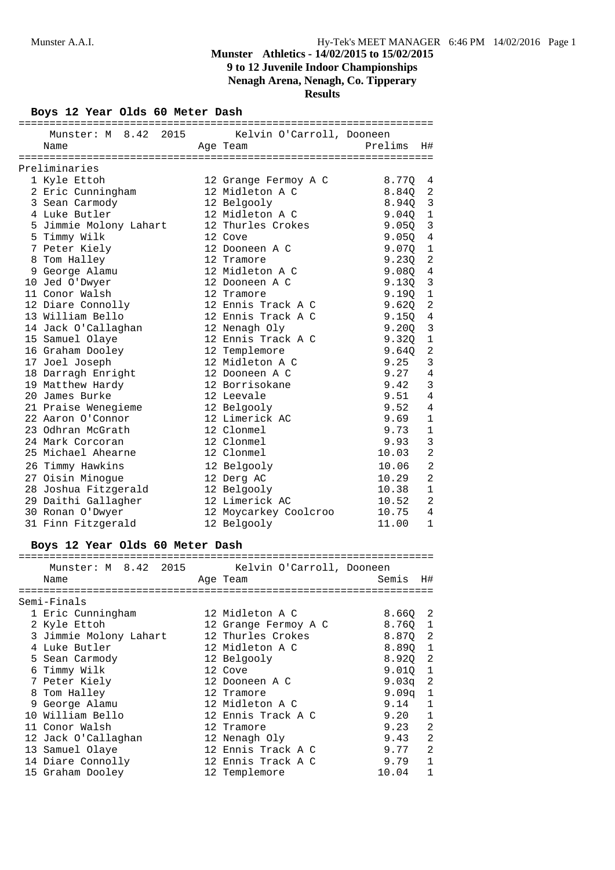**Nenagh Arena, Nenagh, Co. Tipperary**

**Results**

## **Boys 12 Year Olds 60 Meter Dash**

| Munster: M 8.42 2015 Kelvin O'Carroll, Dooneen |                               |                |                            |
|------------------------------------------------|-------------------------------|----------------|----------------------------|
| Name                                           | Age Team and Prelims H#       |                |                            |
|                                                |                               |                |                            |
| Preliminaries                                  |                               |                |                            |
| 1 Kyle Ettoh                                   | 12 Grange Fermoy A C 8.77Q    |                | 4                          |
| 2 Eric Cunningham                              | 12 Midleton A C               | 8.840          | 2                          |
| 3 Sean Carmody                                 | 12 Belgooly                   | $8.94Q$ 3      |                            |
| 4 Luke Butler                                  | 12 Midleton A C 9.04Q 1       |                |                            |
| 5 Jimmie Molony Lahart                         | 12 Thurles Crokes 9.05Q 3     |                |                            |
| 5 Timmy Wilk                                   | 12 Cove                       | $9.05Q$ 4      |                            |
| 7 Peter Kiely                                  | 12 Dooneen A C                | 9.0701         |                            |
| 8 Tom Halley                                   | 12 Tramore                    | $9.23Q$ 2      |                            |
| 9 George Alamu                                 | iz iramore<br>12 Midleton A C | $9.08Q$ 4      |                            |
| 10 Jed O'Dwyer                                 | 12 Dooneen A C                | 9.130 3        |                            |
| 11 Conor Walsh                                 | 12 Tramore                    | 9.190 1        |                            |
| 12 Diare Connolly                              | 12 Ennis Track A C            | 9.62Q          | $\overline{\phantom{0}}^2$ |
| 13 William Bello                               | 12 Ennis Track A C            | $9.15Q$ 4      |                            |
| 14 Jack O'Callaghan                            | 12 Nenagh Oly                 | 9.20Q          | $\overline{3}$             |
| 15 Samuel Olaye                                | 12 Ennis Track A C            | 9.320          | $\overline{\phantom{0}}$   |
| 16 Graham Dooley                               | 12 Templemore                 | 9.640          | $\overline{2}$             |
| 17 Joel Joseph                                 | 12 Midleton A C               | 9.25           | 3                          |
| 18 Darragh Enright                             | 12 Dooneen A C                | $9.27 \quad 4$ |                            |
| 19 Matthew Hardy                               | 12 Borrisokane                | 9.42           | 3                          |
| 20 James Burke                                 | 12 Leevale                    | 9.51           | 4                          |
| 21 Praise Wenegieme                            | 12 Belgooly                   | 9.52           | $\overline{4}$             |
| 22 Aaron O'Connor                              | 12 Limerick AC                | 9.69           | $\mathbf{1}$               |
| 23 Odhran McGrath                              | 12 Clonmel                    | 9.73           | $\mathbf{1}$               |
| 24 Mark Corcoran                               | 12 Clonmel                    | 9.93           | 3                          |
| 25 Michael Ahearne                             | 12 Clonmel                    | 10.03          | 2                          |
| 26 Timmy Hawkins                               | 12 Belgooly                   | 10.06          | 2                          |
| 27 Oisin Minogue                               | 12 Derg AC                    | 10.29          | $\overline{a}$             |
| 28 Joshua Fitzgerald                           | 12 Belgooly                   | 10.38          | $\mathbf{1}$               |
| 29 Daithi Gallagher                            | 12 Limerick AC                | 10.52          | $\overline{2}$             |
| 30 Ronan O'Dwyer                               | 12 Moycarkey Coolcroo         | 10.75          | $\overline{4}$             |
| 31 Finn Fitzgerald                             | 12 Belgooly                   | 11.00          | $\mathbf{1}$               |

## **Boys 12 Year Olds 60 Meter Dash**

| Munster: M 8.42 2015 Kelvin O'Carroll, Dooneen |                      |                 |                |
|------------------------------------------------|----------------------|-----------------|----------------|
| Name                                           | Age Team             | Semis H#        |                |
|                                                |                      |                 |                |
| Semi-Finals                                    |                      |                 |                |
| 1 Eric Cunningham                              | 12 Midleton A C      | 8.660 2         |                |
| 2 Kyle Ettoh                                   | 12 Grange Fermoy A C | 8.760 1         |                |
| 3 Jimmie Molony Lahart                         | 12 Thurles Crokes    | 8.870 2         |                |
| 4 Luke Butler                                  | 12 Midleton A C      | 8.890 1         |                |
| 5 Sean Carmody                                 | 12 Belgooly          | 8.920 2         |                |
| 6 Timmy Wilk                                   | 12 Cove              | $9.010 \quad 1$ |                |
| 7 Peter Kiely                                  | 12 Dooneen A C       | 9.03 $q$ 2      |                |
| 8 Tom Halley                                   | 12 Tramore           | 9.09q 1         |                |
| 9 George Alamu                                 | 12 Midleton A C      | 9.14            | 1              |
| 10 William Bello                               | 12 Ennis Track A C   | 9.20            | $\mathbf{1}$   |
| 11 Conor Walsh                                 | 12 Tramore           | 9.23            | 2              |
| 12 Jack O'Callaghan                            | 12 Nenagh Oly        | 9.43            | 2              |
| 13 Samuel Olaye                                | 12 Ennis Track A C   | 9.77            | $\mathfrak{D}$ |
| 14 Diare Connolly                              | 12 Ennis Track A C   | 9.79            | $\mathbf{1}$   |
| 15 Graham Dooley                               | 12 Templemore        | 10.04           |                |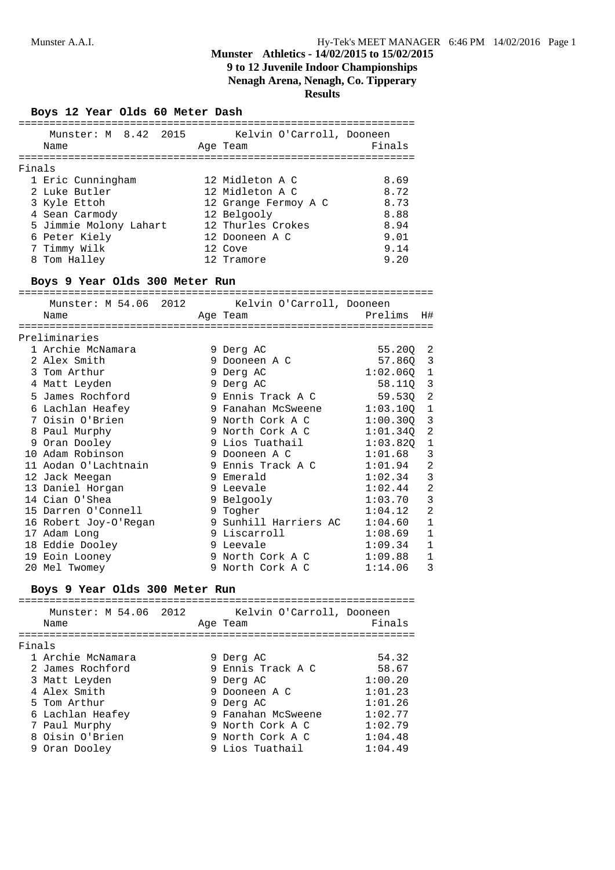## **9 to 12 Juvenile Indoor Championships**

**Nenagh Arena, Nenagh, Co. Tipperary**

**Results**

### **Boys 12 Year Olds 60 Meter Dash**

|        | Munster: M 8.42 2015   |  | Kelvin O'Carroll, Dooneen |        |
|--------|------------------------|--|---------------------------|--------|
| Name   |                        |  | Age Team                  | Finals |
|        |                        |  |                           |        |
| Finals |                        |  |                           |        |
|        | 1 Eric Cunningham      |  | 12 Midleton A C           | 8.69   |
|        | 2 Luke Butler          |  | 12 Midleton A C           | 8.72   |
|        | 3 Kyle Ettoh           |  | 12 Grange Fermoy A C      | 8.73   |
|        | 4 Sean Carmody         |  | 12 Belgooly               | 8.88   |
|        | 5 Jimmie Molony Lahart |  | 12 Thurles Crokes         | 8.94   |
|        | 6 Peter Kiely          |  | 12 Dooneen A C            | 9.01   |
|        | 7 Timmy Wilk           |  | 12 Cove                   | 9.14   |
| 8      | Tom Halley             |  | 12 Tramore                | 9.20   |
|        |                        |  |                           |        |

## **Boys 9 Year Olds 300 Meter Run**

| =============                                       |          |                            |              |                |  |  |  |  |
|-----------------------------------------------------|----------|----------------------------|--------------|----------------|--|--|--|--|
| Munster: M 54.06 2012 Kelvin O'Carroll, Dooneen     |          |                            |              |                |  |  |  |  |
| Name                                                | Aqe Team | <b>Prelims</b>             |              | H#             |  |  |  |  |
|                                                     |          |                            |              |                |  |  |  |  |
| Preliminaries                                       |          |                            |              |                |  |  |  |  |
| 1 Archie McNamara                                   |          | 9 Derg AC                  | 55.20Q 2     |                |  |  |  |  |
| 2 Alex Smith                                        |          | 9 Dooneen A C              | 57.86Q 3     |                |  |  |  |  |
| 3 Tom Arthur                                        |          | 9 Derg AC                  | $1:02.06Q$ 1 |                |  |  |  |  |
| 4 Matt Leyden                                       |          | 9 Derg AC                  | 58.11Q 3     |                |  |  |  |  |
| 5 James Rochford                                    |          | 9 Ennis Track A C          | 59.53Q       | -2             |  |  |  |  |
| 6 Lachlan Heafey                                    |          | 9 Fanahan McSweene         | $1:03.100$ 1 |                |  |  |  |  |
| 7 Oisin O'Brien                                     |          | 9 North Cork A C           | $1:00.30Q$ 3 |                |  |  |  |  |
| 8 Paul Murphy                                       |          | 9 North Cork A C           | $1:01.34Q$ 2 |                |  |  |  |  |
| 9 Oran Dooley                                       |          | 9 Lios Tuathail 1:03.82Q 1 |              |                |  |  |  |  |
| 10 Adam Robinson                                    |          | 9 Dooneen A C              | 1:01.68      | 3              |  |  |  |  |
| 11 Aodan O'Lachtnain 9 Ennis Track A C              |          |                            | 1:01.94      | $\overline{2}$ |  |  |  |  |
| 12 Jack Meegan                                      |          | 9 Emerald                  | 1:02.34      | 3              |  |  |  |  |
| 13 Daniel Horgan                                    |          | 9 Leevale                  | 1:02.44      | $\overline{2}$ |  |  |  |  |
| 14 Cian O'Shea                                      |          | 9 Belgooly                 | 1:03.70      | 3              |  |  |  |  |
| 15 Darren O'Connell 9 Togher                        |          |                            | 1:04.12      | $\overline{2}$ |  |  |  |  |
| 16 Robert Joy-O'Regan 9 Sunhill Harriers AC 1:04.60 |          |                            |              | $\mathbf 1$    |  |  |  |  |
| 17 Adam Long                                        |          | 9 Liscarroll               | 1:08.69      | $\mathbf 1$    |  |  |  |  |
| 18 Eddie Dooley                                     |          | 9 Leevale                  | 1:09.34      | $\mathbf 1$    |  |  |  |  |
| 19 Eoin Looney                                      |          | 9 North Cork A C           | 1:09.88      | 1              |  |  |  |  |
| 20 Mel Twomey                                       |          | 9 North Cork A C           | 1:14.06      | 3              |  |  |  |  |

## **Boys 9 Year Olds 300 Meter Run**

|        | Munster: M 54.06 2012<br>Name |  | Kelvin O'Carroll, Dooneen<br>Age Team | Finals  |
|--------|-------------------------------|--|---------------------------------------|---------|
|        |                               |  |                                       |         |
| Finals |                               |  |                                       |         |
|        | 1 Archie McNamara             |  | 9 Derg AC                             | 54.32   |
|        | 2 James Rochford              |  | 9 Ennis Track A C                     | 58.67   |
|        | 3 Matt Leyden                 |  | 9 Derg AC                             | 1:00.20 |
|        | 4 Alex Smith                  |  | 9 Dooneen A C                         | 1:01.23 |
|        | 5 Tom Arthur                  |  | 9 Derg AC                             | 1:01.26 |
|        | 6 Lachlan Heafey              |  | 9 Fanahan McSweene                    | 1:02.77 |
|        | 7 Paul Murphy                 |  | 9 North Cork A C                      | 1:02.79 |
|        | 8 Oisin O'Brien               |  | 9 North Cork A C                      | 1:04.48 |
|        | 9 Oran Dooley                 |  | 9 Lios Tuathail                       | 1:04.49 |
|        |                               |  |                                       |         |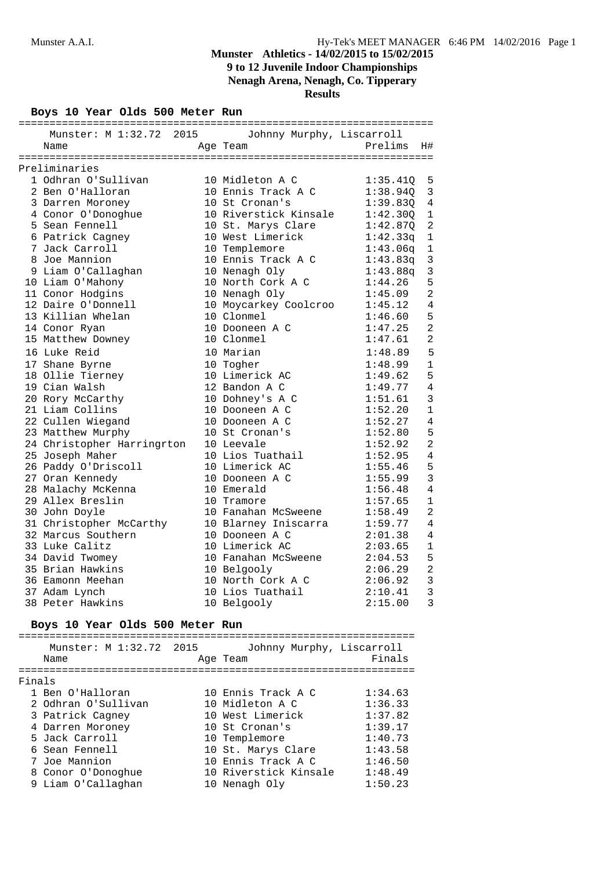**Nenagh Arena, Nenagh, Co. Tipperary**

**Results**

**Boys 10 Year Olds 500 Meter Run**

| Munster: M 1:32.72 2015<br>Johnny Murphy, Liscarroll<br>Prelims<br>H#<br>Name<br>Age Team<br>10 Midleton A C<br>1 Odhran O'Sullivan<br>1:35.410<br>5<br>2 Ben O'Halloran<br>10 Ennis Track A C<br>1:38.94Q<br>3<br>3 Darren Moroney<br>10 St Cronan's<br>1:39.83Q<br>4<br>4 Conor O'Donoghue<br>10 Riverstick Kinsale<br>1:42.30Q<br>1<br>10 St. Marys Clare<br>2<br>5 Sean Fennell<br>1:42.87Q<br>6 Patrick Cagney<br>10 West Limerick<br>1<br>1:42.33q<br>7 Jack Carroll<br>10 Templemore<br>$1\,$<br>1:43.06q<br>8 Joe Mannion<br>10 Ennis Track A C<br>3<br>1:43.83q<br>9 Liam O'Callaghan<br>10 Nenagh Oly<br>1:43.88q<br>3<br>10 North Cork A C<br>5<br>1:44.26<br>10 Liam O'Mahony<br>2<br>11 Conor Hodgins<br>10 Nenagh Oly<br>1:45.09<br>12 Daire O'Donnell<br>10 Moycarkey Coolcroo<br>1:45.12<br>4<br>13 Killian Whelan<br>10 Clonmel<br>1:46.60<br>5<br>$\overline{2}$<br>10 Dooneen A C<br>1:47.25<br>14 Conor Ryan<br>$\overline{2}$<br>10 Clonmel<br>15 Matthew Downey<br>1:47.61<br>16 Luke Reid<br>10 Marian<br>5<br>1:48.89<br>10 Togher<br>1:48.99<br>1<br>17 Shane Byrne<br>10 Limerick AC<br>5<br>18 Ollie Tierney<br>1:49.62<br>4<br>19 Cian Walsh<br>12 Bandon A C<br>1:49.77<br>3<br>20 Rory McCarthy<br>10 Dohney's A C<br>1:51.61<br>10 Dooneen A C<br>21 Liam Collins<br>1:52.20<br>1<br>4<br>22 Cullen Wiegand<br>1:52.27<br>10 Dooneen A C<br>5<br>23 Matthew Murphy<br>10 St Cronan's<br>1:52.80<br>2<br>24 Christopher Harringrton<br>10 Leevale<br>1:52.92<br>25 Joseph Maher<br>10 Lios Tuathail<br>1:52.95<br>4<br>26 Paddy O'Driscoll<br>10 Limerick AC<br>5<br>1:55.46<br>3<br>27 Oran Kennedy<br>10 Dooneen A C<br>1:55.99<br>28 Malachy McKenna<br>1:56.48<br>4<br>10 Emerald<br>29 Allex Breslin<br>1:57.65<br>1<br>10 Tramore<br>$\overline{2}$<br>30 John Doyle<br>10 Fanahan McSweene<br>1:58.49<br>4<br>31 Christopher McCarthy<br>10 Blarney Iniscarra<br>1:59.77 |
|---------------------------------------------------------------------------------------------------------------------------------------------------------------------------------------------------------------------------------------------------------------------------------------------------------------------------------------------------------------------------------------------------------------------------------------------------------------------------------------------------------------------------------------------------------------------------------------------------------------------------------------------------------------------------------------------------------------------------------------------------------------------------------------------------------------------------------------------------------------------------------------------------------------------------------------------------------------------------------------------------------------------------------------------------------------------------------------------------------------------------------------------------------------------------------------------------------------------------------------------------------------------------------------------------------------------------------------------------------------------------------------------------------------------------------------------------------------------------------------------------------------------------------------------------------------------------------------------------------------------------------------------------------------------------------------------------------------------------------------------------------------------------------------------------------------------------------------------------------------------------------------------------------------|
| Preliminaries                                                                                                                                                                                                                                                                                                                                                                                                                                                                                                                                                                                                                                                                                                                                                                                                                                                                                                                                                                                                                                                                                                                                                                                                                                                                                                                                                                                                                                                                                                                                                                                                                                                                                                                                                                                                                                                                                                 |
|                                                                                                                                                                                                                                                                                                                                                                                                                                                                                                                                                                                                                                                                                                                                                                                                                                                                                                                                                                                                                                                                                                                                                                                                                                                                                                                                                                                                                                                                                                                                                                                                                                                                                                                                                                                                                                                                                                               |
|                                                                                                                                                                                                                                                                                                                                                                                                                                                                                                                                                                                                                                                                                                                                                                                                                                                                                                                                                                                                                                                                                                                                                                                                                                                                                                                                                                                                                                                                                                                                                                                                                                                                                                                                                                                                                                                                                                               |
|                                                                                                                                                                                                                                                                                                                                                                                                                                                                                                                                                                                                                                                                                                                                                                                                                                                                                                                                                                                                                                                                                                                                                                                                                                                                                                                                                                                                                                                                                                                                                                                                                                                                                                                                                                                                                                                                                                               |
|                                                                                                                                                                                                                                                                                                                                                                                                                                                                                                                                                                                                                                                                                                                                                                                                                                                                                                                                                                                                                                                                                                                                                                                                                                                                                                                                                                                                                                                                                                                                                                                                                                                                                                                                                                                                                                                                                                               |
|                                                                                                                                                                                                                                                                                                                                                                                                                                                                                                                                                                                                                                                                                                                                                                                                                                                                                                                                                                                                                                                                                                                                                                                                                                                                                                                                                                                                                                                                                                                                                                                                                                                                                                                                                                                                                                                                                                               |
|                                                                                                                                                                                                                                                                                                                                                                                                                                                                                                                                                                                                                                                                                                                                                                                                                                                                                                                                                                                                                                                                                                                                                                                                                                                                                                                                                                                                                                                                                                                                                                                                                                                                                                                                                                                                                                                                                                               |
|                                                                                                                                                                                                                                                                                                                                                                                                                                                                                                                                                                                                                                                                                                                                                                                                                                                                                                                                                                                                                                                                                                                                                                                                                                                                                                                                                                                                                                                                                                                                                                                                                                                                                                                                                                                                                                                                                                               |
|                                                                                                                                                                                                                                                                                                                                                                                                                                                                                                                                                                                                                                                                                                                                                                                                                                                                                                                                                                                                                                                                                                                                                                                                                                                                                                                                                                                                                                                                                                                                                                                                                                                                                                                                                                                                                                                                                                               |
|                                                                                                                                                                                                                                                                                                                                                                                                                                                                                                                                                                                                                                                                                                                                                                                                                                                                                                                                                                                                                                                                                                                                                                                                                                                                                                                                                                                                                                                                                                                                                                                                                                                                                                                                                                                                                                                                                                               |
|                                                                                                                                                                                                                                                                                                                                                                                                                                                                                                                                                                                                                                                                                                                                                                                                                                                                                                                                                                                                                                                                                                                                                                                                                                                                                                                                                                                                                                                                                                                                                                                                                                                                                                                                                                                                                                                                                                               |
|                                                                                                                                                                                                                                                                                                                                                                                                                                                                                                                                                                                                                                                                                                                                                                                                                                                                                                                                                                                                                                                                                                                                                                                                                                                                                                                                                                                                                                                                                                                                                                                                                                                                                                                                                                                                                                                                                                               |
|                                                                                                                                                                                                                                                                                                                                                                                                                                                                                                                                                                                                                                                                                                                                                                                                                                                                                                                                                                                                                                                                                                                                                                                                                                                                                                                                                                                                                                                                                                                                                                                                                                                                                                                                                                                                                                                                                                               |
|                                                                                                                                                                                                                                                                                                                                                                                                                                                                                                                                                                                                                                                                                                                                                                                                                                                                                                                                                                                                                                                                                                                                                                                                                                                                                                                                                                                                                                                                                                                                                                                                                                                                                                                                                                                                                                                                                                               |
|                                                                                                                                                                                                                                                                                                                                                                                                                                                                                                                                                                                                                                                                                                                                                                                                                                                                                                                                                                                                                                                                                                                                                                                                                                                                                                                                                                                                                                                                                                                                                                                                                                                                                                                                                                                                                                                                                                               |
|                                                                                                                                                                                                                                                                                                                                                                                                                                                                                                                                                                                                                                                                                                                                                                                                                                                                                                                                                                                                                                                                                                                                                                                                                                                                                                                                                                                                                                                                                                                                                                                                                                                                                                                                                                                                                                                                                                               |
|                                                                                                                                                                                                                                                                                                                                                                                                                                                                                                                                                                                                                                                                                                                                                                                                                                                                                                                                                                                                                                                                                                                                                                                                                                                                                                                                                                                                                                                                                                                                                                                                                                                                                                                                                                                                                                                                                                               |
|                                                                                                                                                                                                                                                                                                                                                                                                                                                                                                                                                                                                                                                                                                                                                                                                                                                                                                                                                                                                                                                                                                                                                                                                                                                                                                                                                                                                                                                                                                                                                                                                                                                                                                                                                                                                                                                                                                               |
|                                                                                                                                                                                                                                                                                                                                                                                                                                                                                                                                                                                                                                                                                                                                                                                                                                                                                                                                                                                                                                                                                                                                                                                                                                                                                                                                                                                                                                                                                                                                                                                                                                                                                                                                                                                                                                                                                                               |
|                                                                                                                                                                                                                                                                                                                                                                                                                                                                                                                                                                                                                                                                                                                                                                                                                                                                                                                                                                                                                                                                                                                                                                                                                                                                                                                                                                                                                                                                                                                                                                                                                                                                                                                                                                                                                                                                                                               |
|                                                                                                                                                                                                                                                                                                                                                                                                                                                                                                                                                                                                                                                                                                                                                                                                                                                                                                                                                                                                                                                                                                                                                                                                                                                                                                                                                                                                                                                                                                                                                                                                                                                                                                                                                                                                                                                                                                               |
|                                                                                                                                                                                                                                                                                                                                                                                                                                                                                                                                                                                                                                                                                                                                                                                                                                                                                                                                                                                                                                                                                                                                                                                                                                                                                                                                                                                                                                                                                                                                                                                                                                                                                                                                                                                                                                                                                                               |
|                                                                                                                                                                                                                                                                                                                                                                                                                                                                                                                                                                                                                                                                                                                                                                                                                                                                                                                                                                                                                                                                                                                                                                                                                                                                                                                                                                                                                                                                                                                                                                                                                                                                                                                                                                                                                                                                                                               |
|                                                                                                                                                                                                                                                                                                                                                                                                                                                                                                                                                                                                                                                                                                                                                                                                                                                                                                                                                                                                                                                                                                                                                                                                                                                                                                                                                                                                                                                                                                                                                                                                                                                                                                                                                                                                                                                                                                               |
|                                                                                                                                                                                                                                                                                                                                                                                                                                                                                                                                                                                                                                                                                                                                                                                                                                                                                                                                                                                                                                                                                                                                                                                                                                                                                                                                                                                                                                                                                                                                                                                                                                                                                                                                                                                                                                                                                                               |
|                                                                                                                                                                                                                                                                                                                                                                                                                                                                                                                                                                                                                                                                                                                                                                                                                                                                                                                                                                                                                                                                                                                                                                                                                                                                                                                                                                                                                                                                                                                                                                                                                                                                                                                                                                                                                                                                                                               |
|                                                                                                                                                                                                                                                                                                                                                                                                                                                                                                                                                                                                                                                                                                                                                                                                                                                                                                                                                                                                                                                                                                                                                                                                                                                                                                                                                                                                                                                                                                                                                                                                                                                                                                                                                                                                                                                                                                               |
|                                                                                                                                                                                                                                                                                                                                                                                                                                                                                                                                                                                                                                                                                                                                                                                                                                                                                                                                                                                                                                                                                                                                                                                                                                                                                                                                                                                                                                                                                                                                                                                                                                                                                                                                                                                                                                                                                                               |
|                                                                                                                                                                                                                                                                                                                                                                                                                                                                                                                                                                                                                                                                                                                                                                                                                                                                                                                                                                                                                                                                                                                                                                                                                                                                                                                                                                                                                                                                                                                                                                                                                                                                                                                                                                                                                                                                                                               |
|                                                                                                                                                                                                                                                                                                                                                                                                                                                                                                                                                                                                                                                                                                                                                                                                                                                                                                                                                                                                                                                                                                                                                                                                                                                                                                                                                                                                                                                                                                                                                                                                                                                                                                                                                                                                                                                                                                               |
|                                                                                                                                                                                                                                                                                                                                                                                                                                                                                                                                                                                                                                                                                                                                                                                                                                                                                                                                                                                                                                                                                                                                                                                                                                                                                                                                                                                                                                                                                                                                                                                                                                                                                                                                                                                                                                                                                                               |
|                                                                                                                                                                                                                                                                                                                                                                                                                                                                                                                                                                                                                                                                                                                                                                                                                                                                                                                                                                                                                                                                                                                                                                                                                                                                                                                                                                                                                                                                                                                                                                                                                                                                                                                                                                                                                                                                                                               |
|                                                                                                                                                                                                                                                                                                                                                                                                                                                                                                                                                                                                                                                                                                                                                                                                                                                                                                                                                                                                                                                                                                                                                                                                                                                                                                                                                                                                                                                                                                                                                                                                                                                                                                                                                                                                                                                                                                               |
|                                                                                                                                                                                                                                                                                                                                                                                                                                                                                                                                                                                                                                                                                                                                                                                                                                                                                                                                                                                                                                                                                                                                                                                                                                                                                                                                                                                                                                                                                                                                                                                                                                                                                                                                                                                                                                                                                                               |
|                                                                                                                                                                                                                                                                                                                                                                                                                                                                                                                                                                                                                                                                                                                                                                                                                                                                                                                                                                                                                                                                                                                                                                                                                                                                                                                                                                                                                                                                                                                                                                                                                                                                                                                                                                                                                                                                                                               |
| 32 Marcus Southern<br>10 Dooneen A C<br>2:01.38<br>4                                                                                                                                                                                                                                                                                                                                                                                                                                                                                                                                                                                                                                                                                                                                                                                                                                                                                                                                                                                                                                                                                                                                                                                                                                                                                                                                                                                                                                                                                                                                                                                                                                                                                                                                                                                                                                                          |
| 10 Limerick AC<br>33 Luke Calitz<br>1<br>2:03.65                                                                                                                                                                                                                                                                                                                                                                                                                                                                                                                                                                                                                                                                                                                                                                                                                                                                                                                                                                                                                                                                                                                                                                                                                                                                                                                                                                                                                                                                                                                                                                                                                                                                                                                                                                                                                                                              |
| 5<br>34 David Twomey<br>10 Fanahan McSweene<br>2:04.53                                                                                                                                                                                                                                                                                                                                                                                                                                                                                                                                                                                                                                                                                                                                                                                                                                                                                                                                                                                                                                                                                                                                                                                                                                                                                                                                                                                                                                                                                                                                                                                                                                                                                                                                                                                                                                                        |
| 35 Brian Hawkins<br>2<br>10 Belgooly<br>2:06.29                                                                                                                                                                                                                                                                                                                                                                                                                                                                                                                                                                                                                                                                                                                                                                                                                                                                                                                                                                                                                                                                                                                                                                                                                                                                                                                                                                                                                                                                                                                                                                                                                                                                                                                                                                                                                                                               |
| 10 North Cork A C<br>2:06.92<br>3<br>36 Eamonn Meehan                                                                                                                                                                                                                                                                                                                                                                                                                                                                                                                                                                                                                                                                                                                                                                                                                                                                                                                                                                                                                                                                                                                                                                                                                                                                                                                                                                                                                                                                                                                                                                                                                                                                                                                                                                                                                                                         |
| 10 Lios Tuathail<br>3<br>37 Adam Lynch<br>2:10.41                                                                                                                                                                                                                                                                                                                                                                                                                                                                                                                                                                                                                                                                                                                                                                                                                                                                                                                                                                                                                                                                                                                                                                                                                                                                                                                                                                                                                                                                                                                                                                                                                                                                                                                                                                                                                                                             |
| 3<br>38 Peter Hawkins<br>2:15.00<br>10 Belgooly                                                                                                                                                                                                                                                                                                                                                                                                                                                                                                                                                                                                                                                                                                                                                                                                                                                                                                                                                                                                                                                                                                                                                                                                                                                                                                                                                                                                                                                                                                                                                                                                                                                                                                                                                                                                                                                               |

## **Boys 10 Year Olds 500 Meter Run**

|        | Munster: M 1:32.72 2015<br>Name | Johnny Murphy, Liscarroll<br>Age Team | Finals  |
|--------|---------------------------------|---------------------------------------|---------|
| Finals |                                 |                                       |         |
|        | 1 Ben O'Halloran                | 10 Ennis Track A C                    | 1:34.63 |
|        | 2 Odhran O'Sullivan             | 10 Midleton A C                       | 1:36.33 |
|        | 3 Patrick Cagney                | 10 West Limerick                      | 1:37.82 |
|        | 4 Darren Moroney                | 10 St Cronan's                        | 1:39.17 |
|        | 5 Jack Carroll                  | 10 Templemore                         | 1:40.73 |
|        | 6 Sean Fennell                  | 10 St. Marys Clare                    | 1:43.58 |
|        | 7 Joe Mannion                   | 10 Ennis Track A C                    | 1:46.50 |
|        | 8 Conor O'Donoghue              | 10 Riverstick Kinsale                 | 1:48.49 |
|        | 9 Liam O'Callaghan              | 10 Nenagh Oly                         | 1:50.23 |
|        |                                 |                                       |         |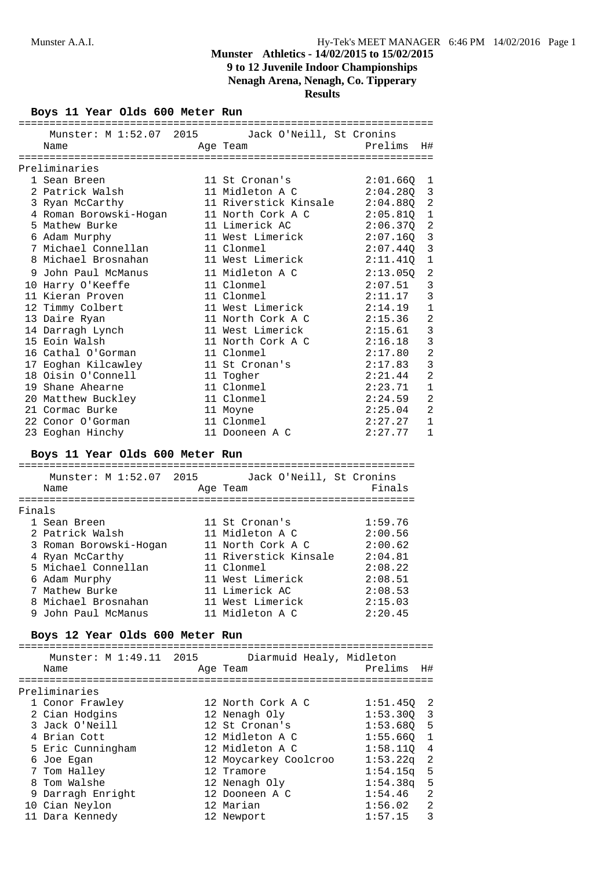## **Nenagh Arena, Nenagh, Co. Tipperary**

**Results**

**Boys 11 Year Olds 600 Meter Run**

| Munster: M 1:52.07 2015 Jack O'Neill, St Cronins         |                                    |                    |                |
|----------------------------------------------------------|------------------------------------|--------------------|----------------|
| Name                                                     | Age Team <b>Department Prelims</b> |                    | H#             |
|                                                          |                                    |                    |                |
| Preliminaries                                            |                                    |                    |                |
| 1 Sean Breen                                             | 11 St Cronan's                     | 2:01.66Q           | 1              |
| 2 Patrick Walsh                                          | 11 Midleton A C                    | 2:04.280           | 3              |
| 3 Ryan McCarthy                                          | 11 Riverstick Kinsale 2:04.88Q     |                    | $\overline{a}$ |
| 4 Roman Borowski-Hogan                                   | 11 North Cork A C                  | $2:05.81Q$ 1       |                |
| 5 Mathew Burke                                           | 11 Limerick AC                     | $2:06.37Q$ 2       |                |
| 6 Adam Murphy                                            | 11 West Limerick                   | $2:07.160$ 3       |                |
| 7 Michael Connellan                                      | 11 Clonmel                         | 2:07.440           | 3              |
| 8 Michael Brosnahan                                      | 11 West Limerick                   | 2:11.410           | $\mathbf{1}$   |
| 9 John Paul McManus                                      | 11 Midleton A C                    | 2:13.05Q           | 2              |
| 10 Harry O'Keeffe                                        | 11 Clonmel                         | 2:07.51            | 3              |
| 11 Kieran Proven                                         | 11 Clonmel                         | 2:11.17            | 3              |
| 12 Timmy Colbert                                         | 11 West Limerick                   | 2:14.19            | $1\,$          |
|                                                          | 11 North Cork A C                  |                    | $\overline{a}$ |
| 13 Daire Ryan                                            |                                    | 2:15.36            |                |
| 14 Darragh Lynch                                         | 11 West Limerick                   | 2:15.61            | 3              |
| 15 Eoin Walsh                                            | 11 North Cork A C 2:16.18          |                    | 3              |
| 16 Cathal O'Gorman                                       | 11 Clonmel                         | 2:17.80            | $\mathbf{2}$   |
| 17 Eoghan Kilcawley                                      | 11 St Cronan's                     | 2:17.83            | 3              |
| 18 Oisin O'Connell                                       | 11 Togher                          | 2:21.44            | $\overline{a}$ |
| 19 Shane Ahearne                                         | 11 Clonmel                         | 2:23.71            | $\mathbf 1$    |
| 20 Matthew Buckley                                       | 11 Clonmel                         | 2:24.59            | 2              |
| 21 Cormac Burke                                          | 11 Moyne                           | 2:25.04            | 2              |
| 22 Conor O'Gorman                                        | 11 Clonmel                         | 2:27.27            | 1              |
| 23 Eoghan Hinchy                                         | 11 Dooneen A C                     | 2:27.77            | 1              |
| Munster: M 1:52.07 2015 Jack O'Neill, St Cronins<br>Name | Age Team                           | Finals             |                |
|                                                          |                                    |                    |                |
|                                                          |                                    |                    |                |
|                                                          |                                    |                    |                |
| Finals                                                   |                                    |                    |                |
| 1 Sean Breen                                             | 11 St Cronan's                     | 1:59.76            |                |
| 2 Patrick Walsh                                          | 11 Midleton A C 2:00.56            |                    |                |
| 3 Roman Borowski-Hogan                                   | 11 North Cork A C                  | 2:00.62            |                |
| 4 Ryan McCarthy                                          | 11 Riverstick Kinsale 2:04.81      |                    |                |
| 5 Michael Connellan                                      | 11 Clonmel                         | 2:08.22            |                |
| 6 Adam Murphy                                            | 11 West Limerick                   | 2:08.51            |                |
| 7 Mathew Burke                                           | 11 Limerick AC                     | 2:08.53            |                |
| 8 Michael Brosnahan                                      | 11 West Limerick                   | 2:15.03            |                |
| 9 John Paul McManus                                      | 11 Midleton A C                    | 2:20.45            |                |
| Boys 12 Year Olds 600 Meter Run                          |                                    |                    |                |
| Munster: M 1:49.11 2015                                  | Diarmuid Healy, Midleton           |                    |                |
| Name                                                     | Age Team                           | Prelims            | H#             |
|                                                          |                                    |                    |                |
| Preliminaries                                            |                                    |                    |                |
| 1 Conor Frawley                                          | 12 North Cork A C                  | 1:51.45Q           | 2              |
| 2 Cian Hodgins                                           | 12 Nenagh Oly                      | 1:53.300           | 3              |
| 3 Jack O'Neill                                           | 12 St Cronan's                     | 1:53.68Q           | 5              |
| 4 Brian Cott                                             | 12 Midleton A C                    | 1:55.66Q           | 1              |
| 5 Eric Cunningham                                        | 12 Midleton A C                    | 1:58.11Q           | 4              |
|                                                          | 12 Moycarkey Coolcroo              | 1:53.22q           | 2              |
| 6 Joe Egan                                               | 12 Tramore                         |                    |                |
| 7 Tom Halley<br>8 Tom Walshe                             |                                    | 1:54.15q           | 5              |
|                                                          | 12 Nenagh Oly                      | 1:54.38q           | 5<br>2         |
| 9 Darragh Enright                                        | 12 Dooneen A C<br>12 Marian        | 1:54.46            |                |
| 10 Cian Neylon<br>11 Dara Kennedy                        | 12 Newport                         | 1:56.02<br>1:57.15 | 2<br>3         |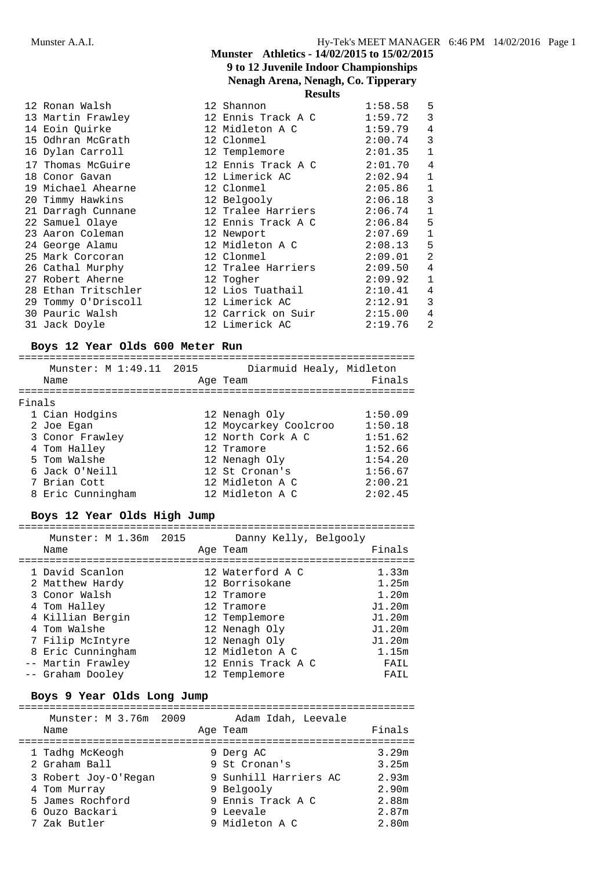### **Munster Athletics - 14/02/2015 to 15/02/2015 9 to 12 Juvenile Indoor Championships Nenagh Arena, Nenagh, Co. Tipperary Results**

| 12 Ronan Walsh     |  | 1:58.58                                                                                                                                                                                                                                                                                                                                                                                                                                                                                                                                               | 5              |
|--------------------|--|-------------------------------------------------------------------------------------------------------------------------------------------------------------------------------------------------------------------------------------------------------------------------------------------------------------------------------------------------------------------------------------------------------------------------------------------------------------------------------------------------------------------------------------------------------|----------------|
|                    |  | 1:59.72                                                                                                                                                                                                                                                                                                                                                                                                                                                                                                                                               | 3              |
| 14 Eoin Quirke     |  |                                                                                                                                                                                                                                                                                                                                                                                                                                                                                                                                                       | $\overline{4}$ |
|                    |  | 2:00.74                                                                                                                                                                                                                                                                                                                                                                                                                                                                                                                                               | 3              |
| 16 Dylan Carroll   |  | 2:01.35                                                                                                                                                                                                                                                                                                                                                                                                                                                                                                                                               | $\mathbf{1}$   |
| 17 Thomas McGuire  |  | 2:01.70                                                                                                                                                                                                                                                                                                                                                                                                                                                                                                                                               | 4              |
| 18 Conor Gavan     |  | 2:02.94                                                                                                                                                                                                                                                                                                                                                                                                                                                                                                                                               | $\mathbf{1}$   |
| 19 Michael Ahearne |  | 2:05.86                                                                                                                                                                                                                                                                                                                                                                                                                                                                                                                                               | $\mathbf{1}$   |
| 20 Timmy Hawkins   |  | 2:06.18                                                                                                                                                                                                                                                                                                                                                                                                                                                                                                                                               | 3              |
|                    |  | 2:06.74                                                                                                                                                                                                                                                                                                                                                                                                                                                                                                                                               | $\mathbf{1}$   |
| 22 Samuel Olaye    |  | 2:06.84                                                                                                                                                                                                                                                                                                                                                                                                                                                                                                                                               | 5              |
| 23 Aaron Coleman   |  | 2:07.69                                                                                                                                                                                                                                                                                                                                                                                                                                                                                                                                               | $\mathbf{1}$   |
| 24 George Alamu    |  | 2:08.13                                                                                                                                                                                                                                                                                                                                                                                                                                                                                                                                               | 5              |
| 25 Mark Corcoran   |  | 2:09.01                                                                                                                                                                                                                                                                                                                                                                                                                                                                                                                                               | 2              |
|                    |  | 2:09.50                                                                                                                                                                                                                                                                                                                                                                                                                                                                                                                                               | 4              |
|                    |  | 2:09.92                                                                                                                                                                                                                                                                                                                                                                                                                                                                                                                                               | $\mathbf{1}$   |
|                    |  | 2:10.41                                                                                                                                                                                                                                                                                                                                                                                                                                                                                                                                               | 4              |
|                    |  | 2:12.91                                                                                                                                                                                                                                                                                                                                                                                                                                                                                                                                               | 3              |
| 30 Pauric Walsh    |  | 2:15.00                                                                                                                                                                                                                                                                                                                                                                                                                                                                                                                                               | 4              |
| 31 Jack Doyle      |  | 2:19.76                                                                                                                                                                                                                                                                                                                                                                                                                                                                                                                                               | 2              |
|                    |  | Results<br>12 Shannon<br>13 Martin Frawley                         12 Ennis Track A C<br>12 Midleton A C<br>15 Odhran McGrath 12 Clonmel<br>12 Templemore<br>12 Ennis Track A C<br>12 Limerick AC<br>12 Clonmel<br>12 Belgooly<br>21 Darragh Cunnane 12 Tralee Harriers<br>12 Ennis Track A C<br>12 Newport<br>12 Midleton A C<br>12 Clonmel<br>12 Clonmel<br>26 Cathal Murphy 12 Tralee Harriers<br>27 Robert Aherne 12 Togher<br>28 Ethan Tritschler 12 Lios Tuathail<br>29 Tommy O'Driscoll 12 Limerick AC<br>12 Carrick on Suir<br>12 Limerick AC | 1:59.79        |

## **Boys 12 Year Olds 600 Meter Run**

|        | Munster: M 1:49.11 2015<br>Name | Diarmuid Healy, Midleton<br>Age Team | Finals  |
|--------|---------------------------------|--------------------------------------|---------|
| Finals |                                 |                                      |         |
|        | 1 Cian Hodgins                  | 12 Nenagh Oly                        | 1:50.09 |
|        | 2 Joe Egan                      | 12 Moycarkey Coolcroo                | 1:50.18 |
|        | 3 Conor Frawley                 | 12 North Cork A C                    | 1:51.62 |
|        | 4 Tom Halley                    | 12 Tramore                           | 1:52.66 |
|        | 5 Tom Walshe                    | 12 Nenagh Oly                        | 1:54.20 |
|        | 6 Jack O'Neill                  | 12 St Cronan's                       | 1:56.67 |
|        | 7 Brian Cott                    | 12 Midleton A C                      | 2:00.21 |
|        | 8 Eric Cunningham               | 12 Midleton A C                      | 2:02.45 |
|        |                                 |                                      |         |

## **Boys 12 Year Olds High Jump**

| Munster: M 1.36m 2015<br>Name |  | Danny Kelly, Belgooly<br>Age Team | Finals |
|-------------------------------|--|-----------------------------------|--------|
| 1 David Scanlon               |  | 12 Waterford A C                  | 1.33m  |
| 2 Matthew Hardy               |  | 12 Borrisokane                    | 1.25m  |
| 3 Conor Walsh                 |  | 12 Tramore                        | 1.20m  |
| 4 Tom Halley                  |  | 12 Tramore                        | J1.20m |
| 4 Killian Bergin              |  | 12 Templemore                     | J1.20m |
| 4 Tom Walshe                  |  | 12 Nenagh Oly                     | J1.20m |
| 7 Filip McIntyre              |  | 12 Nenagh Oly                     | J1.20m |
| 8 Eric Cunningham             |  | 12 Midleton A C                   | 1.15m  |
| -- Martin Frawley             |  | 12 Ennis Track A C                | FAIL   |
| -- Graham Dooley              |  | 12 Templemore                     | FAIL   |

## **Boys 9 Year Olds Long Jump**

| Munster: M 3.76m 2009 | Adam Idah, Leevale    |        |
|-----------------------|-----------------------|--------|
| Name                  | Age Team              | Finals |
|                       |                       |        |
| 1 Tadhq McKeogh       | 9 Derg AC             | 3.29m  |
| 2 Graham Ball         | 9 St Cronan's         | 3.25m  |
| 3 Robert Joy-O'Regan  | 9 Sunhill Harriers AC | 2.93m  |
| 4 Tom Murray          | 9 Belgooly            | 2.90m  |
| 5 James Rochford      | 9 Ennis Track A C     | 2.88m  |
| 6 Ouzo Backari        | 9 Leevale             | 2.87m  |
| 7 Zak Butler          | 9 Midleton A C        | 2.80m  |
|                       |                       |        |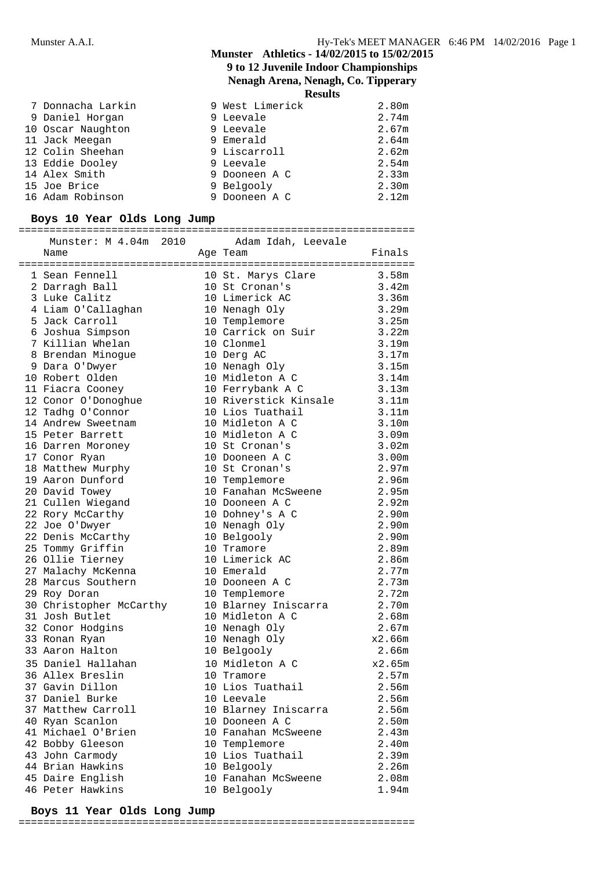## **Munster Athletics - 14/02/2015 to 15/02/2015 9 to 12 Juvenile Indoor Championships Nenagh Arena, Nenagh, Co. Tipperary**

**Results**

| 7 Donnacha Larkin | 9 West Limerick | 2.80m |
|-------------------|-----------------|-------|
| 9 Daniel Horgan   | 9 Leevale       | 2.74m |
| 10 Oscar Naughton | 9 Leevale       | 2.67m |
| 11 Jack Meegan    | 9 Emerald       | 2.64m |
| 12 Colin Sheehan  | 9 Liscarroll    | 2.62m |
| 13 Eddie Dooley   | 9 Leevale       | 2.54m |
| 14 Alex Smith     | 9 Dooneen A C   | 2.33m |
| 15 Joe Brice      | 9 Belgooly      | 2.30m |
| 16 Adam Robinson  | 9 Dooneen A C   | 2.12m |

## **Boys 10 Year Olds Long Jump**

================================================================

| Finals<br>Name<br>Age Team<br>1 Sean Fennell<br>10 St. Marys Clare<br>3.58m<br>3.42m<br>2 Darragh Ball<br>10 St Cronan's<br>10 Limerick AC<br>3.36m<br>3 Luke Calitz<br>10 Nenagh Oly<br>3.29m<br>4 Liam O'Callaghan<br>5 Jack Carroll<br>3.25m<br>10 Templemore<br>10 Carrick on Suir 3.22m<br>6 Joshua Simpson<br>7 Killian Whelan<br>10 Clonmel<br>3.19m<br>3.17m<br>8 Brendan Minogue<br>10 Derg AC<br>3.15m<br>10 Nenagh Oly<br>9 Dara O'Dwyer<br>10 Midleton A C<br>3.14m<br>10 Robert Olden<br>10 Ferrybank A C<br>3.13m<br>11 Fiacra Cooney<br>10 Riverstick Kinsale 3.11m<br>12 Conor O'Donoghue<br>12 Tadhg O'Connor<br>10 Lios Tuathail<br>3.11m<br>3.10m<br>14 Andrew Sweetnam<br>10 Midleton A C<br>15 Peter Barrett<br>10 Midleton A C<br>3.09m<br>3.02m<br>16 Darren Moroney<br>10 St Cronan's<br>3.00m<br>17 Conor Ryan<br>10 Dooneen A C<br>2.97m<br>18 Matthew Murphy<br>10 St Cronan's<br>2.96m<br>19 Aaron Dunford<br>10 Templemore<br>2.95m<br>20 David Towey<br>10 Fanahan McSweene<br>2.92m<br>21 Cullen Wiegand<br>10 Dooneen A C<br>22 Rory McCarthy<br>2.90m<br>10 Dohney's A C<br>2.90m<br>22 Joe O'Dwyer<br>10 Nenagh Oly<br>2.90 <sub>m</sub><br>22 Denis McCarthy<br>10 Belgooly<br>2.89m<br>25 Tommy Griffin<br>10 Tramore<br>2.86m<br>26 Ollie Tierney<br>10 Limerick AC<br>2.77m<br>27 Malachy McKenna<br>10 Emerald<br>28 Marcus Southern<br>2.73m<br>10 Dooneen A C<br>2.72m<br>29 Roy Doran<br>10 Templemore<br>2.70m<br>30 Christopher McCarthy<br>10 Blarney Iniscarra<br>2.68m<br>31 Josh Butlet<br>10 Midleton A C<br>2.67m<br>32 Conor Hodgins<br>10 Nenagh Oly<br>x2.66m<br>33 Ronan Ryan<br>10 Nenagh Oly<br>33 Aaron Halton<br>10 Belgooly<br>2.66m<br>35 Daniel Hallahan<br>x2.65m<br>10 Midleton A C<br>36 Allex Breslin<br>2.57m<br>10 Tramore<br>37 Gavin Dillon<br>10 Lios Tuathail<br>2.56m<br>37 Daniel Burke<br>10 Leevale<br>2.56m<br>37 Matthew Carroll<br>2.56m<br>10 Blarney Iniscarra<br>2.50m<br>40 Ryan Scanlon<br>10 Dooneen A C<br>2.43m<br>41 Michael O'Brien<br>10 Fanahan McSweene<br>42 Bobby Gleeson<br>2.40m<br>10 Templemore<br>2.39m<br>43 John Carmody<br>10 Lios Tuathail | Munster: M 4.04m 2010 | Adam Idah, Leevale |  |
|--------------------------------------------------------------------------------------------------------------------------------------------------------------------------------------------------------------------------------------------------------------------------------------------------------------------------------------------------------------------------------------------------------------------------------------------------------------------------------------------------------------------------------------------------------------------------------------------------------------------------------------------------------------------------------------------------------------------------------------------------------------------------------------------------------------------------------------------------------------------------------------------------------------------------------------------------------------------------------------------------------------------------------------------------------------------------------------------------------------------------------------------------------------------------------------------------------------------------------------------------------------------------------------------------------------------------------------------------------------------------------------------------------------------------------------------------------------------------------------------------------------------------------------------------------------------------------------------------------------------------------------------------------------------------------------------------------------------------------------------------------------------------------------------------------------------------------------------------------------------------------------------------------------------------------------------------------------------------------------------------------------------------------------------------------------------------------------------------------------------------------------------------|-----------------------|--------------------|--|
|                                                                                                                                                                                                                                                                                                                                                                                                                                                                                                                                                                                                                                                                                                                                                                                                                                                                                                                                                                                                                                                                                                                                                                                                                                                                                                                                                                                                                                                                                                                                                                                                                                                                                                                                                                                                                                                                                                                                                                                                                                                                                                                                                  |                       |                    |  |
|                                                                                                                                                                                                                                                                                                                                                                                                                                                                                                                                                                                                                                                                                                                                                                                                                                                                                                                                                                                                                                                                                                                                                                                                                                                                                                                                                                                                                                                                                                                                                                                                                                                                                                                                                                                                                                                                                                                                                                                                                                                                                                                                                  |                       |                    |  |
|                                                                                                                                                                                                                                                                                                                                                                                                                                                                                                                                                                                                                                                                                                                                                                                                                                                                                                                                                                                                                                                                                                                                                                                                                                                                                                                                                                                                                                                                                                                                                                                                                                                                                                                                                                                                                                                                                                                                                                                                                                                                                                                                                  |                       |                    |  |
|                                                                                                                                                                                                                                                                                                                                                                                                                                                                                                                                                                                                                                                                                                                                                                                                                                                                                                                                                                                                                                                                                                                                                                                                                                                                                                                                                                                                                                                                                                                                                                                                                                                                                                                                                                                                                                                                                                                                                                                                                                                                                                                                                  |                       |                    |  |
|                                                                                                                                                                                                                                                                                                                                                                                                                                                                                                                                                                                                                                                                                                                                                                                                                                                                                                                                                                                                                                                                                                                                                                                                                                                                                                                                                                                                                                                                                                                                                                                                                                                                                                                                                                                                                                                                                                                                                                                                                                                                                                                                                  |                       |                    |  |
|                                                                                                                                                                                                                                                                                                                                                                                                                                                                                                                                                                                                                                                                                                                                                                                                                                                                                                                                                                                                                                                                                                                                                                                                                                                                                                                                                                                                                                                                                                                                                                                                                                                                                                                                                                                                                                                                                                                                                                                                                                                                                                                                                  |                       |                    |  |
|                                                                                                                                                                                                                                                                                                                                                                                                                                                                                                                                                                                                                                                                                                                                                                                                                                                                                                                                                                                                                                                                                                                                                                                                                                                                                                                                                                                                                                                                                                                                                                                                                                                                                                                                                                                                                                                                                                                                                                                                                                                                                                                                                  |                       |                    |  |
|                                                                                                                                                                                                                                                                                                                                                                                                                                                                                                                                                                                                                                                                                                                                                                                                                                                                                                                                                                                                                                                                                                                                                                                                                                                                                                                                                                                                                                                                                                                                                                                                                                                                                                                                                                                                                                                                                                                                                                                                                                                                                                                                                  |                       |                    |  |
|                                                                                                                                                                                                                                                                                                                                                                                                                                                                                                                                                                                                                                                                                                                                                                                                                                                                                                                                                                                                                                                                                                                                                                                                                                                                                                                                                                                                                                                                                                                                                                                                                                                                                                                                                                                                                                                                                                                                                                                                                                                                                                                                                  |                       |                    |  |
|                                                                                                                                                                                                                                                                                                                                                                                                                                                                                                                                                                                                                                                                                                                                                                                                                                                                                                                                                                                                                                                                                                                                                                                                                                                                                                                                                                                                                                                                                                                                                                                                                                                                                                                                                                                                                                                                                                                                                                                                                                                                                                                                                  |                       |                    |  |
|                                                                                                                                                                                                                                                                                                                                                                                                                                                                                                                                                                                                                                                                                                                                                                                                                                                                                                                                                                                                                                                                                                                                                                                                                                                                                                                                                                                                                                                                                                                                                                                                                                                                                                                                                                                                                                                                                                                                                                                                                                                                                                                                                  |                       |                    |  |
|                                                                                                                                                                                                                                                                                                                                                                                                                                                                                                                                                                                                                                                                                                                                                                                                                                                                                                                                                                                                                                                                                                                                                                                                                                                                                                                                                                                                                                                                                                                                                                                                                                                                                                                                                                                                                                                                                                                                                                                                                                                                                                                                                  |                       |                    |  |
|                                                                                                                                                                                                                                                                                                                                                                                                                                                                                                                                                                                                                                                                                                                                                                                                                                                                                                                                                                                                                                                                                                                                                                                                                                                                                                                                                                                                                                                                                                                                                                                                                                                                                                                                                                                                                                                                                                                                                                                                                                                                                                                                                  |                       |                    |  |
|                                                                                                                                                                                                                                                                                                                                                                                                                                                                                                                                                                                                                                                                                                                                                                                                                                                                                                                                                                                                                                                                                                                                                                                                                                                                                                                                                                                                                                                                                                                                                                                                                                                                                                                                                                                                                                                                                                                                                                                                                                                                                                                                                  |                       |                    |  |
|                                                                                                                                                                                                                                                                                                                                                                                                                                                                                                                                                                                                                                                                                                                                                                                                                                                                                                                                                                                                                                                                                                                                                                                                                                                                                                                                                                                                                                                                                                                                                                                                                                                                                                                                                                                                                                                                                                                                                                                                                                                                                                                                                  |                       |                    |  |
|                                                                                                                                                                                                                                                                                                                                                                                                                                                                                                                                                                                                                                                                                                                                                                                                                                                                                                                                                                                                                                                                                                                                                                                                                                                                                                                                                                                                                                                                                                                                                                                                                                                                                                                                                                                                                                                                                                                                                                                                                                                                                                                                                  |                       |                    |  |
|                                                                                                                                                                                                                                                                                                                                                                                                                                                                                                                                                                                                                                                                                                                                                                                                                                                                                                                                                                                                                                                                                                                                                                                                                                                                                                                                                                                                                                                                                                                                                                                                                                                                                                                                                                                                                                                                                                                                                                                                                                                                                                                                                  |                       |                    |  |
|                                                                                                                                                                                                                                                                                                                                                                                                                                                                                                                                                                                                                                                                                                                                                                                                                                                                                                                                                                                                                                                                                                                                                                                                                                                                                                                                                                                                                                                                                                                                                                                                                                                                                                                                                                                                                                                                                                                                                                                                                                                                                                                                                  |                       |                    |  |
|                                                                                                                                                                                                                                                                                                                                                                                                                                                                                                                                                                                                                                                                                                                                                                                                                                                                                                                                                                                                                                                                                                                                                                                                                                                                                                                                                                                                                                                                                                                                                                                                                                                                                                                                                                                                                                                                                                                                                                                                                                                                                                                                                  |                       |                    |  |
|                                                                                                                                                                                                                                                                                                                                                                                                                                                                                                                                                                                                                                                                                                                                                                                                                                                                                                                                                                                                                                                                                                                                                                                                                                                                                                                                                                                                                                                                                                                                                                                                                                                                                                                                                                                                                                                                                                                                                                                                                                                                                                                                                  |                       |                    |  |
|                                                                                                                                                                                                                                                                                                                                                                                                                                                                                                                                                                                                                                                                                                                                                                                                                                                                                                                                                                                                                                                                                                                                                                                                                                                                                                                                                                                                                                                                                                                                                                                                                                                                                                                                                                                                                                                                                                                                                                                                                                                                                                                                                  |                       |                    |  |
|                                                                                                                                                                                                                                                                                                                                                                                                                                                                                                                                                                                                                                                                                                                                                                                                                                                                                                                                                                                                                                                                                                                                                                                                                                                                                                                                                                                                                                                                                                                                                                                                                                                                                                                                                                                                                                                                                                                                                                                                                                                                                                                                                  |                       |                    |  |
|                                                                                                                                                                                                                                                                                                                                                                                                                                                                                                                                                                                                                                                                                                                                                                                                                                                                                                                                                                                                                                                                                                                                                                                                                                                                                                                                                                                                                                                                                                                                                                                                                                                                                                                                                                                                                                                                                                                                                                                                                                                                                                                                                  |                       |                    |  |
|                                                                                                                                                                                                                                                                                                                                                                                                                                                                                                                                                                                                                                                                                                                                                                                                                                                                                                                                                                                                                                                                                                                                                                                                                                                                                                                                                                                                                                                                                                                                                                                                                                                                                                                                                                                                                                                                                                                                                                                                                                                                                                                                                  |                       |                    |  |
|                                                                                                                                                                                                                                                                                                                                                                                                                                                                                                                                                                                                                                                                                                                                                                                                                                                                                                                                                                                                                                                                                                                                                                                                                                                                                                                                                                                                                                                                                                                                                                                                                                                                                                                                                                                                                                                                                                                                                                                                                                                                                                                                                  |                       |                    |  |
|                                                                                                                                                                                                                                                                                                                                                                                                                                                                                                                                                                                                                                                                                                                                                                                                                                                                                                                                                                                                                                                                                                                                                                                                                                                                                                                                                                                                                                                                                                                                                                                                                                                                                                                                                                                                                                                                                                                                                                                                                                                                                                                                                  |                       |                    |  |
|                                                                                                                                                                                                                                                                                                                                                                                                                                                                                                                                                                                                                                                                                                                                                                                                                                                                                                                                                                                                                                                                                                                                                                                                                                                                                                                                                                                                                                                                                                                                                                                                                                                                                                                                                                                                                                                                                                                                                                                                                                                                                                                                                  |                       |                    |  |
|                                                                                                                                                                                                                                                                                                                                                                                                                                                                                                                                                                                                                                                                                                                                                                                                                                                                                                                                                                                                                                                                                                                                                                                                                                                                                                                                                                                                                                                                                                                                                                                                                                                                                                                                                                                                                                                                                                                                                                                                                                                                                                                                                  |                       |                    |  |
|                                                                                                                                                                                                                                                                                                                                                                                                                                                                                                                                                                                                                                                                                                                                                                                                                                                                                                                                                                                                                                                                                                                                                                                                                                                                                                                                                                                                                                                                                                                                                                                                                                                                                                                                                                                                                                                                                                                                                                                                                                                                                                                                                  |                       |                    |  |
|                                                                                                                                                                                                                                                                                                                                                                                                                                                                                                                                                                                                                                                                                                                                                                                                                                                                                                                                                                                                                                                                                                                                                                                                                                                                                                                                                                                                                                                                                                                                                                                                                                                                                                                                                                                                                                                                                                                                                                                                                                                                                                                                                  |                       |                    |  |
|                                                                                                                                                                                                                                                                                                                                                                                                                                                                                                                                                                                                                                                                                                                                                                                                                                                                                                                                                                                                                                                                                                                                                                                                                                                                                                                                                                                                                                                                                                                                                                                                                                                                                                                                                                                                                                                                                                                                                                                                                                                                                                                                                  |                       |                    |  |
|                                                                                                                                                                                                                                                                                                                                                                                                                                                                                                                                                                                                                                                                                                                                                                                                                                                                                                                                                                                                                                                                                                                                                                                                                                                                                                                                                                                                                                                                                                                                                                                                                                                                                                                                                                                                                                                                                                                                                                                                                                                                                                                                                  |                       |                    |  |
|                                                                                                                                                                                                                                                                                                                                                                                                                                                                                                                                                                                                                                                                                                                                                                                                                                                                                                                                                                                                                                                                                                                                                                                                                                                                                                                                                                                                                                                                                                                                                                                                                                                                                                                                                                                                                                                                                                                                                                                                                                                                                                                                                  |                       |                    |  |
|                                                                                                                                                                                                                                                                                                                                                                                                                                                                                                                                                                                                                                                                                                                                                                                                                                                                                                                                                                                                                                                                                                                                                                                                                                                                                                                                                                                                                                                                                                                                                                                                                                                                                                                                                                                                                                                                                                                                                                                                                                                                                                                                                  |                       |                    |  |
|                                                                                                                                                                                                                                                                                                                                                                                                                                                                                                                                                                                                                                                                                                                                                                                                                                                                                                                                                                                                                                                                                                                                                                                                                                                                                                                                                                                                                                                                                                                                                                                                                                                                                                                                                                                                                                                                                                                                                                                                                                                                                                                                                  |                       |                    |  |
|                                                                                                                                                                                                                                                                                                                                                                                                                                                                                                                                                                                                                                                                                                                                                                                                                                                                                                                                                                                                                                                                                                                                                                                                                                                                                                                                                                                                                                                                                                                                                                                                                                                                                                                                                                                                                                                                                                                                                                                                                                                                                                                                                  |                       |                    |  |
|                                                                                                                                                                                                                                                                                                                                                                                                                                                                                                                                                                                                                                                                                                                                                                                                                                                                                                                                                                                                                                                                                                                                                                                                                                                                                                                                                                                                                                                                                                                                                                                                                                                                                                                                                                                                                                                                                                                                                                                                                                                                                                                                                  |                       |                    |  |
|                                                                                                                                                                                                                                                                                                                                                                                                                                                                                                                                                                                                                                                                                                                                                                                                                                                                                                                                                                                                                                                                                                                                                                                                                                                                                                                                                                                                                                                                                                                                                                                                                                                                                                                                                                                                                                                                                                                                                                                                                                                                                                                                                  |                       |                    |  |
|                                                                                                                                                                                                                                                                                                                                                                                                                                                                                                                                                                                                                                                                                                                                                                                                                                                                                                                                                                                                                                                                                                                                                                                                                                                                                                                                                                                                                                                                                                                                                                                                                                                                                                                                                                                                                                                                                                                                                                                                                                                                                                                                                  |                       |                    |  |
|                                                                                                                                                                                                                                                                                                                                                                                                                                                                                                                                                                                                                                                                                                                                                                                                                                                                                                                                                                                                                                                                                                                                                                                                                                                                                                                                                                                                                                                                                                                                                                                                                                                                                                                                                                                                                                                                                                                                                                                                                                                                                                                                                  |                       |                    |  |
|                                                                                                                                                                                                                                                                                                                                                                                                                                                                                                                                                                                                                                                                                                                                                                                                                                                                                                                                                                                                                                                                                                                                                                                                                                                                                                                                                                                                                                                                                                                                                                                                                                                                                                                                                                                                                                                                                                                                                                                                                                                                                                                                                  |                       |                    |  |
|                                                                                                                                                                                                                                                                                                                                                                                                                                                                                                                                                                                                                                                                                                                                                                                                                                                                                                                                                                                                                                                                                                                                                                                                                                                                                                                                                                                                                                                                                                                                                                                                                                                                                                                                                                                                                                                                                                                                                                                                                                                                                                                                                  |                       |                    |  |
|                                                                                                                                                                                                                                                                                                                                                                                                                                                                                                                                                                                                                                                                                                                                                                                                                                                                                                                                                                                                                                                                                                                                                                                                                                                                                                                                                                                                                                                                                                                                                                                                                                                                                                                                                                                                                                                                                                                                                                                                                                                                                                                                                  |                       |                    |  |
|                                                                                                                                                                                                                                                                                                                                                                                                                                                                                                                                                                                                                                                                                                                                                                                                                                                                                                                                                                                                                                                                                                                                                                                                                                                                                                                                                                                                                                                                                                                                                                                                                                                                                                                                                                                                                                                                                                                                                                                                                                                                                                                                                  |                       |                    |  |
|                                                                                                                                                                                                                                                                                                                                                                                                                                                                                                                                                                                                                                                                                                                                                                                                                                                                                                                                                                                                                                                                                                                                                                                                                                                                                                                                                                                                                                                                                                                                                                                                                                                                                                                                                                                                                                                                                                                                                                                                                                                                                                                                                  |                       |                    |  |
|                                                                                                                                                                                                                                                                                                                                                                                                                                                                                                                                                                                                                                                                                                                                                                                                                                                                                                                                                                                                                                                                                                                                                                                                                                                                                                                                                                                                                                                                                                                                                                                                                                                                                                                                                                                                                                                                                                                                                                                                                                                                                                                                                  |                       |                    |  |
| 44 Brian Hawkins<br>10 Belgooly<br>2.26m                                                                                                                                                                                                                                                                                                                                                                                                                                                                                                                                                                                                                                                                                                                                                                                                                                                                                                                                                                                                                                                                                                                                                                                                                                                                                                                                                                                                                                                                                                                                                                                                                                                                                                                                                                                                                                                                                                                                                                                                                                                                                                         |                       |                    |  |
| 45 Daire English<br>10 Fanahan McSweene<br>2.08m                                                                                                                                                                                                                                                                                                                                                                                                                                                                                                                                                                                                                                                                                                                                                                                                                                                                                                                                                                                                                                                                                                                                                                                                                                                                                                                                                                                                                                                                                                                                                                                                                                                                                                                                                                                                                                                                                                                                                                                                                                                                                                 |                       |                    |  |
| 46 Peter Hawkins<br>10 Belgooly<br>1.94m                                                                                                                                                                                                                                                                                                                                                                                                                                                                                                                                                                                                                                                                                                                                                                                                                                                                                                                                                                                                                                                                                                                                                                                                                                                                                                                                                                                                                                                                                                                                                                                                                                                                                                                                                                                                                                                                                                                                                                                                                                                                                                         |                       |                    |  |

## **Boys 11 Year Olds Long Jump**

================================================================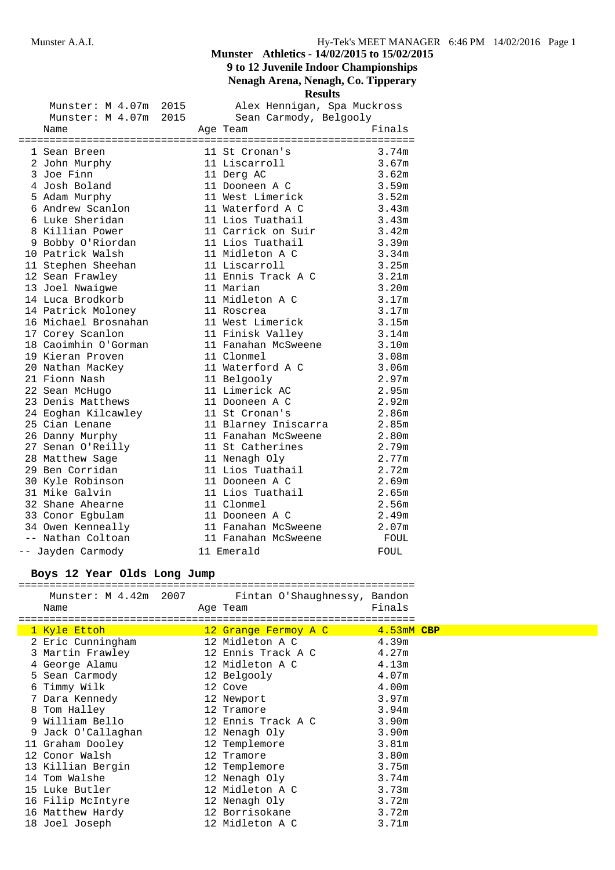**9 to 12 Juvenile Indoor Championships**

## **Nenagh Arena, Nenagh, Co. Tipperary**

**Results**

|  | Munster: M 4.07m 2015 |  |                        | Alex Hennigan, Spa Muckross        |        |  |  |  |  |
|--|-----------------------|--|------------------------|------------------------------------|--------|--|--|--|--|
|  | Munster: M 4.07m 2015 |  | Sean Carmody, Belgooly |                                    |        |  |  |  |  |
|  | Name                  |  |                        | Age Team                           | Finals |  |  |  |  |
|  |                       |  |                        |                                    |        |  |  |  |  |
|  | 1 Sean Breen          |  |                        | 11 St Cronan's                     | 3.74m  |  |  |  |  |
|  | 2 John Murphy         |  |                        | 11 Liscarroll                      | 3.67m  |  |  |  |  |
|  | 3 Joe Finn            |  |                        | 11 Derg AC                         | 3.62m  |  |  |  |  |
|  | 4 Josh Boland         |  |                        | 11 Dooneen A C<br>11 West Limerick | 3.59m  |  |  |  |  |
|  | 5 Adam Murphy         |  |                        |                                    | 3.52m  |  |  |  |  |
|  | 6 Andrew Scanlon      |  |                        | 11 Waterford A C                   | 3.43m  |  |  |  |  |
|  | 6 Luke Sheridan       |  |                        | 11 Lios Tuathail                   | 3.43m  |  |  |  |  |
|  | 8 Killian Power       |  |                        | 11 Carrick on Suir 3.42m           |        |  |  |  |  |
|  | 9 Bobby O'Riordan     |  |                        | 11 Lios Tuathail                   | 3.39m  |  |  |  |  |
|  | 10 Patrick Walsh      |  |                        | 11 Midleton A C                    | 3.34m  |  |  |  |  |
|  | 11 Stephen Sheehan    |  |                        | 11 Liscarroll                      | 3.25m  |  |  |  |  |
|  | 12 Sean Frawley       |  |                        | 11 Ennis Track A C                 | 3.21m  |  |  |  |  |
|  | 13 Joel Nwaigwe       |  |                        | 11 Marian                          | 3.20m  |  |  |  |  |
|  | 14 Luca Brodkorb      |  |                        | 11 Midleton A C                    | 3.17m  |  |  |  |  |
|  | 14 Patrick Moloney    |  |                        | 11 Roscrea                         | 3.17m  |  |  |  |  |
|  | 16 Michael Brosnahan  |  |                        | 11 West Limerick                   | 3.15m  |  |  |  |  |
|  | 17 Corey Scanlon      |  |                        | 11 Finisk Valley                   | 3.14m  |  |  |  |  |
|  | 18 Caoimhin O'Gorman  |  |                        | 11 Fanahan McSweene                | 3.10m  |  |  |  |  |
|  | 19 Kieran Proven      |  |                        | 11 Clonmel                         | 3.08m  |  |  |  |  |
|  | 20 Nathan MacKey      |  |                        | 11 Waterford A C                   | 3.06m  |  |  |  |  |
|  | 21 Fionn Nash         |  |                        | 11 Belgooly                        | 2.97m  |  |  |  |  |
|  | 22 Sean McHugo        |  |                        | 11 Limerick AC                     | 2.95m  |  |  |  |  |
|  | 23 Denis Matthews     |  |                        | 11 Dooneen A C                     | 2.92m  |  |  |  |  |
|  | 24 Eoghan Kilcawley   |  |                        | 11 St Cronan's                     | 2.86m  |  |  |  |  |
|  | 25 Cian Lenane        |  |                        | 11 Blarney Iniscarra               | 2.85m  |  |  |  |  |
|  | 26 Danny Murphy       |  |                        | 11 Fanahan McSweene                | 2.80m  |  |  |  |  |
|  | 27 Senan O'Reilly     |  |                        | 11 St Catherines                   | 2.79m  |  |  |  |  |
|  | 28 Matthew Sage       |  |                        | 11 Nenagh Oly                      | 2.77m  |  |  |  |  |
|  | 29 Ben Corridan       |  |                        | 11 Lios Tuathail                   | 2.72m  |  |  |  |  |
|  | 30 Kyle Robinson      |  |                        | 11 Dooneen A C                     | 2.69m  |  |  |  |  |
|  | 31 Mike Galvin        |  |                        | 11 Lios Tuathail                   | 2.65m  |  |  |  |  |
|  | 32 Shane Ahearne      |  |                        | 11 Clonmel                         | 2.56m  |  |  |  |  |
|  | 33 Conor Egbulam      |  |                        | 11 Dooneen A C                     | 2.49m  |  |  |  |  |
|  | 34 Owen Kenneally     |  |                        | 11 Fanahan McSweene                | 2.07m  |  |  |  |  |
|  | -- Nathan Coltoan     |  |                        | 11 Fanahan McSweene                | FOUL   |  |  |  |  |
|  | -- Jayden Carmody     |  |                        | 11 Emerald                         | FOUL   |  |  |  |  |

#### **Boys 12 Year Olds Long Jump**

================================================================ Munster: M 4.42m 2007 Fintan O'Shaughnessy, Bandon<br>Name Mame Rge Team Finals Name Age Team ================================================================

| 1 Kyle Ettoh       | 12 Grange Fermoy A C | 4.53mM CBP        |
|--------------------|----------------------|-------------------|
| 2 Eric Cunningham  | 12 Midleton A C      | 4.39m             |
| 3 Martin Frawley   | 12 Ennis Track A C   | 4.27m             |
| 4 George Alamu     | 12 Midleton A C      | 4.13m             |
| 5 Sean Carmody     | 12 Belgooly          | 4.07m             |
| 6 Timmy Wilk       | 12 Cove              | 4.00m             |
| 7 Dara Kennedy     | 12 Newport           | 3.97m             |
| 8 Tom Halley       | 12 Tramore           | 3.94m             |
| 9 William Bello    | 12 Ennis Track A C   | 3.90m             |
| 9 Jack O'Callaghan | 12 Nenagh Oly        | 3.90m             |
| 11 Graham Dooley   | 12 Templemore        | 3.81 <sub>m</sub> |
| 12 Conor Walsh     | 12 Tramore           | 3.80 <sub>m</sub> |
| 13 Killian Bergin  | 12 Templemore        | 3.75m             |
| 14 Tom Walshe      | 12 Nenagh Oly        | 3.74m             |
| 15 Luke Butler     | 12 Midleton A C      | 3.73m             |
| 16 Filip McIntyre  | 12 Nenagh Oly        | 3.72m             |
| 16 Matthew Hardy   | 12 Borrisokane       | 3.72m             |
| 18 Joel Joseph     | 12 Midleton A C      | 3.71m             |
|                    |                      |                   |